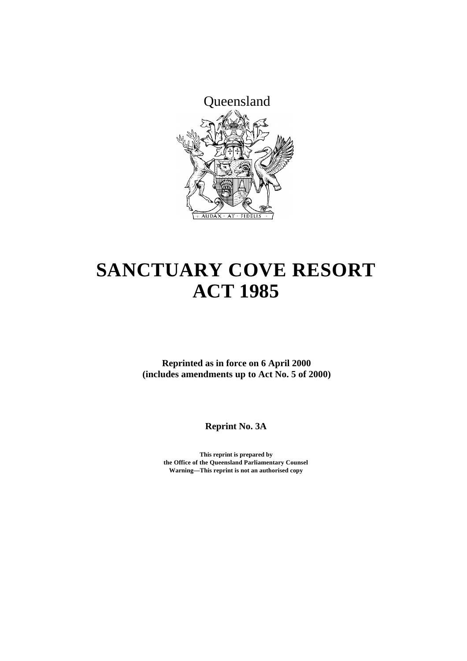

# **SANCTUARY COVE RESORT ACT 1985**

**Reprinted as in force on 6 April 2000 (includes amendments up to Act No. 5 of 2000)**

**Reprint No. 3A**

**This reprint is prepared by the Office of the Queensland Parliamentary Counsel Warning—This reprint is not an authorised copy**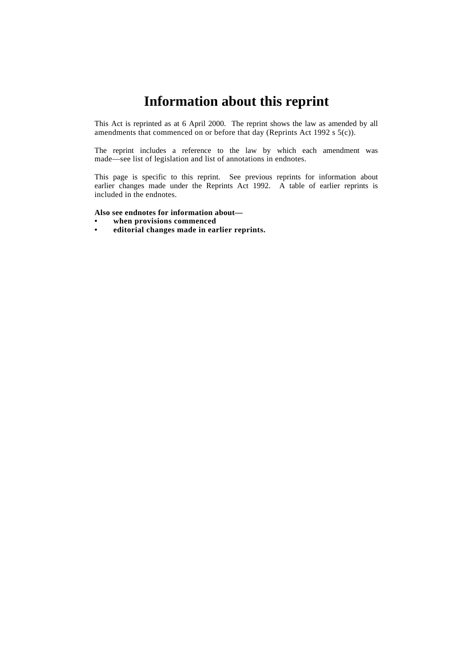## **Information about this reprint**

This Act is reprinted as at 6 April 2000. The reprint shows the law as amended by all amendments that commenced on or before that day (Reprints Act 1992 s 5(c)).

The reprint includes a reference to the law by which each amendment was made—see list of legislation and list of annotations in endnotes.

This page is specific to this reprint. See previous reprints for information about earlier changes made under the Reprints Act 1992. A table of earlier reprints is included in the endnotes.

#### **Also see endnotes for information about—**

- **• when provisions commenced**
- **• editorial changes made in earlier reprints.**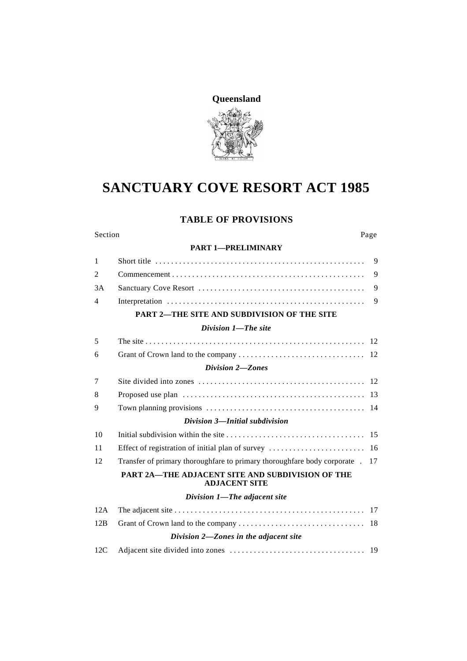

# **SANCTUARY COVE RESORT ACT 1985**

## **TABLE OF PROVISIONS**

#### Section Page

#### **PART 1—PRELIMINARY**

| $\mathbf{1}$   |                                                                                 | $\mathbf{Q}$ |
|----------------|---------------------------------------------------------------------------------|--------------|
| $\overline{2}$ |                                                                                 | 9            |
| 3A             |                                                                                 | 9            |
| $\overline{4}$ |                                                                                 | 9            |
|                | <b>PART 2-THE SITE AND SUBDIVISION OF THE SITE</b>                              |              |
|                | Division 1-The site                                                             |              |
| 5              |                                                                                 |              |
| 6              |                                                                                 |              |
|                | Division 2-Zones                                                                |              |
| 7              |                                                                                 |              |
| 8              |                                                                                 |              |
| 9              |                                                                                 |              |
|                | Division 3-Initial subdivision                                                  |              |
| 10             |                                                                                 |              |
| 11             |                                                                                 |              |
| 12             | Transfer of primary thoroughfare to primary thoroughfare body corporate . 17    |              |
|                | <b>PART 2A-THE ADJACENT SITE AND SUBDIVISION OF THE</b><br><b>ADJACENT SITE</b> |              |
|                | Division 1-The adjacent site                                                    |              |
| 12A            |                                                                                 |              |
| 12B            |                                                                                 |              |
|                | Division 2-Zones in the adjacent site                                           |              |
| 12C            |                                                                                 |              |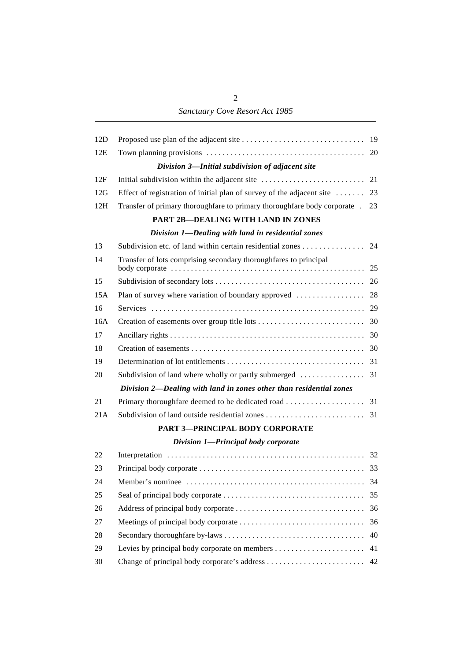*Sanctuary Cove Resort Act 1985*

| 12D |                                                                                        |    |
|-----|----------------------------------------------------------------------------------------|----|
| 12E |                                                                                        |    |
|     | Division 3-Initial subdivision of adjacent site                                        |    |
| 12F |                                                                                        |    |
| 12G | Effect of registration of initial plan of survey of the adjacent site $\dots \dots$ 23 |    |
| 12H | Transfer of primary thoroughfare to primary thoroughfare body corporate . 23           |    |
|     | <b>PART 2B-DEALING WITH LAND IN ZONES</b>                                              |    |
|     | Division 1-Dealing with land in residential zones                                      |    |
| 13  | Subdivision etc. of land within certain residential zones 24                           |    |
| 14  | Transfer of lots comprising secondary thoroughfares to principal                       |    |
| 15  |                                                                                        |    |
| 15A |                                                                                        |    |
| 16  |                                                                                        |    |
| 16A |                                                                                        |    |
| 17  |                                                                                        |    |
| 18  |                                                                                        |    |
| 19  |                                                                                        |    |
| 20  |                                                                                        |    |
|     | Division 2-Dealing with land in zones other than residential zones                     |    |
| 21  |                                                                                        |    |
| 21A |                                                                                        |    |
|     | PART 3-PRINCIPAL BODY CORPORATE                                                        |    |
|     | Division 1-Principal body corporate                                                    |    |
| 22  |                                                                                        |    |
| 23  |                                                                                        |    |
| 24  |                                                                                        |    |
| 25  |                                                                                        | 35 |
| 26  |                                                                                        | 36 |
| 27  |                                                                                        | 36 |
| 28  |                                                                                        | 40 |
| 29  |                                                                                        | 41 |
| 30  |                                                                                        | 42 |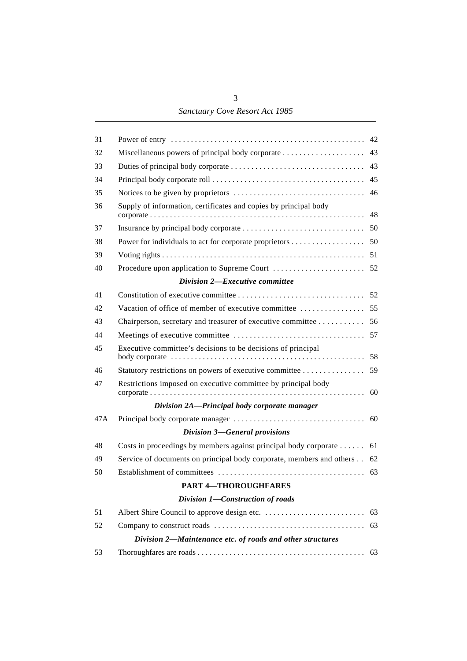## *Sanctuary Cove Resort Act 1985*

| 31  |                                                                         |    |
|-----|-------------------------------------------------------------------------|----|
| 32  |                                                                         |    |
| 33  |                                                                         |    |
| 34  |                                                                         |    |
| 35  |                                                                         |    |
| 36  | Supply of information, certificates and copies by principal body        |    |
| 37  |                                                                         |    |
| 38  |                                                                         |    |
| 39  |                                                                         |    |
| 40  |                                                                         |    |
|     | Division 2-Executive committee                                          |    |
| 41  |                                                                         |    |
| 42  |                                                                         |    |
| 43  | Chairperson, secretary and treasurer of executive committee 56          |    |
| 44  |                                                                         |    |
| 45  | Executive committee's decisions to be decisions of principal            |    |
| 46  | Statutory restrictions on powers of executive committee                 | 59 |
| 47  | Restrictions imposed on executive committee by principal body           |    |
|     | Division 2A-Principal body corporate manager                            |    |
| 47A |                                                                         |    |
|     | <b>Division 3-General provisions</b>                                    |    |
| 48  | Costs in proceedings by members against principal body corporate  61    |    |
| 49  | Service of documents on principal body corporate, members and others 62 |    |
| 50  |                                                                         |    |
|     | <b>PART 4-THOROUGHFARES</b>                                             |    |
|     | Division 1-Construction of roads                                        |    |
| 51  |                                                                         |    |
| 52  |                                                                         | 63 |
|     | Division 2-Maintenance etc. of roads and other structures               |    |
| 53  |                                                                         |    |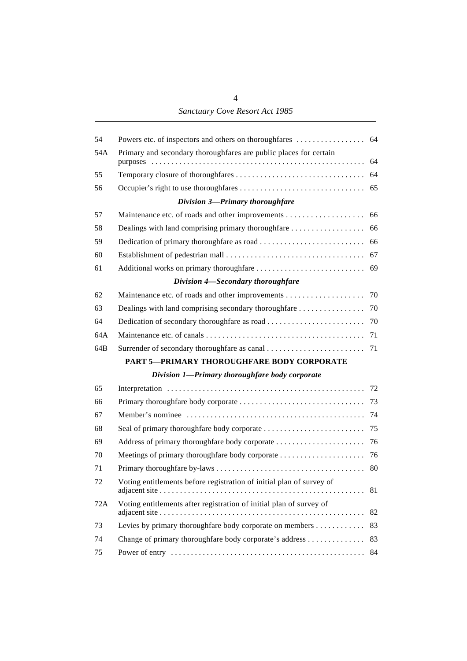4 *Sanctuary Cove Resort Act 1985*

| 54  |                                                                      |    |
|-----|----------------------------------------------------------------------|----|
| 54A | Primary and secondary thoroughfares are public places for certain    | 64 |
| 55  |                                                                      |    |
| 56  |                                                                      | 65 |
|     | Division 3-Primary thoroughfare                                      |    |
| 57  |                                                                      | 66 |
| 58  |                                                                      |    |
| 59  |                                                                      |    |
| 60  |                                                                      |    |
| 61  |                                                                      | 69 |
|     | Division 4-Secondary thoroughfare                                    |    |
| 62  |                                                                      |    |
| 63  |                                                                      |    |
| 64  |                                                                      |    |
| 64A |                                                                      |    |
| 64B |                                                                      |    |
|     | PART 5-PRIMARY THOROUGHFARE BODY CORPORATE                           |    |
|     | Division 1-Primary thoroughfare body corporate                       |    |
| 65  |                                                                      |    |
| 66  |                                                                      |    |
| 67  |                                                                      |    |
| 68  |                                                                      |    |
| 69  |                                                                      |    |
| 70  |                                                                      |    |
| 71  |                                                                      | 80 |
| 72  | Voting entitlements before registration of initial plan of survey of | 81 |
| 72A | Voting entitlements after registration of initial plan of survey of  | 82 |
| 73  | Levies by primary thoroughfare body corporate on members             | 83 |
| 74  | Change of primary thoroughfare body corporate's address              | 83 |
| 75  |                                                                      | 84 |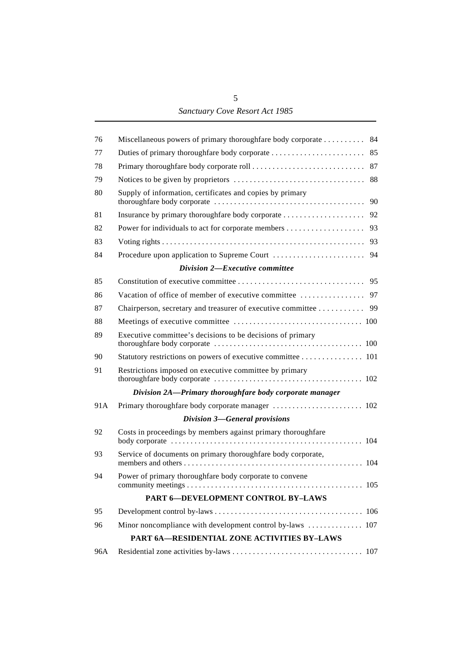| 76  | Miscellaneous powers of primary thoroughfare body corporate  84 |
|-----|-----------------------------------------------------------------|
| 77  |                                                                 |
| 78  |                                                                 |
| 79  |                                                                 |
| 80  | Supply of information, certificates and copies by primary       |
| 81  |                                                                 |
| 82  |                                                                 |
| 83  |                                                                 |
| 84  |                                                                 |
|     | Division 2-Executive committee                                  |
| 85  |                                                                 |
| 86  |                                                                 |
| 87  | Chairperson, secretary and treasurer of executive committee 99  |
| 88  |                                                                 |
| 89  | Executive committee's decisions to be decisions of primary      |
| 90  | Statutory restrictions on powers of executive committee 101     |
| 91  | Restrictions imposed on executive committee by primary          |
|     | Division 2A-Primary thoroughfare body corporate manager         |
| 91A |                                                                 |
|     | <b>Division 3-General provisions</b>                            |
| 92  | Costs in proceedings by members against primary thoroughfare    |
| 93  | Service of documents on primary thoroughfare body corporate,    |
| 94  | Power of primary thoroughfare body corporate to convene         |
|     | PART 6-DEVELOPMENT CONTROL BY-LAWS                              |
| 95  |                                                                 |
| 96  | Minor noncompliance with development control by-laws  107       |
|     | PART 6A-RESIDENTIAL ZONE ACTIVITIES BY-LAWS                     |
| 96A |                                                                 |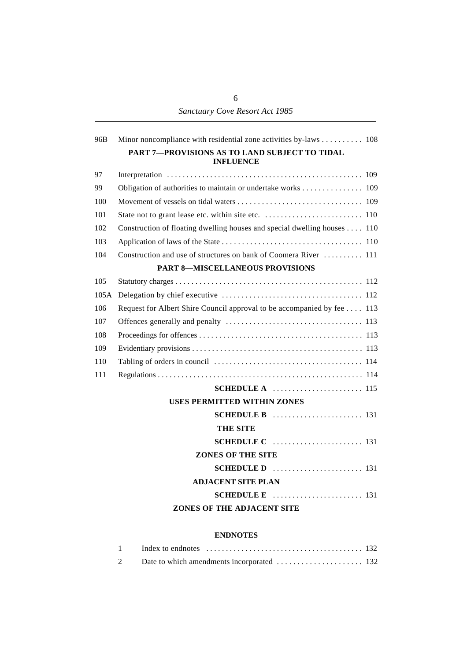| 96B  | Minor noncompliance with residential zone activities by-laws 108            |  |
|------|-----------------------------------------------------------------------------|--|
|      | PART 7-PROVISIONS AS TO LAND SUBJECT TO TIDAL<br><b>INFLUENCE</b>           |  |
| 97   |                                                                             |  |
| 99   | Obligation of authorities to maintain or undertake works 109                |  |
| 100  |                                                                             |  |
| 101  |                                                                             |  |
| 102  | Construction of floating dwelling houses and special dwelling houses 110    |  |
| 103  |                                                                             |  |
| 104  | Construction and use of structures on bank of Coomera River  111            |  |
|      | <b>PART 8-MISCELLANEOUS PROVISIONS</b>                                      |  |
| 105  |                                                                             |  |
| 105A |                                                                             |  |
| 106  | Request for Albert Shire Council approval to be accompanied by fee 113      |  |
| 107  |                                                                             |  |
| 108  |                                                                             |  |
| 109  |                                                                             |  |
| 110  |                                                                             |  |
| 111  |                                                                             |  |
|      |                                                                             |  |
|      | <b>USES PERMITTED WITHIN ZONES</b>                                          |  |
|      | <b>SCHEDULE B</b> $\ldots$ $\ldots$ $\ldots$ $\ldots$ $\ldots$ $\ldots$ 131 |  |
|      | THE SITE                                                                    |  |
|      |                                                                             |  |
|      | <b>ZONES OF THE SITE</b>                                                    |  |
|      | SCHEDULE D  131                                                             |  |
|      | <b>ADJACENT SITE PLAN</b>                                                   |  |
|      |                                                                             |  |
|      | ZONES OF THE ADJACENT SITE                                                  |  |
|      |                                                                             |  |

#### **ENDNOTES**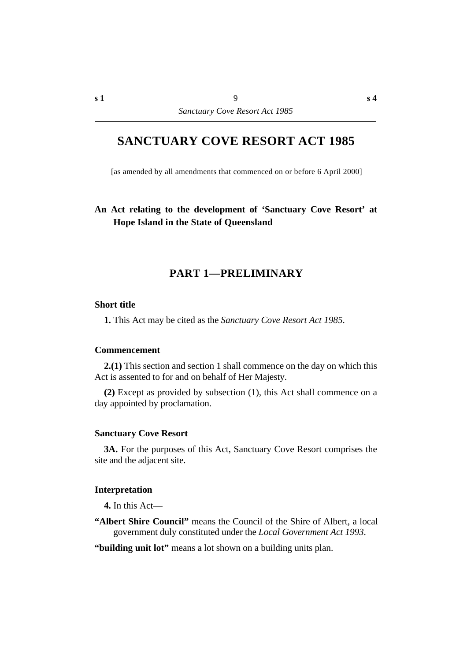## **SANCTUARY COVE RESORT ACT 1985**

[as amended by all amendments that commenced on or before 6 April 2000]

## **An Act relating to the development of 'Sanctuary Cove Resort' at Hope Island in the State of Queensland**

## **†PART 1—PRELIMINARY**

#### **˙Short title**

**1.** This Act may be cited as the *Sanctuary Cove Resort Act 1985*.

#### **˙Commencement**

**2.(1)** This section and section 1 shall commence on the day on which this Act is assented to for and on behalf of Her Majesty.

**(2)** Except as provided by subsection (1), this Act shall commence on a day appointed by proclamation.

#### **˙Sanctuary Cove Resort**

**3A.** For the purposes of this Act, Sanctuary Cove Resort comprises the site and the adjacent site.

#### **˙Interpretation**

**4.** In this Act—

- **"Albert Shire Council"** means the Council of the Shire of Albert, a local government duly constituted under the *Local Government Act 1993*.
- **"building unit lot"** means a lot shown on a building units plan.

**s 4**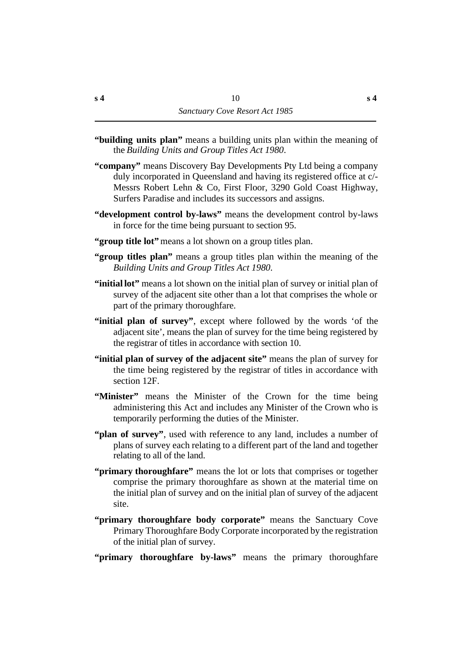- **"building units plan"** means a building units plan within the meaning of the *Building Units and Group Titles Act 1980*.
- **"company"** means Discovery Bay Developments Pty Ltd being a company duly incorporated in Queensland and having its registered office at c/- Messrs Robert Lehn & Co, First Floor, 3290 Gold Coast Highway, Surfers Paradise and includes its successors and assigns.
- **"development control by-laws"** means the development control by-laws in force for the time being pursuant to section 95.
- **"group title lot"** means a lot shown on a group titles plan.
- **"group titles plan"** means a group titles plan within the meaning of the *Building Units and Group Titles Act 1980*.
- **"initial lot"** means a lot shown on the initial plan of survey or initial plan of survey of the adjacent site other than a lot that comprises the whole or part of the primary thoroughfare.
- **"initial plan of survey"**, except where followed by the words 'of the adjacent site', means the plan of survey for the time being registered by the registrar of titles in accordance with section 10.
- **"initial plan of survey of the adjacent site"** means the plan of survey for the time being registered by the registrar of titles in accordance with section 12F.
- **"Minister"** means the Minister of the Crown for the time being administering this Act and includes any Minister of the Crown who is temporarily performing the duties of the Minister.
- **"plan of survey"**, used with reference to any land, includes a number of plans of survey each relating to a different part of the land and together relating to all of the land.
- **"primary thoroughfare"** means the lot or lots that comprises or together comprise the primary thoroughfare as shown at the material time on the initial plan of survey and on the initial plan of survey of the adjacent site.
- **"primary thoroughfare body corporate"** means the Sanctuary Cove Primary Thoroughfare Body Corporate incorporated by the registration of the initial plan of survey.
- **"primary thoroughfare by-laws"** means the primary thoroughfare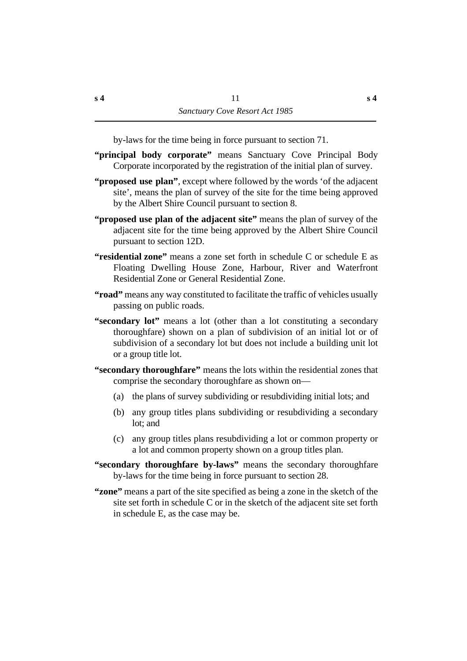by-laws for the time being in force pursuant to section 71.

- **"principal body corporate"** means Sanctuary Cove Principal Body Corporate incorporated by the registration of the initial plan of survey.
- **"proposed use plan"**, except where followed by the words 'of the adjacent site', means the plan of survey of the site for the time being approved by the Albert Shire Council pursuant to section 8.
- **"proposed use plan of the adjacent site"** means the plan of survey of the adjacent site for the time being approved by the Albert Shire Council pursuant to section 12D.
- **"residential zone"** means a zone set forth in schedule C or schedule E as Floating Dwelling House Zone, Harbour, River and Waterfront Residential Zone or General Residential Zone.
- **"road"** means any way constituted to facilitate the traffic of vehicles usually passing on public roads.
- **"secondary lot"** means a lot (other than a lot constituting a secondary thoroughfare) shown on a plan of subdivision of an initial lot or of subdivision of a secondary lot but does not include a building unit lot or a group title lot.
- **"secondary thoroughfare"** means the lots within the residential zones that comprise the secondary thoroughfare as shown on—
	- (a) the plans of survey subdividing or resubdividing initial lots; and
	- (b) any group titles plans subdividing or resubdividing a secondary lot; and
	- (c) any group titles plans resubdividing a lot or common property or a lot and common property shown on a group titles plan.
- **"secondary thoroughfare by-laws"** means the secondary thoroughfare by-laws for the time being in force pursuant to section 28.
- **"zone"** means a part of the site specified as being a zone in the sketch of the site set forth in schedule C or in the sketch of the adjacent site set forth in schedule E, as the case may be.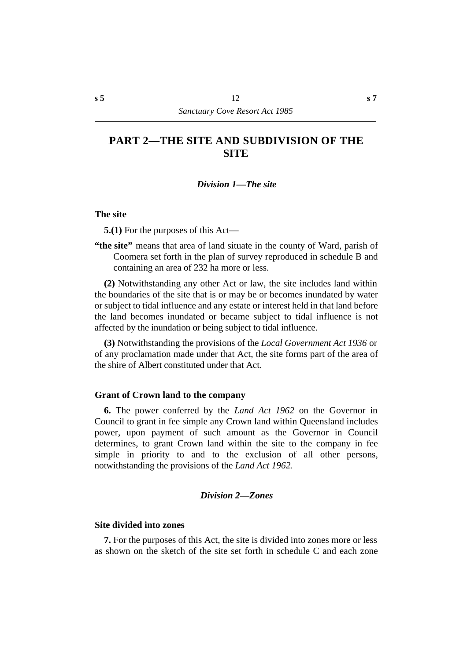## **†PART 2—THE SITE AND SUBDIVISION OF THE SITE**

#### *†Division 1—The site*

#### **˙The site**

**5.(1)** For the purposes of this Act—

**"the site"** means that area of land situate in the county of Ward, parish of Coomera set forth in the plan of survey reproduced in schedule B and containing an area of 232 ha more or less.

**(2)** Notwithstanding any other Act or law, the site includes land within the boundaries of the site that is or may be or becomes inundated by water or subject to tidal influence and any estate or interest held in that land before the land becomes inundated or became subject to tidal influence is not affected by the inundation or being subject to tidal influence.

**(3)** Notwithstanding the provisions of the *Local Government Act 1936* or of any proclamation made under that Act, the site forms part of the area of the shire of Albert constituted under that Act.

#### **˙Grant of Crown land to the company**

**6.** The power conferred by the *Land Act 1962* on the Governor in Council to grant in fee simple any Crown land within Queensland includes power, upon payment of such amount as the Governor in Council determines, to grant Crown land within the site to the company in fee simple in priority to and to the exclusion of all other persons, notwithstanding the provisions of the *Land Act 1962*.

#### *†Division 2—Zones*

#### **˙Site divided into zones**

**7.** For the purposes of this Act, the site is divided into zones more or less as shown on the sketch of the site set forth in schedule C and each zone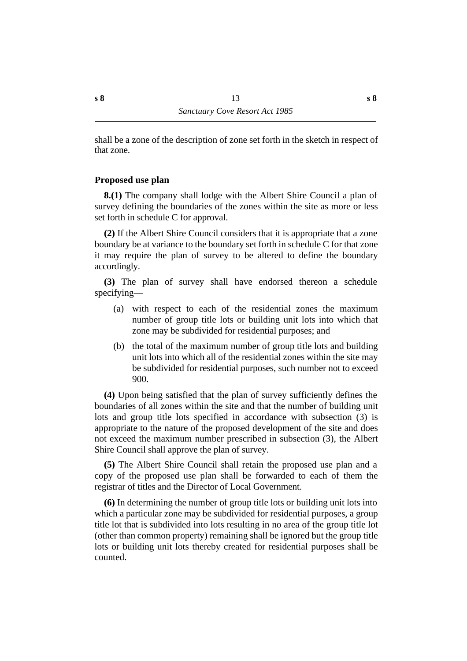shall be a zone of the description of zone set forth in the sketch in respect of that zone.

## **˙Proposed use plan**

**8.(1)** The company shall lodge with the Albert Shire Council a plan of survey defining the boundaries of the zones within the site as more or less set forth in schedule C for approval.

**(2)** If the Albert Shire Council considers that it is appropriate that a zone boundary be at variance to the boundary set forth in schedule C for that zone it may require the plan of survey to be altered to define the boundary accordingly.

**(3)** The plan of survey shall have endorsed thereon a schedule specifying—

- (a) with respect to each of the residential zones the maximum number of group title lots or building unit lots into which that zone may be subdivided for residential purposes; and
- (b) the total of the maximum number of group title lots and building unit lots into which all of the residential zones within the site may be subdivided for residential purposes, such number not to exceed 900.

**(4)** Upon being satisfied that the plan of survey sufficiently defines the boundaries of all zones within the site and that the number of building unit lots and group title lots specified in accordance with subsection (3) is appropriate to the nature of the proposed development of the site and does not exceed the maximum number prescribed in subsection (3), the Albert Shire Council shall approve the plan of survey.

**(5)** The Albert Shire Council shall retain the proposed use plan and a copy of the proposed use plan shall be forwarded to each of them the registrar of titles and the Director of Local Government.

**(6)** In determining the number of group title lots or building unit lots into which a particular zone may be subdivided for residential purposes, a group title lot that is subdivided into lots resulting in no area of the group title lot (other than common property) remaining shall be ignored but the group title lots or building unit lots thereby created for residential purposes shall be counted.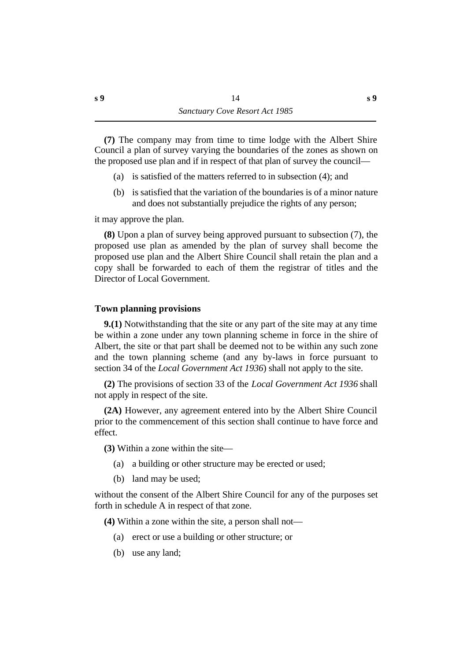**(7)** The company may from time to time lodge with the Albert Shire Council a plan of survey varying the boundaries of the zones as shown on the proposed use plan and if in respect of that plan of survey the council—

- (a) is satisfied of the matters referred to in subsection (4); and
- (b) is satisfied that the variation of the boundaries is of a minor nature and does not substantially prejudice the rights of any person;

it may approve the plan.

**(8)** Upon a plan of survey being approved pursuant to subsection (7), the proposed use plan as amended by the plan of survey shall become the proposed use plan and the Albert Shire Council shall retain the plan and a copy shall be forwarded to each of them the registrar of titles and the Director of Local Government.

#### **˙Town planning provisions**

**9.(1)** Notwithstanding that the site or any part of the site may at any time be within a zone under any town planning scheme in force in the shire of Albert, the site or that part shall be deemed not to be within any such zone and the town planning scheme (and any by-laws in force pursuant to section 34 of the *Local Government Act 1936*) shall not apply to the site.

**(2)** The provisions of section 33 of the *Local Government Act 1936* shall not apply in respect of the site.

**(2A)** However, any agreement entered into by the Albert Shire Council prior to the commencement of this section shall continue to have force and effect.

**(3)** Within a zone within the site—

- (a) a building or other structure may be erected or used;
- (b) land may be used;

without the consent of the Albert Shire Council for any of the purposes set forth in schedule A in respect of that zone.

**(4)** Within a zone within the site, a person shall not—

- (a) erect or use a building or other structure; or
- (b) use any land;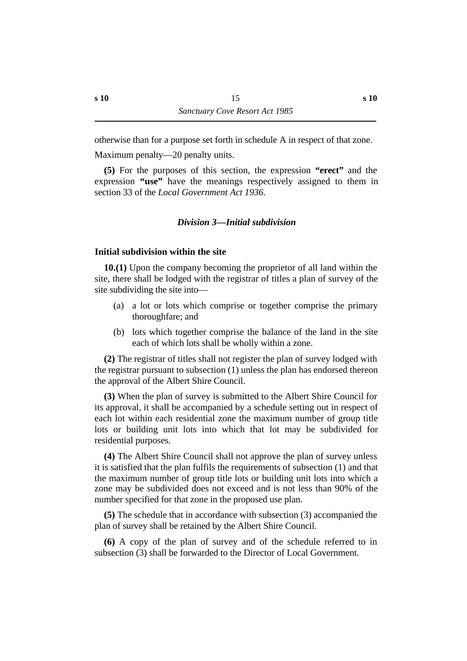otherwise than for a purpose set forth in schedule A in respect of that zone. Maximum penalty—20 penalty units.

**(5)** For the purposes of this section, the expression **"erect"** and the expression **"use"** have the meanings respectively assigned to them in section 33 of the *Local Government Act 1936*.

#### *†Division 3—Initial subdivision*

#### **˙Initial subdivision within the site**

**10.(1)** Upon the company becoming the proprietor of all land within the site, there shall be lodged with the registrar of titles a plan of survey of the site subdividing the site into—

- (a) a lot or lots which comprise or together comprise the primary thoroughfare; and
- (b) lots which together comprise the balance of the land in the site each of which lots shall be wholly within a zone.

**(2)** The registrar of titles shall not register the plan of survey lodged with the registrar pursuant to subsection (1) unless the plan has endorsed thereon the approval of the Albert Shire Council.

**(3)** When the plan of survey is submitted to the Albert Shire Council for its approval, it shall be accompanied by a schedule setting out in respect of each lot within each residential zone the maximum number of group title lots or building unit lots into which that lot may be subdivided for residential purposes.

**(4)** The Albert Shire Council shall not approve the plan of survey unless it is satisfied that the plan fulfils the requirements of subsection (1) and that the maximum number of group title lots or building unit lots into which a zone may be subdivided does not exceed and is not less than 90% of the number specified for that zone in the proposed use plan.

**(5)** The schedule that in accordance with subsection (3) accompanied the plan of survey shall be retained by the Albert Shire Council.

**(6)** A copy of the plan of survey and of the schedule referred to in subsection (3) shall be forwarded to the Director of Local Government.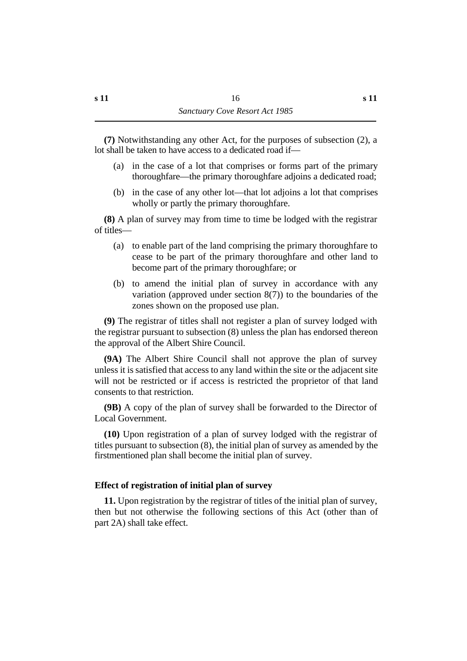**(7)** Notwithstanding any other Act, for the purposes of subsection (2), a lot shall be taken to have access to a dedicated road if—

- (a) in the case of a lot that comprises or forms part of the primary thoroughfare—the primary thoroughfare adjoins a dedicated road;
- (b) in the case of any other lot—that lot adjoins a lot that comprises wholly or partly the primary thoroughfare.

**(8)** A plan of survey may from time to time be lodged with the registrar of titles—

- (a) to enable part of the land comprising the primary thoroughfare to cease to be part of the primary thoroughfare and other land to become part of the primary thoroughfare; or
- (b) to amend the initial plan of survey in accordance with any variation (approved under section  $8(7)$ ) to the boundaries of the zones shown on the proposed use plan.

**(9)** The registrar of titles shall not register a plan of survey lodged with the registrar pursuant to subsection (8) unless the plan has endorsed thereon the approval of the Albert Shire Council.

**(9A)** The Albert Shire Council shall not approve the plan of survey unless it is satisfied that access to any land within the site or the adjacent site will not be restricted or if access is restricted the proprietor of that land consents to that restriction.

**(9B)** A copy of the plan of survey shall be forwarded to the Director of Local Government.

**(10)** Upon registration of a plan of survey lodged with the registrar of titles pursuant to subsection (8), the initial plan of survey as amended by the firstmentioned plan shall become the initial plan of survey.

## **˙Effect of registration of initial plan of survey**

**11.** Upon registration by the registrar of titles of the initial plan of survey, then but not otherwise the following sections of this Act (other than of part 2A) shall take effect.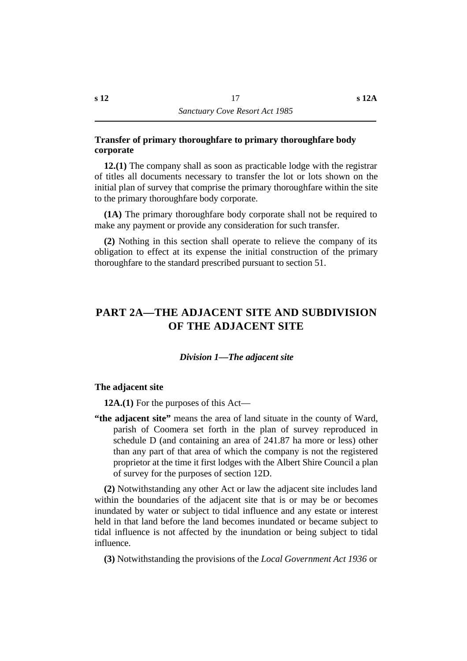#### **˙Transfer of primary thoroughfare to primary thoroughfare body corporate**

**12.(1)** The company shall as soon as practicable lodge with the registrar of titles all documents necessary to transfer the lot or lots shown on the initial plan of survey that comprise the primary thoroughfare within the site to the primary thoroughfare body corporate.

**(1A)** The primary thoroughfare body corporate shall not be required to make any payment or provide any consideration for such transfer.

**(2)** Nothing in this section shall operate to relieve the company of its obligation to effect at its expense the initial construction of the primary thoroughfare to the standard prescribed pursuant to section 51.

## **†PART 2A—THE ADJACENT SITE AND SUBDIVISION OF THE ADJACENT SITE**

#### *†Division 1—The adjacent site*

#### **˙The adjacent site**

**12A.(1)** For the purposes of this Act—

**"the adjacent site"** means the area of land situate in the county of Ward, parish of Coomera set forth in the plan of survey reproduced in schedule D (and containing an area of 241.87 ha more or less) other than any part of that area of which the company is not the registered proprietor at the time it first lodges with the Albert Shire Council a plan of survey for the purposes of section 12D.

**(2)** Notwithstanding any other Act or law the adjacent site includes land within the boundaries of the adjacent site that is or may be or becomes inundated by water or subject to tidal influence and any estate or interest held in that land before the land becomes inundated or became subject to tidal influence is not affected by the inundation or being subject to tidal influence.

**(3)** Notwithstanding the provisions of the *Local Government Act 1936* or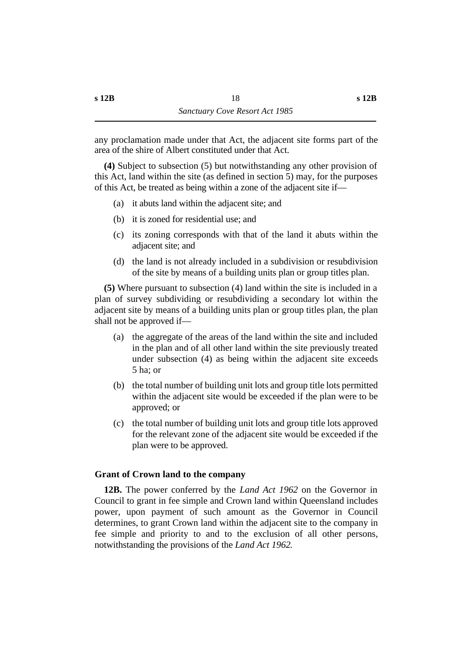any proclamation made under that Act, the adjacent site forms part of the area of the shire of Albert constituted under that Act.

**(4)** Subject to subsection (5) but notwithstanding any other provision of this Act, land within the site (as defined in section 5) may, for the purposes of this Act, be treated as being within a zone of the adjacent site if—

- (a) it abuts land within the adjacent site; and
- (b) it is zoned for residential use; and
- (c) its zoning corresponds with that of the land it abuts within the adjacent site; and
- (d) the land is not already included in a subdivision or resubdivision of the site by means of a building units plan or group titles plan.

**(5)** Where pursuant to subsection (4) land within the site is included in a plan of survey subdividing or resubdividing a secondary lot within the adjacent site by means of a building units plan or group titles plan, the plan shall not be approved if—

- (a) the aggregate of the areas of the land within the site and included in the plan and of all other land within the site previously treated under subsection (4) as being within the adjacent site exceeds 5 ha; or
- (b) the total number of building unit lots and group title lots permitted within the adjacent site would be exceeded if the plan were to be approved; or
- (c) the total number of building unit lots and group title lots approved for the relevant zone of the adjacent site would be exceeded if the plan were to be approved.

#### **˙Grant of Crown land to the company**

**12B.** The power conferred by the *Land Act 1962* on the Governor in Council to grant in fee simple and Crown land within Queensland includes power, upon payment of such amount as the Governor in Council determines, to grant Crown land within the adjacent site to the company in fee simple and priority to and to the exclusion of all other persons, notwithstanding the provisions of the *Land Act 1962*.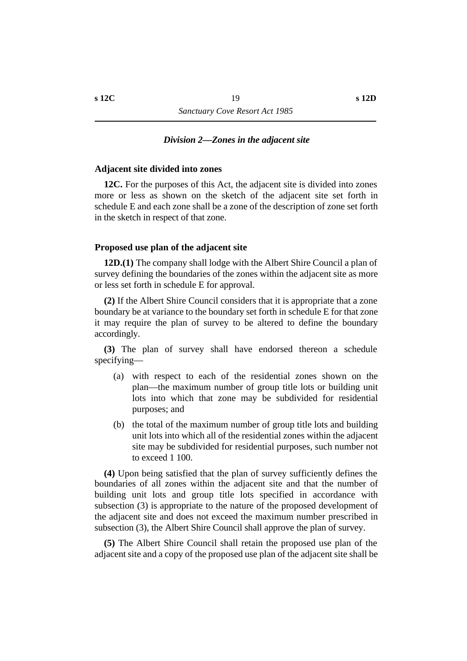#### *†Division 2—Zones in the adjacent site*

#### **˙Adjacent site divided into zones**

**12C.** For the purposes of this Act, the adjacent site is divided into zones more or less as shown on the sketch of the adjacent site set forth in schedule E and each zone shall be a zone of the description of zone set forth in the sketch in respect of that zone.

#### **˙Proposed use plan of the adjacent site**

**12D.(1)** The company shall lodge with the Albert Shire Council a plan of survey defining the boundaries of the zones within the adjacent site as more or less set forth in schedule E for approval.

**(2)** If the Albert Shire Council considers that it is appropriate that a zone boundary be at variance to the boundary set forth in schedule E for that zone it may require the plan of survey to be altered to define the boundary accordingly.

**(3)** The plan of survey shall have endorsed thereon a schedule specifying—

- (a) with respect to each of the residential zones shown on the plan—the maximum number of group title lots or building unit lots into which that zone may be subdivided for residential purposes; and
- (b) the total of the maximum number of group title lots and building unit lots into which all of the residential zones within the adjacent site may be subdivided for residential purposes, such number not to exceed 1 100.

**(4)** Upon being satisfied that the plan of survey sufficiently defines the boundaries of all zones within the adjacent site and that the number of building unit lots and group title lots specified in accordance with subsection (3) is appropriate to the nature of the proposed development of the adjacent site and does not exceed the maximum number prescribed in subsection (3), the Albert Shire Council shall approve the plan of survey.

**(5)** The Albert Shire Council shall retain the proposed use plan of the adjacent site and a copy of the proposed use plan of the adjacent site shall be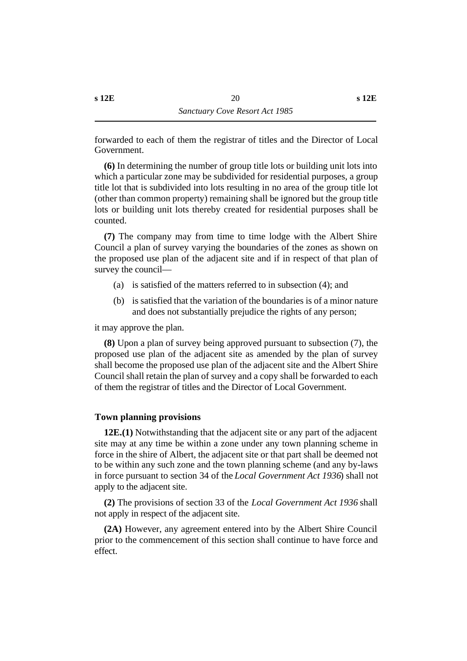**(6)** In determining the number of group title lots or building unit lots into which a particular zone may be subdivided for residential purposes, a group title lot that is subdivided into lots resulting in no area of the group title lot (other than common property) remaining shall be ignored but the group title lots or building unit lots thereby created for residential purposes shall be counted.

**(7)** The company may from time to time lodge with the Albert Shire Council a plan of survey varying the boundaries of the zones as shown on the proposed use plan of the adjacent site and if in respect of that plan of survey the council—

- (a) is satisfied of the matters referred to in subsection (4); and
- (b) is satisfied that the variation of the boundaries is of a minor nature and does not substantially prejudice the rights of any person;

it may approve the plan.

**(8)** Upon a plan of survey being approved pursuant to subsection (7), the proposed use plan of the adjacent site as amended by the plan of survey shall become the proposed use plan of the adjacent site and the Albert Shire Council shall retain the plan of survey and a copy shall be forwarded to each of them the registrar of titles and the Director of Local Government.

#### **˙Town planning provisions**

**12E.(1)** Notwithstanding that the adjacent site or any part of the adjacent site may at any time be within a zone under any town planning scheme in force in the shire of Albert, the adjacent site or that part shall be deemed not to be within any such zone and the town planning scheme (and any by-laws in force pursuant to section 34 of the *Local Government Act 1936*) shall not apply to the adjacent site.

**(2)** The provisions of section 33 of the *Local Government Act 1936* shall not apply in respect of the adjacent site.

**(2A)** However, any agreement entered into by the Albert Shire Council prior to the commencement of this section shall continue to have force and effect.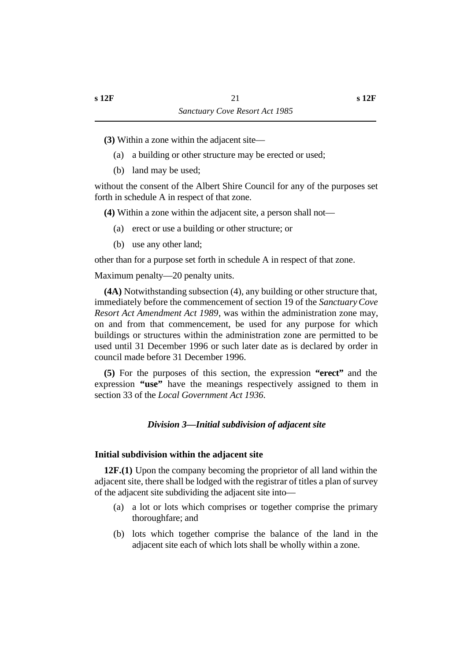**(3)** Within a zone within the adjacent site—

- (a) a building or other structure may be erected or used;
- (b) land may be used;

without the consent of the Albert Shire Council for any of the purposes set forth in schedule A in respect of that zone.

**(4)** Within a zone within the adjacent site, a person shall not—

- (a) erect or use a building or other structure; or
- (b) use any other land;

other than for a purpose set forth in schedule A in respect of that zone.

Maximum penalty—20 penalty units.

**(4A)** Notwithstanding subsection (4), any building or other structure that, immediately before the commencement of section 19 of the *Sanctuary Cove Resort Act Amendment Act 1989*, was within the administration zone may, on and from that commencement, be used for any purpose for which buildings or structures within the administration zone are permitted to be used until 31 December 1996 or such later date as is declared by order in council made before 31 December 1996.

**(5)** For the purposes of this section, the expression **"erect"** and the expression **"use"** have the meanings respectively assigned to them in section 33 of the *Local Government Act 1936*.

## *†Division 3—Initial subdivision of adjacent site*

#### **˙Initial subdivision within the adjacent site**

**12F.(1)** Upon the company becoming the proprietor of all land within the adjacent site, there shall be lodged with the registrar of titles a plan of survey of the adjacent site subdividing the adjacent site into—

- (a) a lot or lots which comprises or together comprise the primary thoroughfare; and
- (b) lots which together comprise the balance of the land in the adjacent site each of which lots shall be wholly within a zone.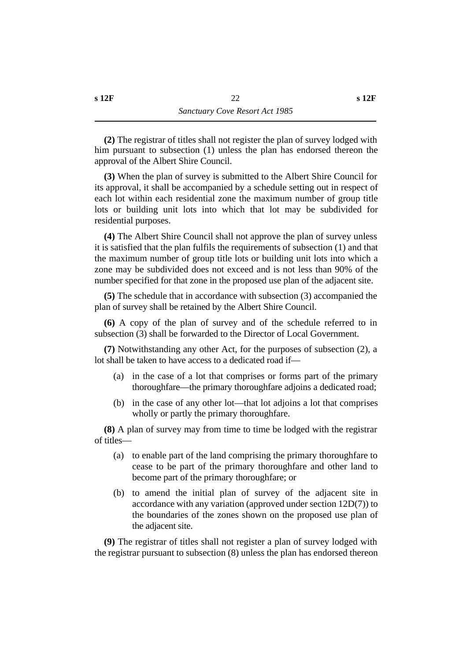**(2)** The registrar of titles shall not register the plan of survey lodged with him pursuant to subsection (1) unless the plan has endorsed thereon the approval of the Albert Shire Council.

**(3)** When the plan of survey is submitted to the Albert Shire Council for its approval, it shall be accompanied by a schedule setting out in respect of each lot within each residential zone the maximum number of group title lots or building unit lots into which that lot may be subdivided for residential purposes.

**(4)** The Albert Shire Council shall not approve the plan of survey unless it is satisfied that the plan fulfils the requirements of subsection (1) and that the maximum number of group title lots or building unit lots into which a zone may be subdivided does not exceed and is not less than 90% of the number specified for that zone in the proposed use plan of the adjacent site.

**(5)** The schedule that in accordance with subsection (3) accompanied the plan of survey shall be retained by the Albert Shire Council.

**(6)** A copy of the plan of survey and of the schedule referred to in subsection (3) shall be forwarded to the Director of Local Government.

**(7)** Notwithstanding any other Act, for the purposes of subsection (2), a lot shall be taken to have access to a dedicated road if—

- (a) in the case of a lot that comprises or forms part of the primary thoroughfare—the primary thoroughfare adjoins a dedicated road;
- (b) in the case of any other lot—that lot adjoins a lot that comprises wholly or partly the primary thoroughfare.

**(8)** A plan of survey may from time to time be lodged with the registrar of titles—

- (a) to enable part of the land comprising the primary thoroughfare to cease to be part of the primary thoroughfare and other land to become part of the primary thoroughfare; or
- (b) to amend the initial plan of survey of the adjacent site in accordance with any variation (approved under section 12D(7)) to the boundaries of the zones shown on the proposed use plan of the adjacent site.

**(9)** The registrar of titles shall not register a plan of survey lodged with the registrar pursuant to subsection (8) unless the plan has endorsed thereon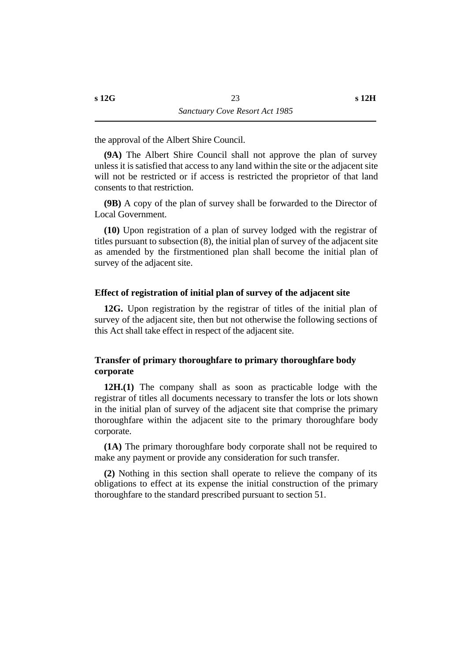the approval of the Albert Shire Council.

**(9A)** The Albert Shire Council shall not approve the plan of survey unless it is satisfied that access to any land within the site or the adjacent site will not be restricted or if access is restricted the proprietor of that land consents to that restriction.

**(9B)** A copy of the plan of survey shall be forwarded to the Director of Local Government.

**(10)** Upon registration of a plan of survey lodged with the registrar of titles pursuant to subsection (8), the initial plan of survey of the adjacent site as amended by the firstmentioned plan shall become the initial plan of survey of the adjacent site.

#### **˙Effect of registration of initial plan of survey of the adjacent site**

**12G.** Upon registration by the registrar of titles of the initial plan of survey of the adjacent site, then but not otherwise the following sections of this Act shall take effect in respect of the adjacent site.

#### **˙Transfer of primary thoroughfare to primary thoroughfare body corporate**

**12H.(1)** The company shall as soon as practicable lodge with the registrar of titles all documents necessary to transfer the lots or lots shown in the initial plan of survey of the adjacent site that comprise the primary thoroughfare within the adjacent site to the primary thoroughfare body corporate.

**(1A)** The primary thoroughfare body corporate shall not be required to make any payment or provide any consideration for such transfer.

**(2)** Nothing in this section shall operate to relieve the company of its obligations to effect at its expense the initial construction of the primary thoroughfare to the standard prescribed pursuant to section 51.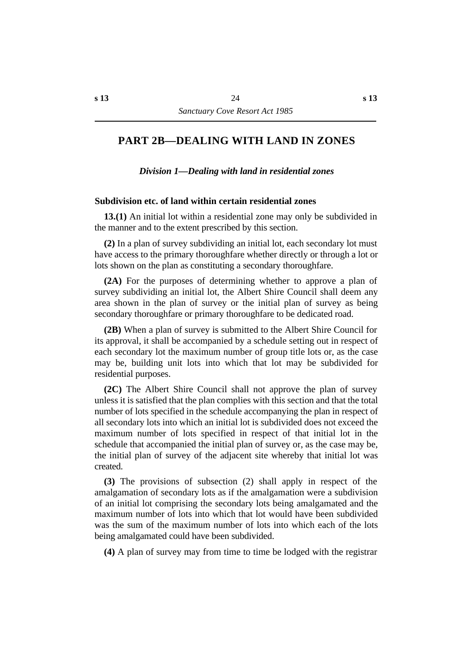## **†PART 2B—DEALING WITH LAND IN ZONES**

*†Division 1—Dealing with land in residential zones*

#### **˙Subdivision etc. of land within certain residential zones**

**13.(1)** An initial lot within a residential zone may only be subdivided in the manner and to the extent prescribed by this section.

**(2)** In a plan of survey subdividing an initial lot, each secondary lot must have access to the primary thoroughfare whether directly or through a lot or lots shown on the plan as constituting a secondary thoroughfare.

**(2A)** For the purposes of determining whether to approve a plan of survey subdividing an initial lot, the Albert Shire Council shall deem any area shown in the plan of survey or the initial plan of survey as being secondary thoroughfare or primary thoroughfare to be dedicated road.

**(2B)** When a plan of survey is submitted to the Albert Shire Council for its approval, it shall be accompanied by a schedule setting out in respect of each secondary lot the maximum number of group title lots or, as the case may be, building unit lots into which that lot may be subdivided for residential purposes.

**(2C)** The Albert Shire Council shall not approve the plan of survey unless it is satisfied that the plan complies with this section and that the total number of lots specified in the schedule accompanying the plan in respect of all secondary lots into which an initial lot is subdivided does not exceed the maximum number of lots specified in respect of that initial lot in the schedule that accompanied the initial plan of survey or, as the case may be, the initial plan of survey of the adjacent site whereby that initial lot was created.

**(3)** The provisions of subsection (2) shall apply in respect of the amalgamation of secondary lots as if the amalgamation were a subdivision of an initial lot comprising the secondary lots being amalgamated and the maximum number of lots into which that lot would have been subdivided was the sum of the maximum number of lots into which each of the lots being amalgamated could have been subdivided.

**(4)** A plan of survey may from time to time be lodged with the registrar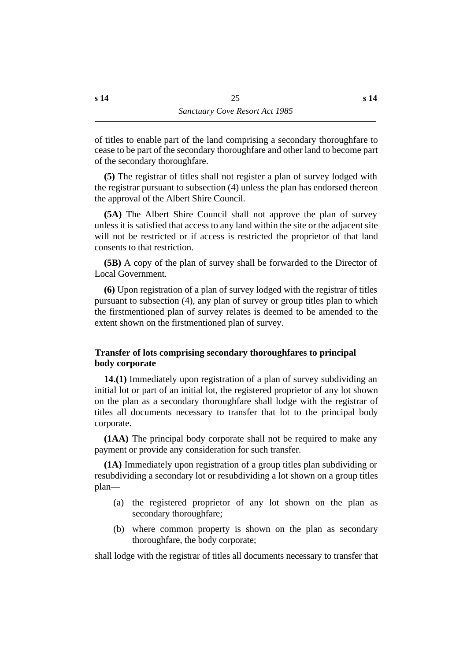of titles to enable part of the land comprising a secondary thoroughfare to cease to be part of the secondary thoroughfare and other land to become part of the secondary thoroughfare.

**(5)** The registrar of titles shall not register a plan of survey lodged with the registrar pursuant to subsection (4) unless the plan has endorsed thereon the approval of the Albert Shire Council.

**(5A)** The Albert Shire Council shall not approve the plan of survey unless it is satisfied that access to any land within the site or the adjacent site will not be restricted or if access is restricted the proprietor of that land consents to that restriction.

**(5B)** A copy of the plan of survey shall be forwarded to the Director of Local Government.

**(6)** Upon registration of a plan of survey lodged with the registrar of titles pursuant to subsection (4), any plan of survey or group titles plan to which the firstmentioned plan of survey relates is deemed to be amended to the extent shown on the firstmentioned plan of survey.

## **˙Transfer of lots comprising secondary thoroughfares to principal body corporate**

**14.(1)** Immediately upon registration of a plan of survey subdividing an initial lot or part of an initial lot, the registered proprietor of any lot shown on the plan as a secondary thoroughfare shall lodge with the registrar of titles all documents necessary to transfer that lot to the principal body corporate.

**(1AA)** The principal body corporate shall not be required to make any payment or provide any consideration for such transfer.

**(1A)** Immediately upon registration of a group titles plan subdividing or resubdividing a secondary lot or resubdividing a lot shown on a group titles plan—

- (a) the registered proprietor of any lot shown on the plan as secondary thoroughfare;
- (b) where common property is shown on the plan as secondary thoroughfare, the body corporate;

shall lodge with the registrar of titles all documents necessary to transfer that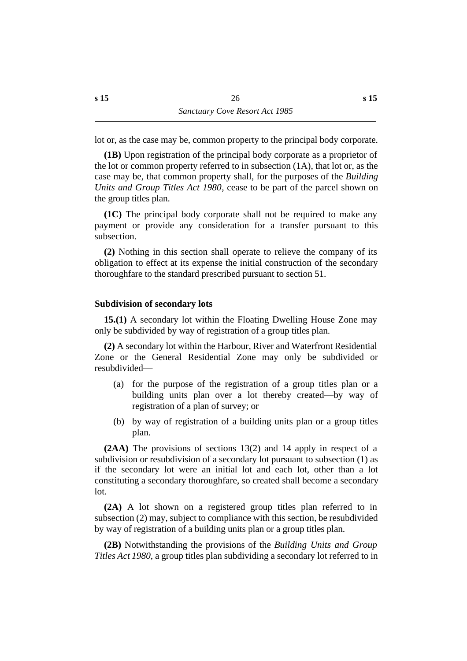lot or, as the case may be, common property to the principal body corporate.

**(1B)** Upon registration of the principal body corporate as a proprietor of the lot or common property referred to in subsection (1A), that lot or, as the case may be, that common property shall, for the purposes of the *Building Units and Group Titles Act 1980*, cease to be part of the parcel shown on the group titles plan.

**(1C)** The principal body corporate shall not be required to make any payment or provide any consideration for a transfer pursuant to this subsection.

**(2)** Nothing in this section shall operate to relieve the company of its obligation to effect at its expense the initial construction of the secondary thoroughfare to the standard prescribed pursuant to section 51.

## **˙Subdivision of secondary lots**

**15.(1)** A secondary lot within the Floating Dwelling House Zone may only be subdivided by way of registration of a group titles plan.

**(2)** A secondary lot within the Harbour, River and Waterfront Residential Zone or the General Residential Zone may only be subdivided or resubdivided—

- (a) for the purpose of the registration of a group titles plan or a building units plan over a lot thereby created—by way of registration of a plan of survey; or
- (b) by way of registration of a building units plan or a group titles plan.

**(2AA)** The provisions of sections 13(2) and 14 apply in respect of a subdivision or resubdivision of a secondary lot pursuant to subsection (1) as if the secondary lot were an initial lot and each lot, other than a lot constituting a secondary thoroughfare, so created shall become a secondary lot.

**(2A)** A lot shown on a registered group titles plan referred to in subsection (2) may, subject to compliance with this section, be resubdivided by way of registration of a building units plan or a group titles plan.

**(2B)** Notwithstanding the provisions of the *Building Units and Group Titles Act 1980*, a group titles plan subdividing a secondary lot referred to in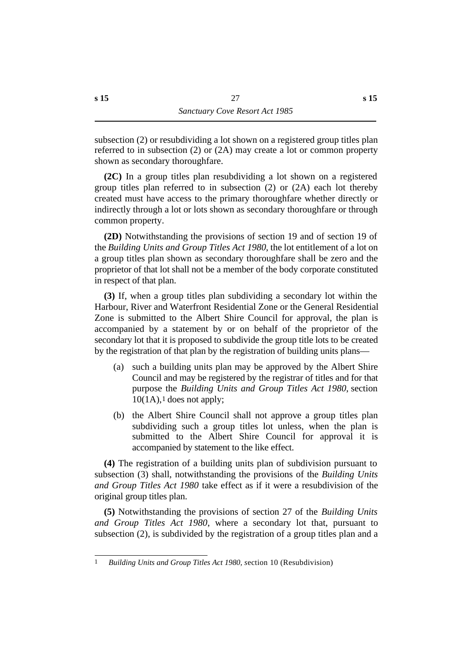subsection (2) or resubdividing a lot shown on a registered group titles plan referred to in subsection (2) or (2A) may create a lot or common property shown as secondary thoroughfare.

**(2C)** In a group titles plan resubdividing a lot shown on a registered group titles plan referred to in subsection (2) or (2A) each lot thereby created must have access to the primary thoroughfare whether directly or indirectly through a lot or lots shown as secondary thoroughfare or through common property.

**(2D)** Notwithstanding the provisions of section 19 and of section 19 of the *Building Units and Group Titles Act 1980*, the lot entitlement of a lot on a group titles plan shown as secondary thoroughfare shall be zero and the proprietor of that lot shall not be a member of the body corporate constituted in respect of that plan.

**(3)** If, when a group titles plan subdividing a secondary lot within the Harbour, River and Waterfront Residential Zone or the General Residential Zone is submitted to the Albert Shire Council for approval, the plan is accompanied by a statement by or on behalf of the proprietor of the secondary lot that it is proposed to subdivide the group title lots to be created by the registration of that plan by the registration of building units plans—

- (a) such a building units plan may be approved by the Albert Shire Council and may be registered by the registrar of titles and for that purpose the *Building Units and Group Titles Act 1980*, section  $10(1A)$ ,  $1$  does not apply;
- (b) the Albert Shire Council shall not approve a group titles plan subdividing such a group titles lot unless, when the plan is submitted to the Albert Shire Council for approval it is accompanied by statement to the like effect.

**(4)** The registration of a building units plan of subdivision pursuant to subsection (3) shall, notwithstanding the provisions of the *Building Units and Group Titles Act 1980* take effect as if it were a resubdivision of the original group titles plan.

**(5)** Notwithstanding the provisions of section 27 of the *Building Units and Group Titles Act 1980*, where a secondary lot that, pursuant to subsection (2), is subdivided by the registration of a group titles plan and a

<sup>1</sup> *Building Units and Group Titles Act 1980, s*ection 10 (Resubdivision)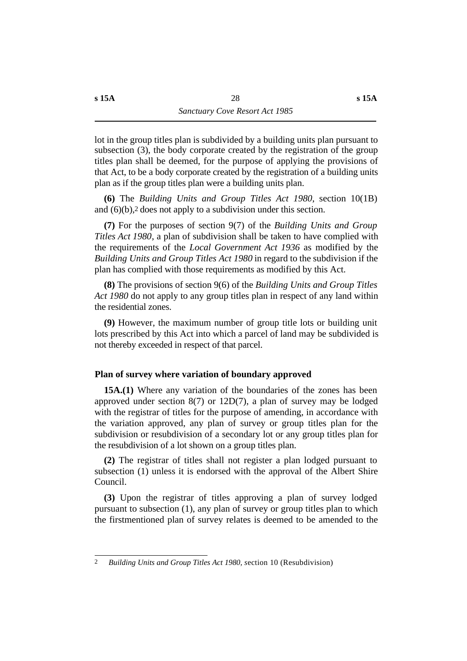lot in the group titles plan is subdivided by a building units plan pursuant to subsection (3), the body corporate created by the registration of the group titles plan shall be deemed, for the purpose of applying the provisions of that Act, to be a body corporate created by the registration of a building units plan as if the group titles plan were a building units plan.

**(6)** The *Building Units and Group Titles Act 1980*, section 10(1B) and (6)(b),2 does not apply to a subdivision under this section.

**(7)** For the purposes of section 9(7) of the *Building Units and Group Titles Act 1980*, a plan of subdivision shall be taken to have complied with the requirements of the *Local Government Act 1936* as modified by the *Building Units and Group Titles Act 1980* in regard to the subdivision if the plan has complied with those requirements as modified by this Act.

**(8)** The provisions of section 9(6) of the *Building Units and Group Titles Act 1980* do not apply to any group titles plan in respect of any land within the residential zones.

**(9)** However, the maximum number of group title lots or building unit lots prescribed by this Act into which a parcel of land may be subdivided is not thereby exceeded in respect of that parcel.

## **˙Plan of survey where variation of boundary approved**

**15A.(1)** Where any variation of the boundaries of the zones has been approved under section 8(7) or 12D(7), a plan of survey may be lodged with the registrar of titles for the purpose of amending, in accordance with the variation approved, any plan of survey or group titles plan for the subdivision or resubdivision of a secondary lot or any group titles plan for the resubdivision of a lot shown on a group titles plan.

**(2)** The registrar of titles shall not register a plan lodged pursuant to subsection (1) unless it is endorsed with the approval of the Albert Shire Council.

**(3)** Upon the registrar of titles approving a plan of survey lodged pursuant to subsection (1), any plan of survey or group titles plan to which the firstmentioned plan of survey relates is deemed to be amended to the

<sup>2</sup> *Building Units and Group Titles Act 1980, s*ection 10 (Resubdivision)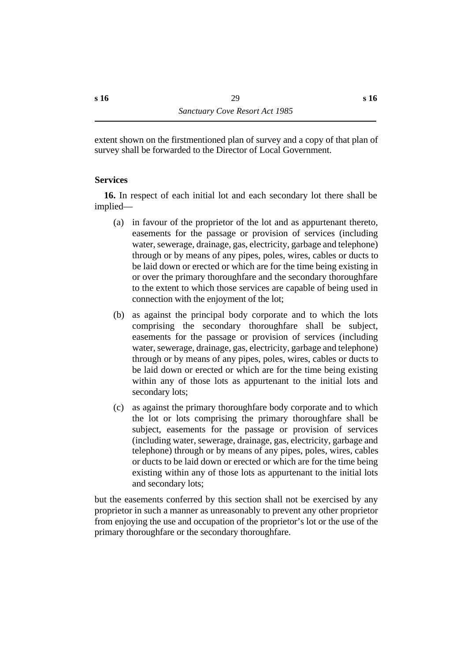extent shown on the firstmentioned plan of survey and a copy of that plan of survey shall be forwarded to the Director of Local Government.

## **˙Services**

**16.** In respect of each initial lot and each secondary lot there shall be implied—

- (a) in favour of the proprietor of the lot and as appurtenant thereto, easements for the passage or provision of services (including water, sewerage, drainage, gas, electricity, garbage and telephone) through or by means of any pipes, poles, wires, cables or ducts to be laid down or erected or which are for the time being existing in or over the primary thoroughfare and the secondary thoroughfare to the extent to which those services are capable of being used in connection with the enjoyment of the lot;
- (b) as against the principal body corporate and to which the lots comprising the secondary thoroughfare shall be subject, easements for the passage or provision of services (including water, sewerage, drainage, gas, electricity, garbage and telephone) through or by means of any pipes, poles, wires, cables or ducts to be laid down or erected or which are for the time being existing within any of those lots as appurtenant to the initial lots and secondary lots;
- (c) as against the primary thoroughfare body corporate and to which the lot or lots comprising the primary thoroughfare shall be subject, easements for the passage or provision of services (including water, sewerage, drainage, gas, electricity, garbage and telephone) through or by means of any pipes, poles, wires, cables or ducts to be laid down or erected or which are for the time being existing within any of those lots as appurtenant to the initial lots and secondary lots;

but the easements conferred by this section shall not be exercised by any proprietor in such a manner as unreasonably to prevent any other proprietor from enjoying the use and occupation of the proprietor's lot or the use of the primary thoroughfare or the secondary thoroughfare.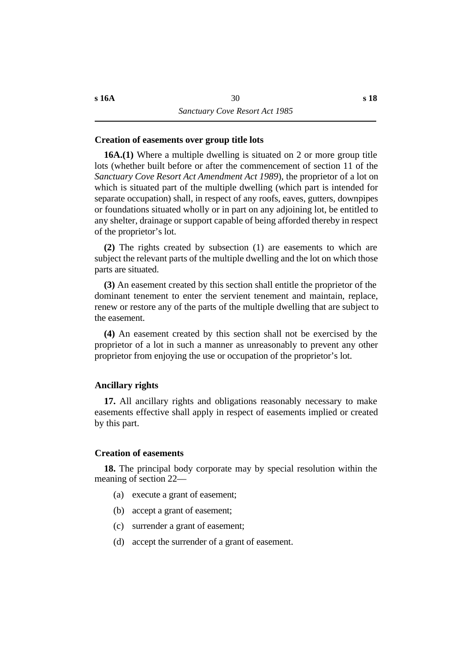#### **˙Creation of easements over group title lots**

**16A.(1)** Where a multiple dwelling is situated on 2 or more group title lots (whether built before or after the commencement of section 11 of the *Sanctuary Cove Resort Act Amendment Act 1989*), the proprietor of a lot on which is situated part of the multiple dwelling (which part is intended for separate occupation) shall, in respect of any roofs, eaves, gutters, downpipes or foundations situated wholly or in part on any adjoining lot, be entitled to any shelter, drainage or support capable of being afforded thereby in respect of the proprietor's lot.

**(2)** The rights created by subsection (1) are easements to which are subject the relevant parts of the multiple dwelling and the lot on which those parts are situated.

**(3)** An easement created by this section shall entitle the proprietor of the dominant tenement to enter the servient tenement and maintain, replace, renew or restore any of the parts of the multiple dwelling that are subject to the easement.

**(4)** An easement created by this section shall not be exercised by the proprietor of a lot in such a manner as unreasonably to prevent any other proprietor from enjoying the use or occupation of the proprietor's lot.

#### **˙Ancillary rights**

**17.** All ancillary rights and obligations reasonably necessary to make easements effective shall apply in respect of easements implied or created by this part.

#### **˙Creation of easements**

**18.** The principal body corporate may by special resolution within the meaning of section 22—

- (a) execute a grant of easement;
- (b) accept a grant of easement;
- (c) surrender a grant of easement;
- (d) accept the surrender of a grant of easement.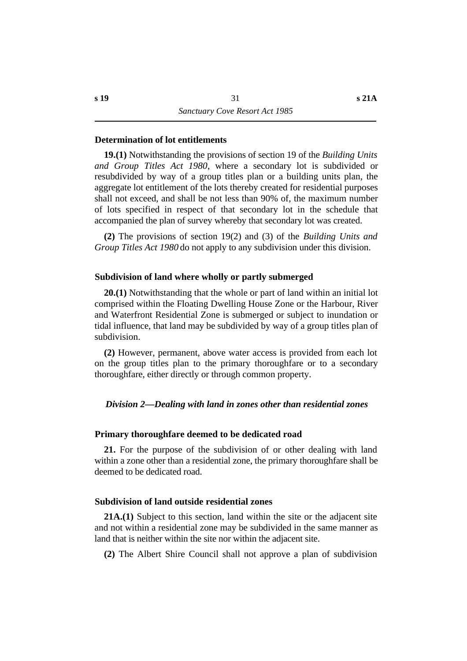#### **˙Determination of lot entitlements**

**19.(1)** Notwithstanding the provisions of section 19 of the *Building Units and Group Titles Act 1980*, where a secondary lot is subdivided or resubdivided by way of a group titles plan or a building units plan, the aggregate lot entitlement of the lots thereby created for residential purposes shall not exceed, and shall be not less than 90% of, the maximum number of lots specified in respect of that secondary lot in the schedule that accompanied the plan of survey whereby that secondary lot was created.

**(2)** The provisions of section 19(2) and (3) of the *Building Units and Group Titles Act 1980* do not apply to any subdivision under this division.

#### **˙Subdivision of land where wholly or partly submerged**

**20.(1)** Notwithstanding that the whole or part of land within an initial lot comprised within the Floating Dwelling House Zone or the Harbour, River and Waterfront Residential Zone is submerged or subject to inundation or tidal influence, that land may be subdivided by way of a group titles plan of subdivision.

**(2)** However, permanent, above water access is provided from each lot on the group titles plan to the primary thoroughfare or to a secondary thoroughfare, either directly or through common property.

#### *†Division 2—Dealing with land in zones other than residential zones*

#### **˙Primary thoroughfare deemed to be dedicated road**

**21.** For the purpose of the subdivision of or other dealing with land within a zone other than a residential zone, the primary thoroughfare shall be deemed to be dedicated road.

#### **˙Subdivision of land outside residential zones**

**21A.(1)** Subject to this section, land within the site or the adjacent site and not within a residential zone may be subdivided in the same manner as land that is neither within the site nor within the adjacent site.

**(2)** The Albert Shire Council shall not approve a plan of subdivision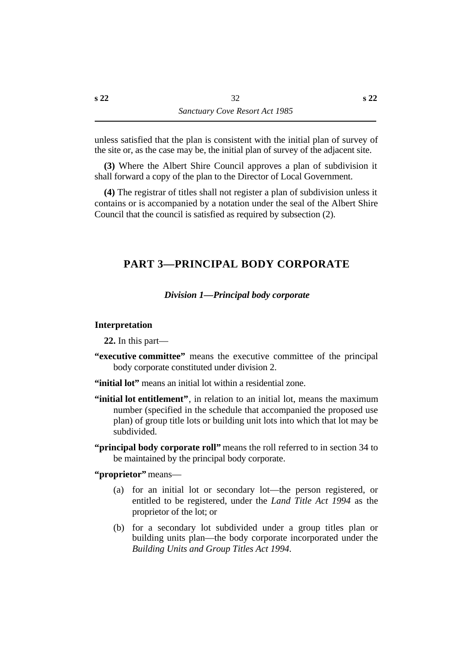unless satisfied that the plan is consistent with the initial plan of survey of the site or, as the case may be, the initial plan of survey of the adjacent site.

**(3)** Where the Albert Shire Council approves a plan of subdivision it shall forward a copy of the plan to the Director of Local Government.

**(4)** The registrar of titles shall not register a plan of subdivision unless it contains or is accompanied by a notation under the seal of the Albert Shire Council that the council is satisfied as required by subsection (2).

## **†PART 3—PRINCIPAL BODY CORPORATE**

#### *†Division 1—Principal body corporate*

#### **˙Interpretation**

**22.** In this part—

**"executive committee"** means the executive committee of the principal body corporate constituted under division 2.

**"initial lot"** means an initial lot within a residential zone.

- **"initial lot entitlement"**, in relation to an initial lot, means the maximum number (specified in the schedule that accompanied the proposed use plan) of group title lots or building unit lots into which that lot may be subdivided.
- **"principal body corporate roll"** means the roll referred to in section 34 to be maintained by the principal body corporate.

**"proprietor"** means—

- (a) for an initial lot or secondary lot—the person registered, or entitled to be registered, under the *Land Title Act 1994* as the proprietor of the lot; or
- (b) for a secondary lot subdivided under a group titles plan or building units plan—the body corporate incorporated under the *Building Units and Group Titles Act 1994*.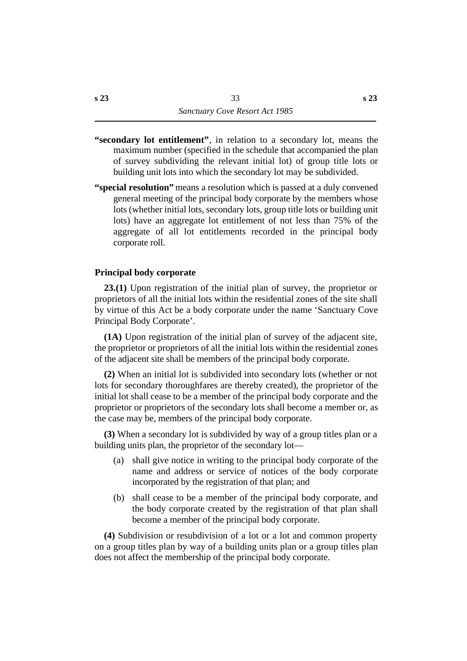- **"secondary lot entitlement"**, in relation to a secondary lot, means the maximum number (specified in the schedule that accompanied the plan of survey subdividing the relevant initial lot) of group title lots or building unit lots into which the secondary lot may be subdivided.
- **"special resolution"** means a resolution which is passed at a duly convened general meeting of the principal body corporate by the members whose lots (whether initial lots, secondary lots, group title lots or building unit lots) have an aggregate lot entitlement of not less than 75% of the aggregate of all lot entitlements recorded in the principal body corporate roll.

#### **˙Principal body corporate**

**23.(1)** Upon registration of the initial plan of survey, the proprietor or proprietors of all the initial lots within the residential zones of the site shall by virtue of this Act be a body corporate under the name 'Sanctuary Cove Principal Body Corporate'.

**(1A)** Upon registration of the initial plan of survey of the adjacent site, the proprietor or proprietors of all the initial lots within the residential zones of the adjacent site shall be members of the principal body corporate.

**(2)** When an initial lot is subdivided into secondary lots (whether or not lots for secondary thoroughfares are thereby created), the proprietor of the initial lot shall cease to be a member of the principal body corporate and the proprietor or proprietors of the secondary lots shall become a member or, as the case may be, members of the principal body corporate.

**(3)** When a secondary lot is subdivided by way of a group titles plan or a building units plan, the proprietor of the secondary lot—

- (a) shall give notice in writing to the principal body corporate of the name and address or service of notices of the body corporate incorporated by the registration of that plan; and
- (b) shall cease to be a member of the principal body corporate, and the body corporate created by the registration of that plan shall become a member of the principal body corporate.

**(4)** Subdivision or resubdivision of a lot or a lot and common property on a group titles plan by way of a building units plan or a group titles plan does not affect the membership of the principal body corporate.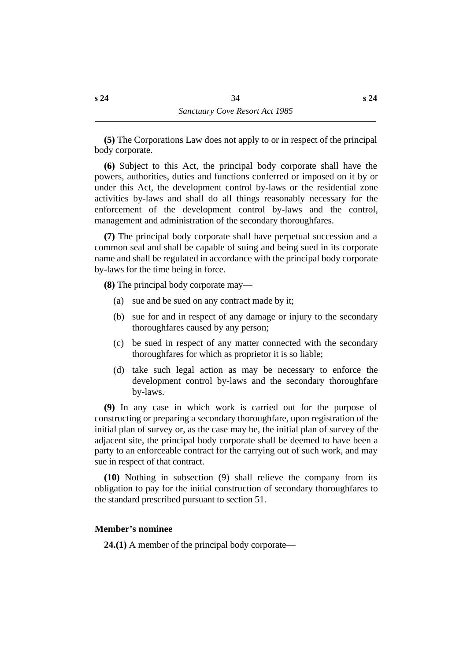**(5)** The Corporations Law does not apply to or in respect of the principal body corporate.

**(6)** Subject to this Act, the principal body corporate shall have the powers, authorities, duties and functions conferred or imposed on it by or under this Act, the development control by-laws or the residential zone activities by-laws and shall do all things reasonably necessary for the enforcement of the development control by-laws and the control, management and administration of the secondary thoroughfares.

**(7)** The principal body corporate shall have perpetual succession and a common seal and shall be capable of suing and being sued in its corporate name and shall be regulated in accordance with the principal body corporate by-laws for the time being in force.

**(8)** The principal body corporate may—

- (a) sue and be sued on any contract made by it;
- (b) sue for and in respect of any damage or injury to the secondary thoroughfares caused by any person;
- (c) be sued in respect of any matter connected with the secondary thoroughfares for which as proprietor it is so liable;
- (d) take such legal action as may be necessary to enforce the development control by-laws and the secondary thoroughfare by-laws.

**(9)** In any case in which work is carried out for the purpose of constructing or preparing a secondary thoroughfare, upon registration of the initial plan of survey or, as the case may be, the initial plan of survey of the adjacent site, the principal body corporate shall be deemed to have been a party to an enforceable contract for the carrying out of such work, and may sue in respect of that contract.

**(10)** Nothing in subsection (9) shall relieve the company from its obligation to pay for the initial construction of secondary thoroughfares to the standard prescribed pursuant to section 51.

## **˙Member's nominee**

**24.(1)** A member of the principal body corporate—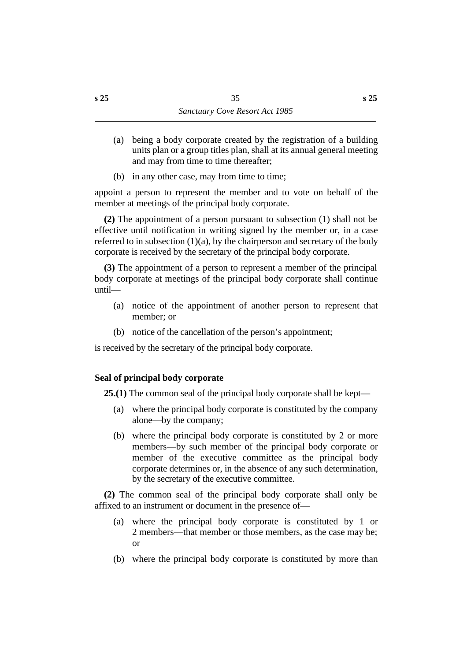- (a) being a body corporate created by the registration of a building units plan or a group titles plan, shall at its annual general meeting and may from time to time thereafter;
- (b) in any other case, may from time to time;

appoint a person to represent the member and to vote on behalf of the member at meetings of the principal body corporate.

**(2)** The appointment of a person pursuant to subsection (1) shall not be effective until notification in writing signed by the member or, in a case referred to in subsection  $(1)(a)$ , by the chairperson and secretary of the body corporate is received by the secretary of the principal body corporate.

**(3)** The appointment of a person to represent a member of the principal body corporate at meetings of the principal body corporate shall continue until—

- (a) notice of the appointment of another person to represent that member; or
- (b) notice of the cancellation of the person's appointment;

is received by the secretary of the principal body corporate.

# **˙Seal of principal body corporate**

**25.(1)** The common seal of the principal body corporate shall be kept—

- (a) where the principal body corporate is constituted by the company alone—by the company;
- (b) where the principal body corporate is constituted by 2 or more members—by such member of the principal body corporate or member of the executive committee as the principal body corporate determines or, in the absence of any such determination, by the secretary of the executive committee.

**(2)** The common seal of the principal body corporate shall only be affixed to an instrument or document in the presence of—

- (a) where the principal body corporate is constituted by 1 or 2 members—that member or those members, as the case may be; or
- (b) where the principal body corporate is constituted by more than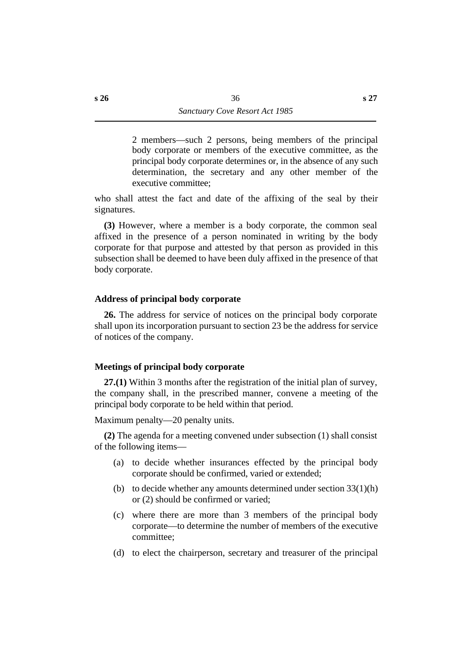2 members—such 2 persons, being members of the principal body corporate or members of the executive committee, as the principal body corporate determines or, in the absence of any such determination, the secretary and any other member of the executive committee;

who shall attest the fact and date of the affixing of the seal by their signatures.

**(3)** However, where a member is a body corporate, the common seal affixed in the presence of a person nominated in writing by the body corporate for that purpose and attested by that person as provided in this subsection shall be deemed to have been duly affixed in the presence of that body corporate.

# **˙Address of principal body corporate**

**26.** The address for service of notices on the principal body corporate shall upon its incorporation pursuant to section 23 be the address for service of notices of the company.

# **˙Meetings of principal body corporate**

**27.(1)** Within 3 months after the registration of the initial plan of survey, the company shall, in the prescribed manner, convene a meeting of the principal body corporate to be held within that period.

Maximum penalty—20 penalty units.

**(2)** The agenda for a meeting convened under subsection (1) shall consist of the following items—

- (a) to decide whether insurances effected by the principal body corporate should be confirmed, varied or extended;
- (b) to decide whether any amounts determined under section  $33(1)(h)$ or (2) should be confirmed or varied;
- (c) where there are more than 3 members of the principal body corporate—to determine the number of members of the executive committee;
- (d) to elect the chairperson, secretary and treasurer of the principal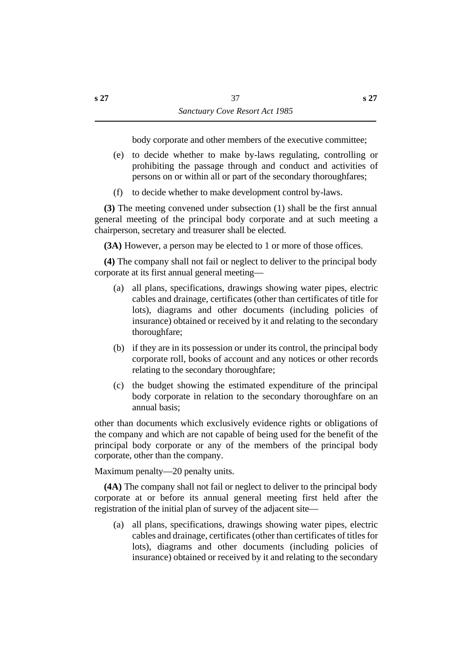body corporate and other members of the executive committee;

- (e) to decide whether to make by-laws regulating, controlling or prohibiting the passage through and conduct and activities of persons on or within all or part of the secondary thoroughfares;
- (f) to decide whether to make development control by-laws.

**(3)** The meeting convened under subsection (1) shall be the first annual general meeting of the principal body corporate and at such meeting a chairperson, secretary and treasurer shall be elected.

**(3A)** However, a person may be elected to 1 or more of those offices.

**(4)** The company shall not fail or neglect to deliver to the principal body corporate at its first annual general meeting—

- (a) all plans, specifications, drawings showing water pipes, electric cables and drainage, certificates (other than certificates of title for lots), diagrams and other documents (including policies of insurance) obtained or received by it and relating to the secondary thoroughfare;
- (b) if they are in its possession or under its control, the principal body corporate roll, books of account and any notices or other records relating to the secondary thoroughfare;
- (c) the budget showing the estimated expenditure of the principal body corporate in relation to the secondary thoroughfare on an annual basis;

other than documents which exclusively evidence rights or obligations of the company and which are not capable of being used for the benefit of the principal body corporate or any of the members of the principal body corporate, other than the company.

Maximum penalty—20 penalty units.

**(4A)** The company shall not fail or neglect to deliver to the principal body corporate at or before its annual general meeting first held after the registration of the initial plan of survey of the adjacent site—

(a) all plans, specifications, drawings showing water pipes, electric cables and drainage, certificates (other than certificates of titles for lots), diagrams and other documents (including policies of insurance) obtained or received by it and relating to the secondary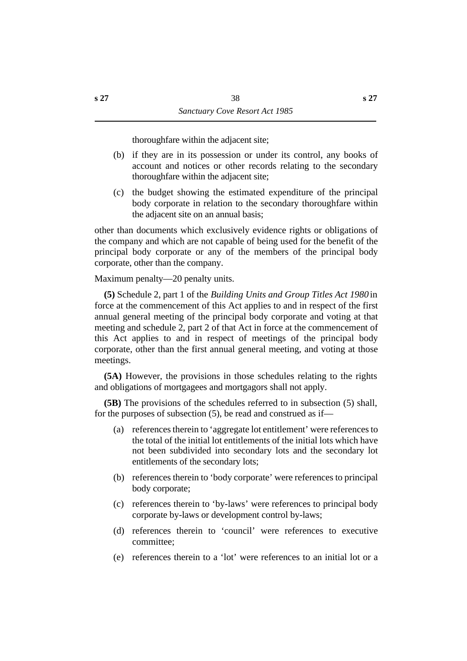thoroughfare within the adjacent site;

- (b) if they are in its possession or under its control, any books of account and notices or other records relating to the secondary thoroughfare within the adjacent site;
- (c) the budget showing the estimated expenditure of the principal body corporate in relation to the secondary thoroughfare within the adjacent site on an annual basis;

other than documents which exclusively evidence rights or obligations of the company and which are not capable of being used for the benefit of the principal body corporate or any of the members of the principal body corporate, other than the company.

Maximum penalty—20 penalty units.

**(5)** Schedule 2, part 1 of the *Building Units and Group Titles Act 1980* in force at the commencement of this Act applies to and in respect of the first annual general meeting of the principal body corporate and voting at that meeting and schedule 2, part 2 of that Act in force at the commencement of this Act applies to and in respect of meetings of the principal body corporate, other than the first annual general meeting, and voting at those meetings.

**(5A)** However, the provisions in those schedules relating to the rights and obligations of mortgagees and mortgagors shall not apply.

**(5B)** The provisions of the schedules referred to in subsection (5) shall, for the purposes of subsection (5), be read and construed as if—

- (a) references therein to 'aggregate lot entitlement' were references to the total of the initial lot entitlements of the initial lots which have not been subdivided into secondary lots and the secondary lot entitlements of the secondary lots;
- (b) references therein to 'body corporate' were references to principal body corporate;
- (c) references therein to 'by-laws' were references to principal body corporate by-laws or development control by-laws;
- (d) references therein to 'council' were references to executive committee;
- (e) references therein to a 'lot' were references to an initial lot or a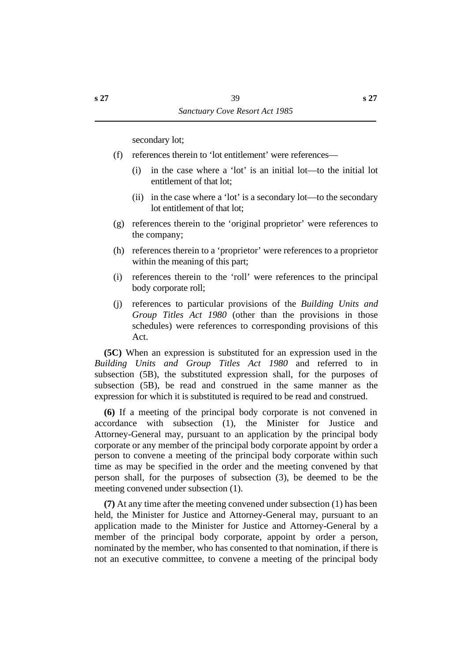secondary lot;

- (f) references therein to 'lot entitlement' were references—
	- (i) in the case where a 'lot' is an initial lot—to the initial lot entitlement of that lot;
	- (ii) in the case where a 'lot' is a secondary lot—to the secondary lot entitlement of that lot;
- (g) references therein to the 'original proprietor' were references to the company;
- (h) references therein to a 'proprietor' were references to a proprietor within the meaning of this part;
- (i) references therein to the 'roll' were references to the principal body corporate roll;
- (j) references to particular provisions of the *Building Units and Group Titles Act 1980* (other than the provisions in those schedules) were references to corresponding provisions of this Act.

**(5C)** When an expression is substituted for an expression used in the *Building Units and Group Titles Act 1980* and referred to in subsection (5B), the substituted expression shall, for the purposes of subsection (5B), be read and construed in the same manner as the expression for which it is substituted is required to be read and construed.

**(6)** If a meeting of the principal body corporate is not convened in accordance with subsection (1), the Minister for Justice and Attorney-General may, pursuant to an application by the principal body corporate or any member of the principal body corporate appoint by order a person to convene a meeting of the principal body corporate within such time as may be specified in the order and the meeting convened by that person shall, for the purposes of subsection (3), be deemed to be the meeting convened under subsection (1).

**(7)** At any time after the meeting convened under subsection (1) has been held, the Minister for Justice and Attorney-General may, pursuant to an application made to the Minister for Justice and Attorney-General by a member of the principal body corporate, appoint by order a person, nominated by the member, who has consented to that nomination, if there is not an executive committee, to convene a meeting of the principal body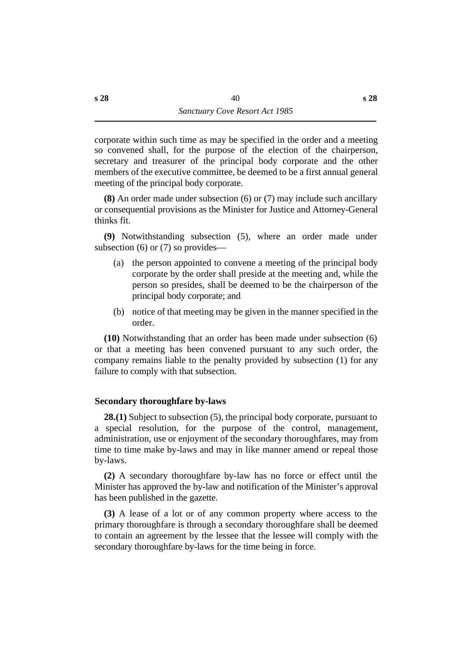corporate within such time as may be specified in the order and a meeting so convened shall, for the purpose of the election of the chairperson, secretary and treasurer of the principal body corporate and the other members of the executive committee, be deemed to be a first annual general meeting of the principal body corporate.

**(8)** An order made under subsection (6) or (7) may include such ancillary or consequential provisions as the Minister for Justice and Attorney-General thinks fit.

**(9)** Notwithstanding subsection (5), where an order made under subsection (6) or (7) so provides—

- (a) the person appointed to convene a meeting of the principal body corporate by the order shall preside at the meeting and, while the person so presides, shall be deemed to be the chairperson of the principal body corporate; and
- (b) notice of that meeting may be given in the manner specified in the order.

**(10)** Notwithstanding that an order has been made under subsection (6) or that a meeting has been convened pursuant to any such order, the company remains liable to the penalty provided by subsection (1) for any failure to comply with that subsection.

# **˙Secondary thoroughfare by-laws**

**28.(1)** Subject to subsection (5), the principal body corporate, pursuant to a special resolution, for the purpose of the control, management, administration, use or enjoyment of the secondary thoroughfares, may from time to time make by-laws and may in like manner amend or repeal those by-laws.

**(2)** A secondary thoroughfare by-law has no force or effect until the Minister has approved the by-law and notification of the Minister's approval has been published in the gazette.

**(3)** A lease of a lot or of any common property where access to the primary thoroughfare is through a secondary thoroughfare shall be deemed to contain an agreement by the lessee that the lessee will comply with the secondary thoroughfare by-laws for the time being in force.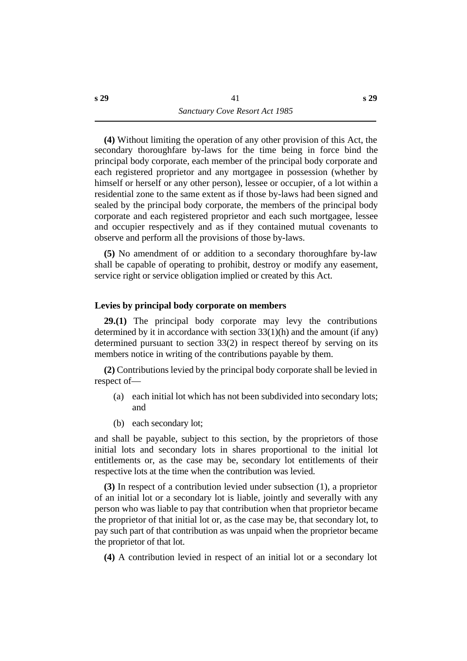**(4)** Without limiting the operation of any other provision of this Act, the secondary thoroughfare by-laws for the time being in force bind the principal body corporate, each member of the principal body corporate and each registered proprietor and any mortgagee in possession (whether by himself or herself or any other person), lessee or occupier, of a lot within a residential zone to the same extent as if those by-laws had been signed and sealed by the principal body corporate, the members of the principal body corporate and each registered proprietor and each such mortgagee, lessee and occupier respectively and as if they contained mutual covenants to observe and perform all the provisions of those by-laws.

**(5)** No amendment of or addition to a secondary thoroughfare by-law shall be capable of operating to prohibit, destroy or modify any easement, service right or service obligation implied or created by this Act.

## **˙Levies by principal body corporate on members**

**29.(1)** The principal body corporate may levy the contributions determined by it in accordance with section 33(1)(h) and the amount (if any) determined pursuant to section 33(2) in respect thereof by serving on its members notice in writing of the contributions payable by them.

**(2)** Contributions levied by the principal body corporate shall be levied in respect of—

- (a) each initial lot which has not been subdivided into secondary lots; and
- (b) each secondary lot;

and shall be payable, subject to this section, by the proprietors of those initial lots and secondary lots in shares proportional to the initial lot entitlements or, as the case may be, secondary lot entitlements of their respective lots at the time when the contribution was levied.

**(3)** In respect of a contribution levied under subsection (1), a proprietor of an initial lot or a secondary lot is liable, jointly and severally with any person who was liable to pay that contribution when that proprietor became the proprietor of that initial lot or, as the case may be, that secondary lot, to pay such part of that contribution as was unpaid when the proprietor became the proprietor of that lot.

**(4)** A contribution levied in respect of an initial lot or a secondary lot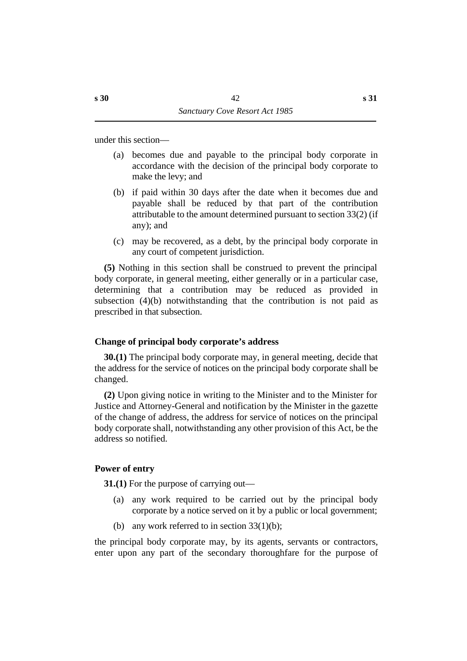under this section—

- (a) becomes due and payable to the principal body corporate in accordance with the decision of the principal body corporate to make the levy; and
- (b) if paid within 30 days after the date when it becomes due and payable shall be reduced by that part of the contribution attributable to the amount determined pursuant to section 33(2) (if any); and
- (c) may be recovered, as a debt, by the principal body corporate in any court of competent jurisdiction.

**(5)** Nothing in this section shall be construed to prevent the principal body corporate, in general meeting, either generally or in a particular case, determining that a contribution may be reduced as provided in subsection (4)(b) notwithstanding that the contribution is not paid as prescribed in that subsection.

# **˙Change of principal body corporate's address**

**30.(1)** The principal body corporate may, in general meeting, decide that the address for the service of notices on the principal body corporate shall be changed.

**(2)** Upon giving notice in writing to the Minister and to the Minister for Justice and Attorney-General and notification by the Minister in the gazette of the change of address, the address for service of notices on the principal body corporate shall, notwithstanding any other provision of this Act, be the address so notified.

# **˙Power of entry**

**31.(1)** For the purpose of carrying out—

- (a) any work required to be carried out by the principal body corporate by a notice served on it by a public or local government;
- (b) any work referred to in section  $33(1)(b)$ ;

the principal body corporate may, by its agents, servants or contractors, enter upon any part of the secondary thoroughfare for the purpose of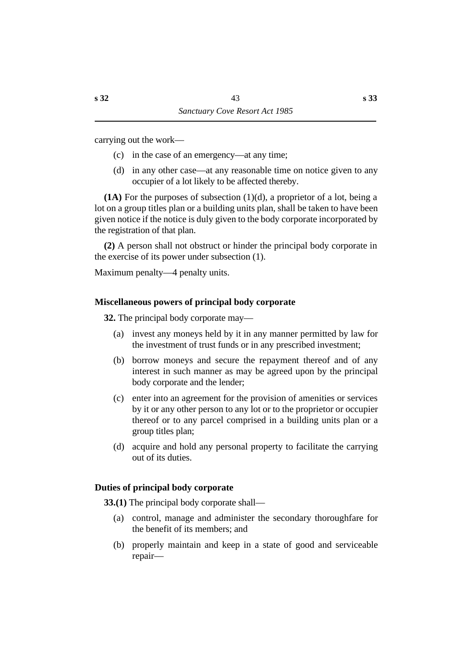carrying out the work—

- (c) in the case of an emergency—at any time;
- (d) in any other case—at any reasonable time on notice given to any occupier of a lot likely to be affected thereby.

**(1A)** For the purposes of subsection (1)(d), a proprietor of a lot, being a lot on a group titles plan or a building units plan, shall be taken to have been given notice if the notice is duly given to the body corporate incorporated by the registration of that plan.

**(2)** A person shall not obstruct or hinder the principal body corporate in the exercise of its power under subsection (1).

Maximum penalty—4 penalty units.

# **˙Miscellaneous powers of principal body corporate**

**32.** The principal body corporate may—

- (a) invest any moneys held by it in any manner permitted by law for the investment of trust funds or in any prescribed investment;
- (b) borrow moneys and secure the repayment thereof and of any interest in such manner as may be agreed upon by the principal body corporate and the lender;
- (c) enter into an agreement for the provision of amenities or services by it or any other person to any lot or to the proprietor or occupier thereof or to any parcel comprised in a building units plan or a group titles plan;
- (d) acquire and hold any personal property to facilitate the carrying out of its duties.

# **˙Duties of principal body corporate**

**33.(1)** The principal body corporate shall—

- (a) control, manage and administer the secondary thoroughfare for the benefit of its members; and
- (b) properly maintain and keep in a state of good and serviceable repair—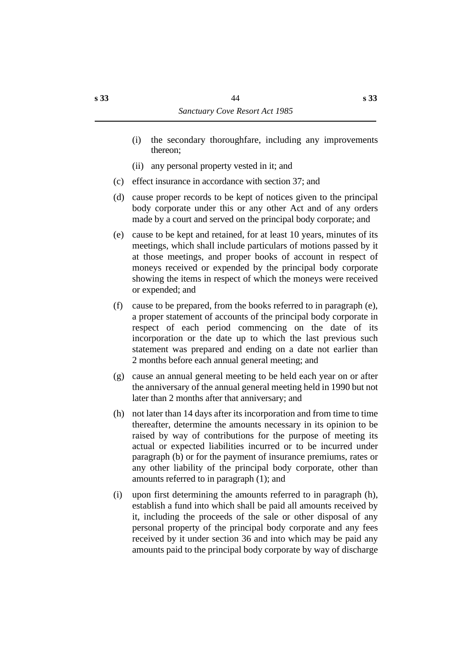- (i) the secondary thoroughfare, including any improvements thereon;
- (ii) any personal property vested in it; and
- (c) effect insurance in accordance with section 37; and
- (d) cause proper records to be kept of notices given to the principal body corporate under this or any other Act and of any orders made by a court and served on the principal body corporate; and
- (e) cause to be kept and retained, for at least 10 years, minutes of its meetings, which shall include particulars of motions passed by it at those meetings, and proper books of account in respect of moneys received or expended by the principal body corporate showing the items in respect of which the moneys were received or expended; and
- (f) cause to be prepared, from the books referred to in paragraph (e), a proper statement of accounts of the principal body corporate in respect of each period commencing on the date of its incorporation or the date up to which the last previous such statement was prepared and ending on a date not earlier than 2 months before each annual general meeting; and
- (g) cause an annual general meeting to be held each year on or after the anniversary of the annual general meeting held in 1990 but not later than 2 months after that anniversary; and
- (h) not later than 14 days after its incorporation and from time to time thereafter, determine the amounts necessary in its opinion to be raised by way of contributions for the purpose of meeting its actual or expected liabilities incurred or to be incurred under paragraph (b) or for the payment of insurance premiums, rates or any other liability of the principal body corporate, other than amounts referred to in paragraph (1); and
- (i) upon first determining the amounts referred to in paragraph (h), establish a fund into which shall be paid all amounts received by it, including the proceeds of the sale or other disposal of any personal property of the principal body corporate and any fees received by it under section 36 and into which may be paid any amounts paid to the principal body corporate by way of discharge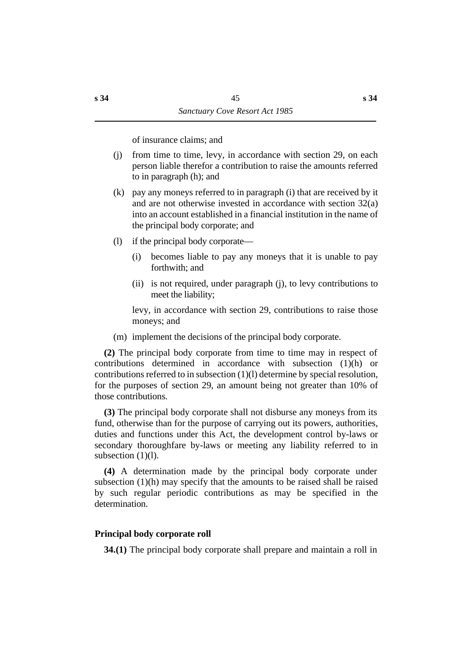of insurance claims; and

- (j) from time to time, levy, in accordance with section 29, on each person liable therefor a contribution to raise the amounts referred to in paragraph (h); and
- (k) pay any moneys referred to in paragraph (i) that are received by it and are not otherwise invested in accordance with section 32(a) into an account established in a financial institution in the name of the principal body corporate; and
- (l) if the principal body corporate—
	- (i) becomes liable to pay any moneys that it is unable to pay forthwith; and
	- (ii) is not required, under paragraph (j), to levy contributions to meet the liability;

levy, in accordance with section 29, contributions to raise those moneys; and

(m) implement the decisions of the principal body corporate.

**(2)** The principal body corporate from time to time may in respect of contributions determined in accordance with subsection (1)(h) or contributions referred to in subsection (1)(l) determine by special resolution, for the purposes of section 29, an amount being not greater than 10% of those contributions.

**(3)** The principal body corporate shall not disburse any moneys from its fund, otherwise than for the purpose of carrying out its powers, authorities, duties and functions under this Act, the development control by-laws or secondary thoroughfare by-laws or meeting any liability referred to in subsection (1)(1).

**(4)** A determination made by the principal body corporate under subsection (1)(h) may specify that the amounts to be raised shall be raised by such regular periodic contributions as may be specified in the determination.

# **˙Principal body corporate roll**

**34.(1)** The principal body corporate shall prepare and maintain a roll in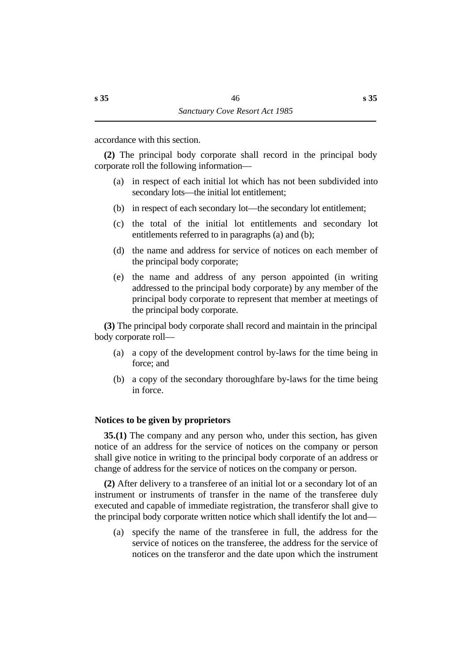accordance with this section.

**(2)** The principal body corporate shall record in the principal body corporate roll the following information—

- (a) in respect of each initial lot which has not been subdivided into secondary lots—the initial lot entitlement;
- (b) in respect of each secondary lot—the secondary lot entitlement;
- (c) the total of the initial lot entitlements and secondary lot entitlements referred to in paragraphs (a) and (b);
- (d) the name and address for service of notices on each member of the principal body corporate;
- (e) the name and address of any person appointed (in writing addressed to the principal body corporate) by any member of the principal body corporate to represent that member at meetings of the principal body corporate.

**(3)** The principal body corporate shall record and maintain in the principal body corporate roll—

- (a) a copy of the development control by-laws for the time being in force; and
- (b) a copy of the secondary thoroughfare by-laws for the time being in force.

# **˙Notices to be given by proprietors**

**35.(1)** The company and any person who, under this section, has given notice of an address for the service of notices on the company or person shall give notice in writing to the principal body corporate of an address or change of address for the service of notices on the company or person.

**(2)** After delivery to a transferee of an initial lot or a secondary lot of an instrument or instruments of transfer in the name of the transferee duly executed and capable of immediate registration, the transferor shall give to the principal body corporate written notice which shall identify the lot and—

(a) specify the name of the transferee in full, the address for the service of notices on the transferee, the address for the service of notices on the transferor and the date upon which the instrument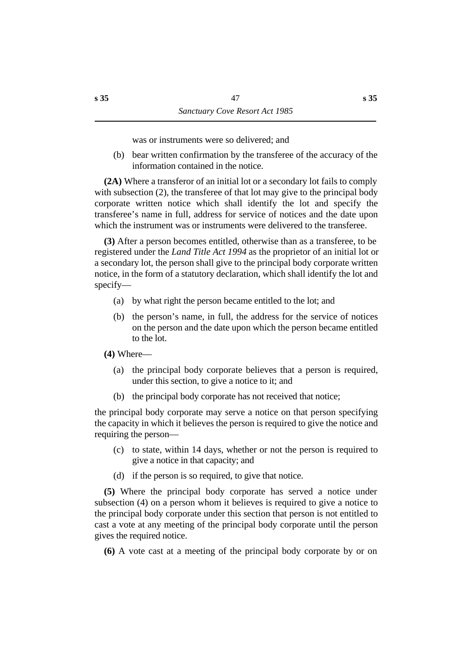was or instruments were so delivered; and

(b) bear written confirmation by the transferee of the accuracy of the information contained in the notice.

**(2A)** Where a transferor of an initial lot or a secondary lot fails to comply with subsection (2), the transferee of that lot may give to the principal body corporate written notice which shall identify the lot and specify the transferee's name in full, address for service of notices and the date upon which the instrument was or instruments were delivered to the transferee.

**(3)** After a person becomes entitled, otherwise than as a transferee, to be registered under the *Land Title Act 1994* as the proprietor of an initial lot or a secondary lot, the person shall give to the principal body corporate written notice, in the form of a statutory declaration, which shall identify the lot and specify—

- (a) by what right the person became entitled to the lot; and
- (b) the person's name, in full, the address for the service of notices on the person and the date upon which the person became entitled to the lot.

**(4)** Where—

- (a) the principal body corporate believes that a person is required, under this section, to give a notice to it; and
- (b) the principal body corporate has not received that notice;

the principal body corporate may serve a notice on that person specifying the capacity in which it believes the person is required to give the notice and requiring the person—

- (c) to state, within 14 days, whether or not the person is required to give a notice in that capacity; and
- (d) if the person is so required, to give that notice.

**(5)** Where the principal body corporate has served a notice under subsection (4) on a person whom it believes is required to give a notice to the principal body corporate under this section that person is not entitled to cast a vote at any meeting of the principal body corporate until the person gives the required notice.

**(6)** A vote cast at a meeting of the principal body corporate by or on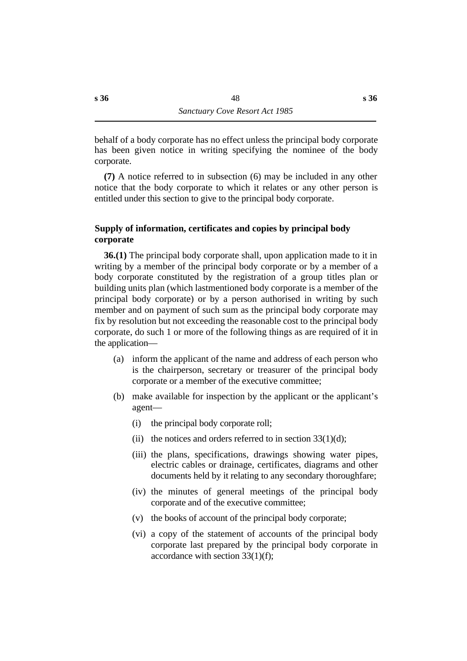behalf of a body corporate has no effect unless the principal body corporate has been given notice in writing specifying the nominee of the body corporate.

**(7)** A notice referred to in subsection (6) may be included in any other notice that the body corporate to which it relates or any other person is entitled under this section to give to the principal body corporate.

# **˙Supply of information, certificates and copies by principal body corporate**

**36.(1)** The principal body corporate shall, upon application made to it in writing by a member of the principal body corporate or by a member of a body corporate constituted by the registration of a group titles plan or building units plan (which lastmentioned body corporate is a member of the principal body corporate) or by a person authorised in writing by such member and on payment of such sum as the principal body corporate may fix by resolution but not exceeding the reasonable cost to the principal body corporate, do such 1 or more of the following things as are required of it in the application—

- (a) inform the applicant of the name and address of each person who is the chairperson, secretary or treasurer of the principal body corporate or a member of the executive committee;
- (b) make available for inspection by the applicant or the applicant's agent—
	- (i) the principal body corporate roll;
	- (ii) the notices and orders referred to in section  $33(1)(d)$ ;
	- (iii) the plans, specifications, drawings showing water pipes, electric cables or drainage, certificates, diagrams and other documents held by it relating to any secondary thoroughfare;
	- (iv) the minutes of general meetings of the principal body corporate and of the executive committee;
	- (v) the books of account of the principal body corporate;
	- (vi) a copy of the statement of accounts of the principal body corporate last prepared by the principal body corporate in accordance with section 33(1)(f);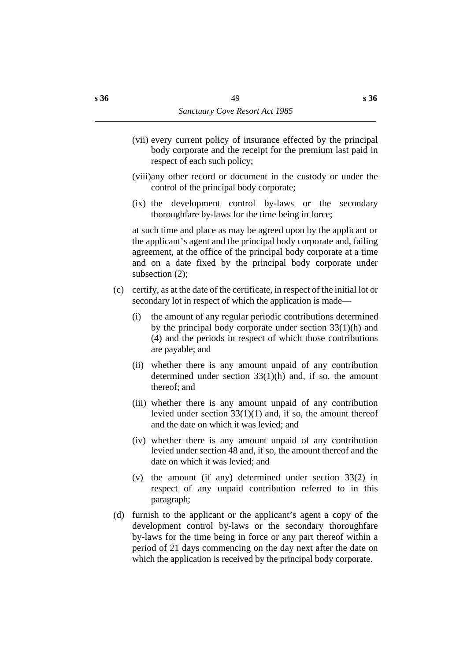- (vii) every current policy of insurance effected by the principal body corporate and the receipt for the premium last paid in respect of each such policy;
- (viii)any other record or document in the custody or under the control of the principal body corporate;
- (ix) the development control by-laws or the secondary thoroughfare by-laws for the time being in force;

at such time and place as may be agreed upon by the applicant or the applicant's agent and the principal body corporate and, failing agreement, at the office of the principal body corporate at a time and on a date fixed by the principal body corporate under subsection (2);

- (c) certify, as at the date of the certificate, in respect of the initial lot or secondary lot in respect of which the application is made—
	- (i) the amount of any regular periodic contributions determined by the principal body corporate under section 33(1)(h) and (4) and the periods in respect of which those contributions are payable; and
	- (ii) whether there is any amount unpaid of any contribution determined under section  $33(1)(h)$  and, if so, the amount thereof; and
	- (iii) whether there is any amount unpaid of any contribution levied under section 33(1)(1) and, if so, the amount thereof and the date on which it was levied; and
	- (iv) whether there is any amount unpaid of any contribution levied under section 48 and, if so, the amount thereof and the date on which it was levied; and
	- (v) the amount (if any) determined under section 33(2) in respect of any unpaid contribution referred to in this paragraph;
- (d) furnish to the applicant or the applicant's agent a copy of the development control by-laws or the secondary thoroughfare by-laws for the time being in force or any part thereof within a period of 21 days commencing on the day next after the date on which the application is received by the principal body corporate.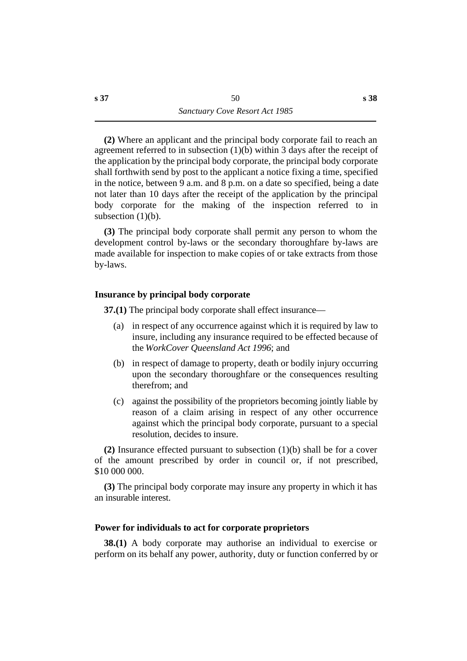**(2)** Where an applicant and the principal body corporate fail to reach an agreement referred to in subsection (1)(b) within 3 days after the receipt of the application by the principal body corporate, the principal body corporate shall forthwith send by post to the applicant a notice fixing a time, specified in the notice, between 9 a.m. and 8 p.m. on a date so specified, being a date not later than 10 days after the receipt of the application by the principal body corporate for the making of the inspection referred to in subsection  $(1)(b)$ .

**(3)** The principal body corporate shall permit any person to whom the development control by-laws or the secondary thoroughfare by-laws are made available for inspection to make copies of or take extracts from those by-laws.

# **˙Insurance by principal body corporate**

**37.(1)** The principal body corporate shall effect insurance—

- (a) in respect of any occurrence against which it is required by law to insure, including any insurance required to be effected because of the *WorkCover Queensland Act 1996*; and
- (b) in respect of damage to property, death or bodily injury occurring upon the secondary thoroughfare or the consequences resulting therefrom; and
- (c) against the possibility of the proprietors becoming jointly liable by reason of a claim arising in respect of any other occurrence against which the principal body corporate, pursuant to a special resolution, decides to insure.

**(2)** Insurance effected pursuant to subsection (1)(b) shall be for a cover of the amount prescribed by order in council or, if not prescribed, \$10 000 000.

**(3)** The principal body corporate may insure any property in which it has an insurable interest.

# **˙Power for individuals to act for corporate proprietors**

**38.(1)** A body corporate may authorise an individual to exercise or perform on its behalf any power, authority, duty or function conferred by or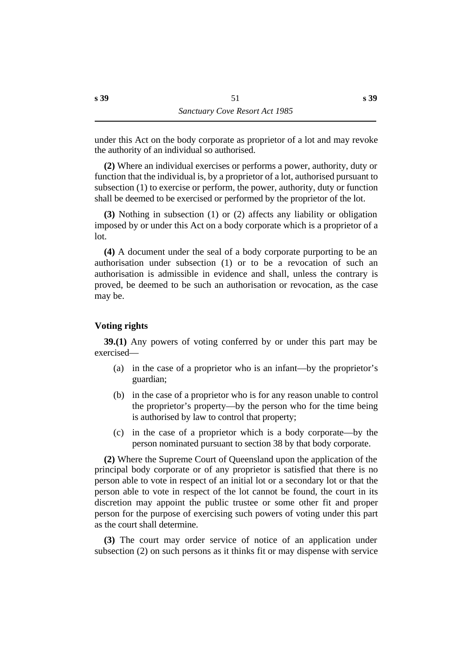under this Act on the body corporate as proprietor of a lot and may revoke the authority of an individual so authorised.

**(2)** Where an individual exercises or performs a power, authority, duty or function that the individual is, by a proprietor of a lot, authorised pursuant to subsection (1) to exercise or perform, the power, authority, duty or function shall be deemed to be exercised or performed by the proprietor of the lot.

**(3)** Nothing in subsection (1) or (2) affects any liability or obligation imposed by or under this Act on a body corporate which is a proprietor of a lot.

**(4)** A document under the seal of a body corporate purporting to be an authorisation under subsection (1) or to be a revocation of such an authorisation is admissible in evidence and shall, unless the contrary is proved, be deemed to be such an authorisation or revocation, as the case may be.

# **˙Voting rights**

**39.(1)** Any powers of voting conferred by or under this part may be exercised—

- (a) in the case of a proprietor who is an infant—by the proprietor's guardian;
- (b) in the case of a proprietor who is for any reason unable to control the proprietor's property—by the person who for the time being is authorised by law to control that property;
- (c) in the case of a proprietor which is a body corporate—by the person nominated pursuant to section 38 by that body corporate.

**(2)** Where the Supreme Court of Queensland upon the application of the principal body corporate or of any proprietor is satisfied that there is no person able to vote in respect of an initial lot or a secondary lot or that the person able to vote in respect of the lot cannot be found, the court in its discretion may appoint the public trustee or some other fit and proper person for the purpose of exercising such powers of voting under this part as the court shall determine.

**(3)** The court may order service of notice of an application under subsection (2) on such persons as it thinks fit or may dispense with service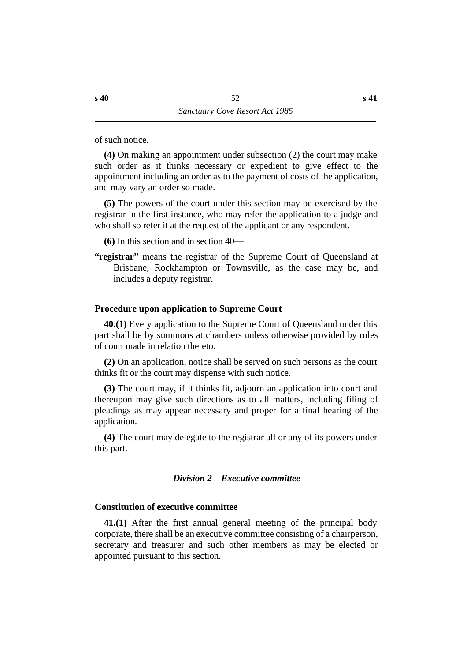of such notice.

**(4)** On making an appointment under subsection (2) the court may make such order as it thinks necessary or expedient to give effect to the appointment including an order as to the payment of costs of the application, and may vary an order so made.

**(5)** The powers of the court under this section may be exercised by the registrar in the first instance, who may refer the application to a judge and who shall so refer it at the request of the applicant or any respondent.

**(6)** In this section and in section 40—

"registrar" means the registrar of the Supreme Court of Queensland at Brisbane, Rockhampton or Townsville, as the case may be, and includes a deputy registrar.

### **˙Procedure upon application to Supreme Court**

**40.(1)** Every application to the Supreme Court of Queensland under this part shall be by summons at chambers unless otherwise provided by rules of court made in relation thereto.

**(2)** On an application, notice shall be served on such persons as the court thinks fit or the court may dispense with such notice.

**(3)** The court may, if it thinks fit, adjourn an application into court and thereupon may give such directions as to all matters, including filing of pleadings as may appear necessary and proper for a final hearing of the application.

**(4)** The court may delegate to the registrar all or any of its powers under this part.

#### *†Division 2—Executive committee*

#### **˙Constitution of executive committee**

**41.(1)** After the first annual general meeting of the principal body corporate, there shall be an executive committee consisting of a chairperson, secretary and treasurer and such other members as may be elected or appointed pursuant to this section.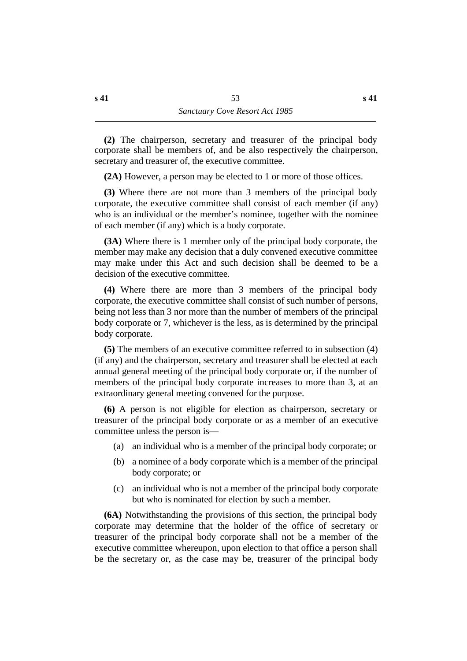**(2)** The chairperson, secretary and treasurer of the principal body corporate shall be members of, and be also respectively the chairperson, secretary and treasurer of, the executive committee.

**(2A)** However, a person may be elected to 1 or more of those offices.

**(3)** Where there are not more than 3 members of the principal body corporate, the executive committee shall consist of each member (if any) who is an individual or the member's nominee, together with the nominee of each member (if any) which is a body corporate.

**(3A)** Where there is 1 member only of the principal body corporate, the member may make any decision that a duly convened executive committee may make under this Act and such decision shall be deemed to be a decision of the executive committee.

**(4)** Where there are more than 3 members of the principal body corporate, the executive committee shall consist of such number of persons, being not less than 3 nor more than the number of members of the principal body corporate or 7, whichever is the less, as is determined by the principal body corporate.

**(5)** The members of an executive committee referred to in subsection (4) (if any) and the chairperson, secretary and treasurer shall be elected at each annual general meeting of the principal body corporate or, if the number of members of the principal body corporate increases to more than 3, at an extraordinary general meeting convened for the purpose.

**(6)** A person is not eligible for election as chairperson, secretary or treasurer of the principal body corporate or as a member of an executive committee unless the person is—

- (a) an individual who is a member of the principal body corporate; or
- (b) a nominee of a body corporate which is a member of the principal body corporate; or
- (c) an individual who is not a member of the principal body corporate but who is nominated for election by such a member.

**(6A)** Notwithstanding the provisions of this section, the principal body corporate may determine that the holder of the office of secretary or treasurer of the principal body corporate shall not be a member of the executive committee whereupon, upon election to that office a person shall be the secretary or, as the case may be, treasurer of the principal body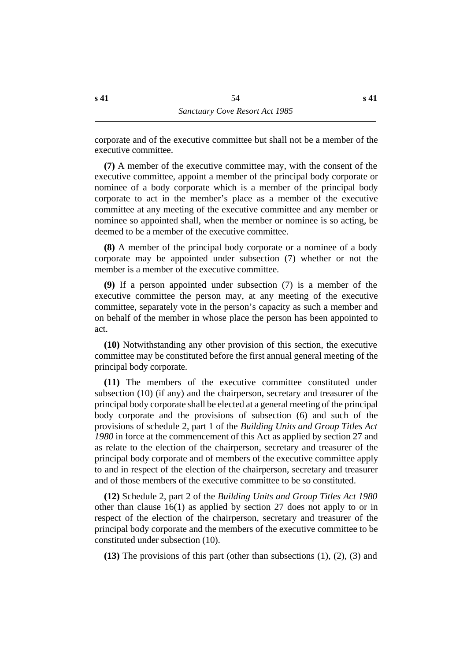corporate and of the executive committee but shall not be a member of the executive committee.

**(7)** A member of the executive committee may, with the consent of the executive committee, appoint a member of the principal body corporate or nominee of a body corporate which is a member of the principal body corporate to act in the member's place as a member of the executive committee at any meeting of the executive committee and any member or nominee so appointed shall, when the member or nominee is so acting, be deemed to be a member of the executive committee.

**(8)** A member of the principal body corporate or a nominee of a body corporate may be appointed under subsection (7) whether or not the member is a member of the executive committee.

**(9)** If a person appointed under subsection (7) is a member of the executive committee the person may, at any meeting of the executive committee, separately vote in the person's capacity as such a member and on behalf of the member in whose place the person has been appointed to act.

**(10)** Notwithstanding any other provision of this section, the executive committee may be constituted before the first annual general meeting of the principal body corporate.

**(11)** The members of the executive committee constituted under subsection (10) (if any) and the chairperson, secretary and treasurer of the principal body corporate shall be elected at a general meeting of the principal body corporate and the provisions of subsection (6) and such of the provisions of schedule 2, part 1 of the *Building Units and Group Titles Act 1980* in force at the commencement of this Act as applied by section 27 and as relate to the election of the chairperson, secretary and treasurer of the principal body corporate and of members of the executive committee apply to and in respect of the election of the chairperson, secretary and treasurer and of those members of the executive committee to be so constituted.

**(12)** Schedule 2, part 2 of the *Building Units and Group Titles Act 1980* other than clause 16(1) as applied by section 27 does not apply to or in respect of the election of the chairperson, secretary and treasurer of the principal body corporate and the members of the executive committee to be constituted under subsection (10).

**(13)** The provisions of this part (other than subsections (1), (2), (3) and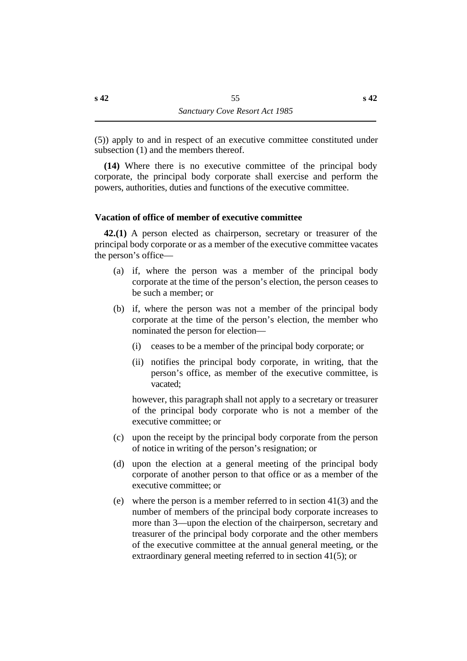(5)) apply to and in respect of an executive committee constituted under subsection (1) and the members thereof.

**(14)** Where there is no executive committee of the principal body corporate, the principal body corporate shall exercise and perform the powers, authorities, duties and functions of the executive committee.

## **˙Vacation of office of member of executive committee**

**42.(1)** A person elected as chairperson, secretary or treasurer of the principal body corporate or as a member of the executive committee vacates the person's office—

- (a) if, where the person was a member of the principal body corporate at the time of the person's election, the person ceases to be such a member; or
- (b) if, where the person was not a member of the principal body corporate at the time of the person's election, the member who nominated the person for election—
	- (i) ceases to be a member of the principal body corporate; or
	- (ii) notifies the principal body corporate, in writing, that the person's office, as member of the executive committee, is vacated;

however, this paragraph shall not apply to a secretary or treasurer of the principal body corporate who is not a member of the executive committee; or

- (c) upon the receipt by the principal body corporate from the person of notice in writing of the person's resignation; or
- (d) upon the election at a general meeting of the principal body corporate of another person to that office or as a member of the executive committee; or
- (e) where the person is a member referred to in section 41(3) and the number of members of the principal body corporate increases to more than 3—upon the election of the chairperson, secretary and treasurer of the principal body corporate and the other members of the executive committee at the annual general meeting, or the extraordinary general meeting referred to in section 41(5); or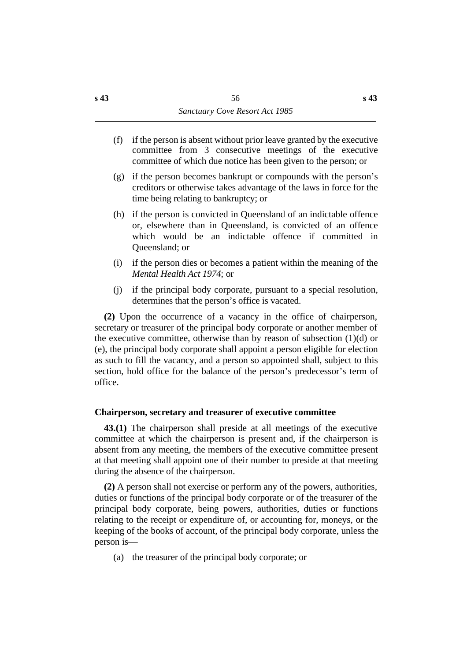- (f) if the person is absent without prior leave granted by the executive committee from 3 consecutive meetings of the executive committee of which due notice has been given to the person; or
- (g) if the person becomes bankrupt or compounds with the person's creditors or otherwise takes advantage of the laws in force for the time being relating to bankruptcy; or
- (h) if the person is convicted in Queensland of an indictable offence or, elsewhere than in Queensland, is convicted of an offence which would be an indictable offence if committed in Queensland; or
- (i) if the person dies or becomes a patient within the meaning of the *Mental Health Act 1974*; or
- (j) if the principal body corporate, pursuant to a special resolution, determines that the person's office is vacated.

**(2)** Upon the occurrence of a vacancy in the office of chairperson, secretary or treasurer of the principal body corporate or another member of the executive committee, otherwise than by reason of subsection  $(1)(d)$  or (e), the principal body corporate shall appoint a person eligible for election as such to fill the vacancy, and a person so appointed shall, subject to this section, hold office for the balance of the person's predecessor's term of office.

### **˙Chairperson, secretary and treasurer of executive committee**

**43.(1)** The chairperson shall preside at all meetings of the executive committee at which the chairperson is present and, if the chairperson is absent from any meeting, the members of the executive committee present at that meeting shall appoint one of their number to preside at that meeting during the absence of the chairperson.

**(2)** A person shall not exercise or perform any of the powers, authorities, duties or functions of the principal body corporate or of the treasurer of the principal body corporate, being powers, authorities, duties or functions relating to the receipt or expenditure of, or accounting for, moneys, or the keeping of the books of account, of the principal body corporate, unless the person is—

(a) the treasurer of the principal body corporate; or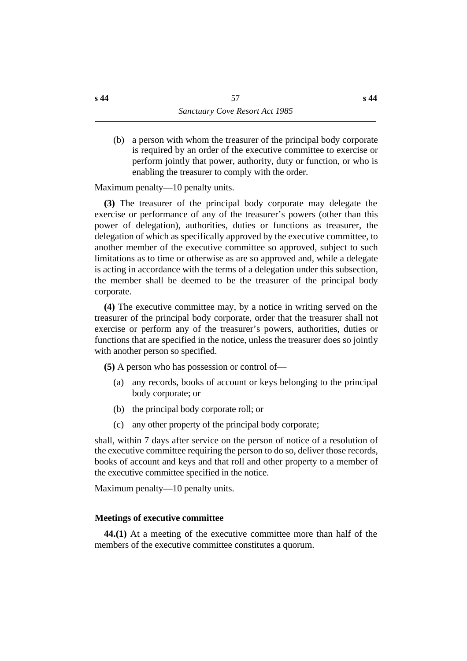(b) a person with whom the treasurer of the principal body corporate is required by an order of the executive committee to exercise or perform jointly that power, authority, duty or function, or who is enabling the treasurer to comply with the order.

Maximum penalty—10 penalty units.

**(3)** The treasurer of the principal body corporate may delegate the exercise or performance of any of the treasurer's powers (other than this power of delegation), authorities, duties or functions as treasurer, the delegation of which as specifically approved by the executive committee, to another member of the executive committee so approved, subject to such limitations as to time or otherwise as are so approved and, while a delegate is acting in accordance with the terms of a delegation under this subsection, the member shall be deemed to be the treasurer of the principal body corporate.

**(4)** The executive committee may, by a notice in writing served on the treasurer of the principal body corporate, order that the treasurer shall not exercise or perform any of the treasurer's powers, authorities, duties or functions that are specified in the notice, unless the treasurer does so jointly with another person so specified.

**(5)** A person who has possession or control of—

- (a) any records, books of account or keys belonging to the principal body corporate; or
- (b) the principal body corporate roll; or
- (c) any other property of the principal body corporate;

shall, within 7 days after service on the person of notice of a resolution of the executive committee requiring the person to do so, deliver those records, books of account and keys and that roll and other property to a member of the executive committee specified in the notice.

Maximum penalty—10 penalty units.

# **˙Meetings of executive committee**

**44.(1)** At a meeting of the executive committee more than half of the members of the executive committee constitutes a quorum.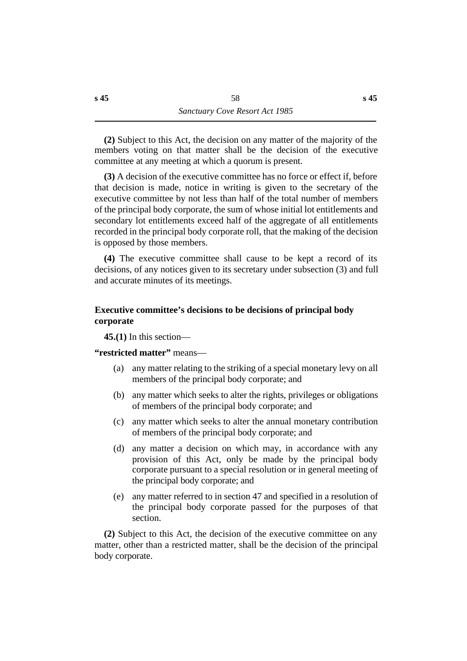**(2)** Subject to this Act, the decision on any matter of the majority of the members voting on that matter shall be the decision of the executive committee at any meeting at which a quorum is present.

**(3)** A decision of the executive committee has no force or effect if, before that decision is made, notice in writing is given to the secretary of the executive committee by not less than half of the total number of members of the principal body corporate, the sum of whose initial lot entitlements and secondary lot entitlements exceed half of the aggregate of all entitlements recorded in the principal body corporate roll, that the making of the decision is opposed by those members.

**(4)** The executive committee shall cause to be kept a record of its decisions, of any notices given to its secretary under subsection (3) and full and accurate minutes of its meetings.

# **˙Executive committee's decisions to be decisions of principal body corporate**

**45.(1)** In this section—

# **"restricted matter"** means—

- (a) any matter relating to the striking of a special monetary levy on all members of the principal body corporate; and
- (b) any matter which seeks to alter the rights, privileges or obligations of members of the principal body corporate; and
- (c) any matter which seeks to alter the annual monetary contribution of members of the principal body corporate; and
- (d) any matter a decision on which may, in accordance with any provision of this Act, only be made by the principal body corporate pursuant to a special resolution or in general meeting of the principal body corporate; and
- (e) any matter referred to in section 47 and specified in a resolution of the principal body corporate passed for the purposes of that section.

**(2)** Subject to this Act, the decision of the executive committee on any matter, other than a restricted matter, shall be the decision of the principal body corporate.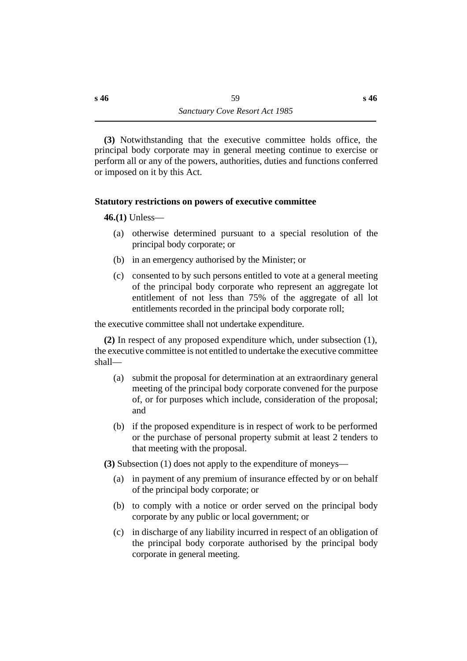**(3)** Notwithstanding that the executive committee holds office, the principal body corporate may in general meeting continue to exercise or perform all or any of the powers, authorities, duties and functions conferred or imposed on it by this Act.

# **˙Statutory restrictions on powers of executive committee**

**46.(1)** Unless—

- (a) otherwise determined pursuant to a special resolution of the principal body corporate; or
- (b) in an emergency authorised by the Minister; or
- (c) consented to by such persons entitled to vote at a general meeting of the principal body corporate who represent an aggregate lot entitlement of not less than 75% of the aggregate of all lot entitlements recorded in the principal body corporate roll;

the executive committee shall not undertake expenditure.

**(2)** In respect of any proposed expenditure which, under subsection (1), the executive committee is not entitled to undertake the executive committee shall—

- (a) submit the proposal for determination at an extraordinary general meeting of the principal body corporate convened for the purpose of, or for purposes which include, consideration of the proposal; and
- (b) if the proposed expenditure is in respect of work to be performed or the purchase of personal property submit at least 2 tenders to that meeting with the proposal.

**(3)** Subsection (1) does not apply to the expenditure of moneys—

- (a) in payment of any premium of insurance effected by or on behalf of the principal body corporate; or
- (b) to comply with a notice or order served on the principal body corporate by any public or local government; or
- (c) in discharge of any liability incurred in respect of an obligation of the principal body corporate authorised by the principal body corporate in general meeting.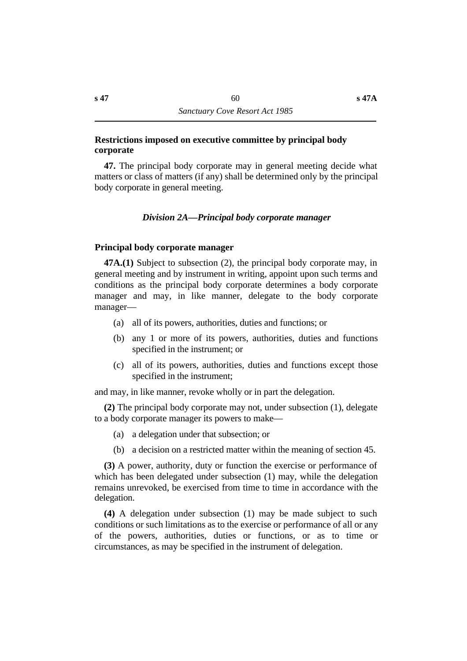### **˙Restrictions imposed on executive committee by principal body corporate**

**47.** The principal body corporate may in general meeting decide what matters or class of matters (if any) shall be determined only by the principal body corporate in general meeting.

## *†Division 2A—Principal body corporate manager*

## **˙Principal body corporate manager**

**47A.(1)** Subject to subsection (2), the principal body corporate may, in general meeting and by instrument in writing, appoint upon such terms and conditions as the principal body corporate determines a body corporate manager and may, in like manner, delegate to the body corporate manager—

- (a) all of its powers, authorities, duties and functions; or
- (b) any 1 or more of its powers, authorities, duties and functions specified in the instrument; or
- (c) all of its powers, authorities, duties and functions except those specified in the instrument;

and may, in like manner, revoke wholly or in part the delegation.

**(2)** The principal body corporate may not, under subsection (1), delegate to a body corporate manager its powers to make—

- (a) a delegation under that subsection; or
- (b) a decision on a restricted matter within the meaning of section 45.

**(3)** A power, authority, duty or function the exercise or performance of which has been delegated under subsection (1) may, while the delegation remains unrevoked, be exercised from time to time in accordance with the delegation.

**(4)** A delegation under subsection (1) may be made subject to such conditions or such limitations as to the exercise or performance of all or any of the powers, authorities, duties or functions, or as to time or circumstances, as may be specified in the instrument of delegation.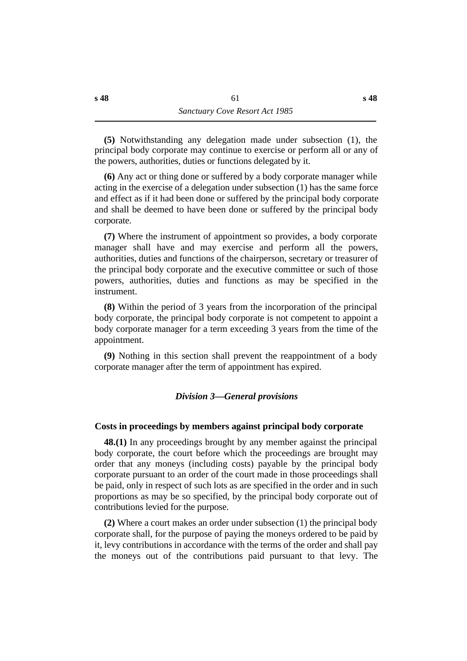**(5)** Notwithstanding any delegation made under subsection (1), the principal body corporate may continue to exercise or perform all or any of the powers, authorities, duties or functions delegated by it.

**(6)** Any act or thing done or suffered by a body corporate manager while acting in the exercise of a delegation under subsection (1) has the same force and effect as if it had been done or suffered by the principal body corporate and shall be deemed to have been done or suffered by the principal body corporate.

**(7)** Where the instrument of appointment so provides, a body corporate manager shall have and may exercise and perform all the powers, authorities, duties and functions of the chairperson, secretary or treasurer of the principal body corporate and the executive committee or such of those powers, authorities, duties and functions as may be specified in the instrument.

**(8)** Within the period of 3 years from the incorporation of the principal body corporate, the principal body corporate is not competent to appoint a body corporate manager for a term exceeding 3 years from the time of the appointment.

**(9)** Nothing in this section shall prevent the reappointment of a body corporate manager after the term of appointment has expired.

### *†Division 3—General provisions*

#### **˙Costs in proceedings by members against principal body corporate**

**48.(1)** In any proceedings brought by any member against the principal body corporate, the court before which the proceedings are brought may order that any moneys (including costs) payable by the principal body corporate pursuant to an order of the court made in those proceedings shall be paid, only in respect of such lots as are specified in the order and in such proportions as may be so specified, by the principal body corporate out of contributions levied for the purpose.

**(2)** Where a court makes an order under subsection (1) the principal body corporate shall, for the purpose of paying the moneys ordered to be paid by it, levy contributions in accordance with the terms of the order and shall pay the moneys out of the contributions paid pursuant to that levy. The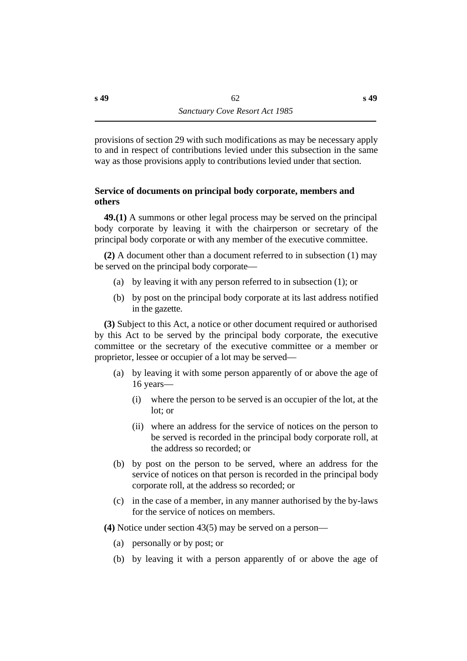provisions of section 29 with such modifications as may be necessary apply to and in respect of contributions levied under this subsection in the same way as those provisions apply to contributions levied under that section.

# **˙Service of documents on principal body corporate, members and others**

**49.(1)** A summons or other legal process may be served on the principal body corporate by leaving it with the chairperson or secretary of the principal body corporate or with any member of the executive committee.

**(2)** A document other than a document referred to in subsection (1) may be served on the principal body corporate—

- (a) by leaving it with any person referred to in subsection (1); or
- (b) by post on the principal body corporate at its last address notified in the gazette.

**(3)** Subject to this Act, a notice or other document required or authorised by this Act to be served by the principal body corporate, the executive committee or the secretary of the executive committee or a member or proprietor, lessee or occupier of a lot may be served—

- (a) by leaving it with some person apparently of or above the age of 16 years—
	- (i) where the person to be served is an occupier of the lot, at the lot; or
	- (ii) where an address for the service of notices on the person to be served is recorded in the principal body corporate roll, at the address so recorded; or
- (b) by post on the person to be served, where an address for the service of notices on that person is recorded in the principal body corporate roll, at the address so recorded; or
- (c) in the case of a member, in any manner authorised by the by-laws for the service of notices on members.

**(4)** Notice under section 43(5) may be served on a person—

- (a) personally or by post; or
- (b) by leaving it with a person apparently of or above the age of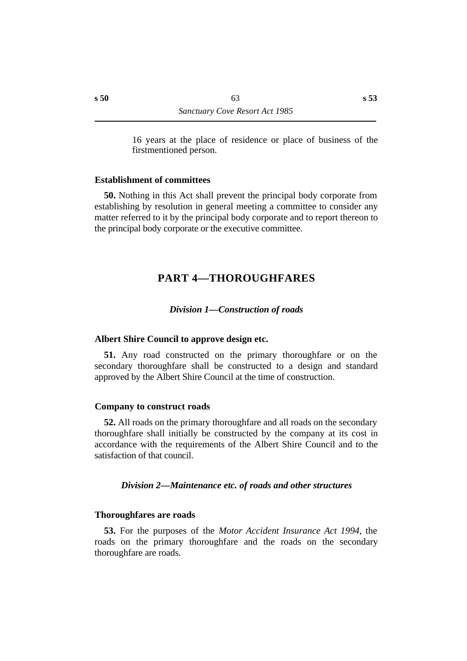16 years at the place of residence or place of business of the firstmentioned person.

#### **˙Establishment of committees**

**50.** Nothing in this Act shall prevent the principal body corporate from establishing by resolution in general meeting a committee to consider any matter referred to it by the principal body corporate and to report thereon to the principal body corporate or the executive committee.

# **†PART 4—THOROUGHFARES**

#### *†Division 1—Construction of roads*

#### **˙Albert Shire Council to approve design etc.**

**51.** Any road constructed on the primary thoroughfare or on the secondary thoroughfare shall be constructed to a design and standard approved by the Albert Shire Council at the time of construction.

#### **˙Company to construct roads**

**52.** All roads on the primary thoroughfare and all roads on the secondary thoroughfare shall initially be constructed by the company at its cost in accordance with the requirements of the Albert Shire Council and to the satisfaction of that council.

#### *†Division 2—Maintenance etc. of roads and other structures*

#### **˙Thoroughfares are roads**

**53.** For the purposes of the *Motor Accident Insurance Act 1994*, the roads on the primary thoroughfare and the roads on the secondary thoroughfare are roads.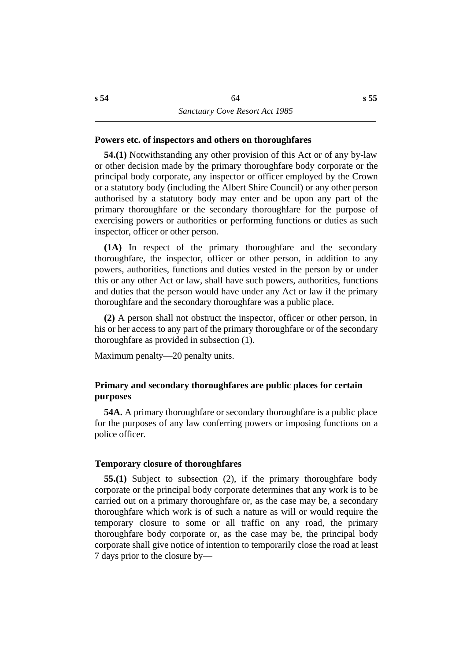### **˙Powers etc. of inspectors and others on thoroughfares**

**54.(1)** Notwithstanding any other provision of this Act or of any by-law or other decision made by the primary thoroughfare body corporate or the principal body corporate, any inspector or officer employed by the Crown or a statutory body (including the Albert Shire Council) or any other person authorised by a statutory body may enter and be upon any part of the primary thoroughfare or the secondary thoroughfare for the purpose of exercising powers or authorities or performing functions or duties as such inspector, officer or other person.

**(1A)** In respect of the primary thoroughfare and the secondary thoroughfare, the inspector, officer or other person, in addition to any powers, authorities, functions and duties vested in the person by or under this or any other Act or law, shall have such powers, authorities, functions and duties that the person would have under any Act or law if the primary thoroughfare and the secondary thoroughfare was a public place.

**(2)** A person shall not obstruct the inspector, officer or other person, in his or her access to any part of the primary thoroughfare or of the secondary thoroughfare as provided in subsection (1).

Maximum penalty—20 penalty units.

## **˙Primary and secondary thoroughfares are public places for certain purposes**

**54A.** A primary thoroughfare or secondary thoroughfare is a public place for the purposes of any law conferring powers or imposing functions on a police officer.

#### **˙Temporary closure of thoroughfares**

**55.(1)** Subject to subsection (2), if the primary thoroughfare body corporate or the principal body corporate determines that any work is to be carried out on a primary thoroughfare or, as the case may be, a secondary thoroughfare which work is of such a nature as will or would require the temporary closure to some or all traffic on any road, the primary thoroughfare body corporate or, as the case may be, the principal body corporate shall give notice of intention to temporarily close the road at least 7 days prior to the closure by—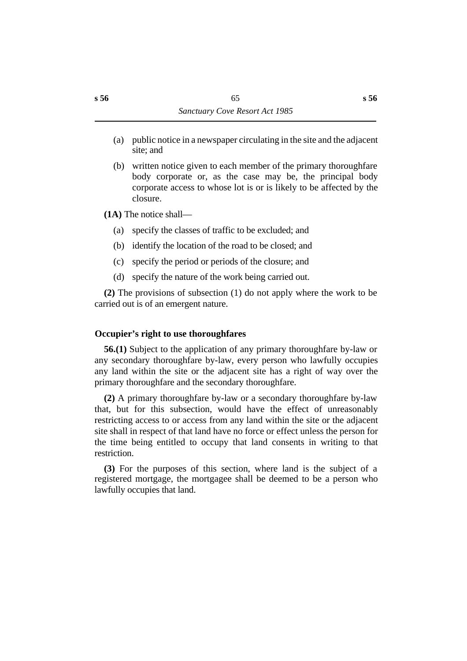- (a) public notice in a newspaper circulating in the site and the adjacent site; and
- (b) written notice given to each member of the primary thoroughfare body corporate or, as the case may be, the principal body corporate access to whose lot is or is likely to be affected by the closure.
- **(1A)** The notice shall—
	- (a) specify the classes of traffic to be excluded; and
	- (b) identify the location of the road to be closed; and
	- (c) specify the period or periods of the closure; and
	- (d) specify the nature of the work being carried out.

**(2)** The provisions of subsection (1) do not apply where the work to be carried out is of an emergent nature.

# **˙Occupier's right to use thoroughfares**

**56.(1)** Subject to the application of any primary thoroughfare by-law or any secondary thoroughfare by-law, every person who lawfully occupies any land within the site or the adjacent site has a right of way over the primary thoroughfare and the secondary thoroughfare.

**(2)** A primary thoroughfare by-law or a secondary thoroughfare by-law that, but for this subsection, would have the effect of unreasonably restricting access to or access from any land within the site or the adjacent site shall in respect of that land have no force or effect unless the person for the time being entitled to occupy that land consents in writing to that restriction.

**(3)** For the purposes of this section, where land is the subject of a registered mortgage, the mortgagee shall be deemed to be a person who lawfully occupies that land.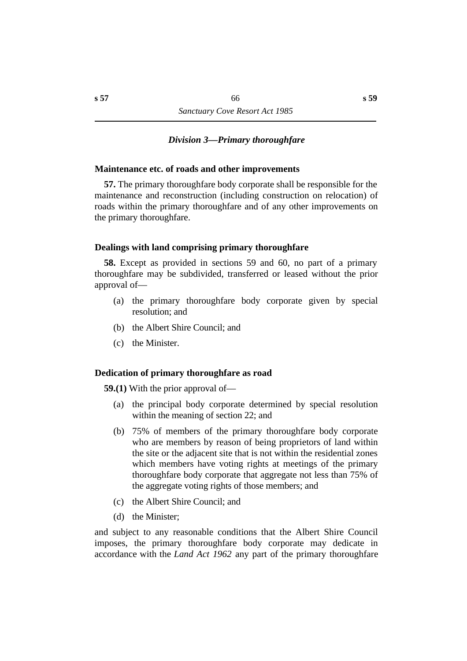### *†Division 3—Primary thoroughfare*

### **˙Maintenance etc. of roads and other improvements**

**57.** The primary thoroughfare body corporate shall be responsible for the maintenance and reconstruction (including construction on relocation) of roads within the primary thoroughfare and of any other improvements on the primary thoroughfare.

### **˙Dealings with land comprising primary thoroughfare**

**58.** Except as provided in sections 59 and 60, no part of a primary thoroughfare may be subdivided, transferred or leased without the prior approval of—

- (a) the primary thoroughfare body corporate given by special resolution; and
- (b) the Albert Shire Council; and
- (c) the Minister.

#### **˙Dedication of primary thoroughfare as road**

**59.(1)** With the prior approval of—

- (a) the principal body corporate determined by special resolution within the meaning of section 22; and
- (b) 75% of members of the primary thoroughfare body corporate who are members by reason of being proprietors of land within the site or the adjacent site that is not within the residential zones which members have voting rights at meetings of the primary thoroughfare body corporate that aggregate not less than 75% of the aggregate voting rights of those members; and
- (c) the Albert Shire Council; and
- (d) the Minister;

and subject to any reasonable conditions that the Albert Shire Council imposes, the primary thoroughfare body corporate may dedicate in accordance with the *Land Act 1962* any part of the primary thoroughfare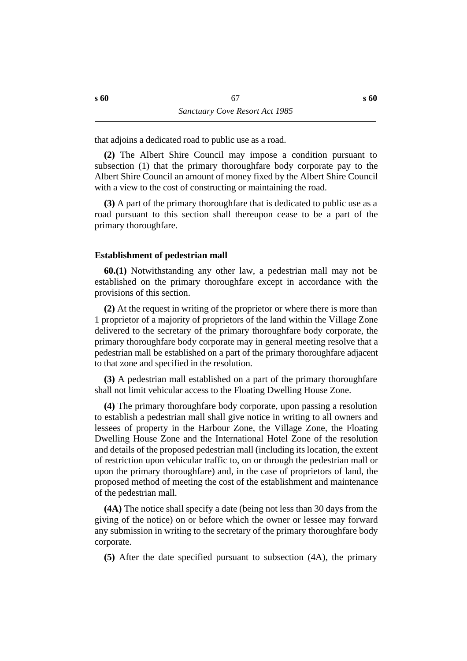that adjoins a dedicated road to public use as a road.

**(2)** The Albert Shire Council may impose a condition pursuant to subsection (1) that the primary thoroughfare body corporate pay to the Albert Shire Council an amount of money fixed by the Albert Shire Council with a view to the cost of constructing or maintaining the road.

**(3)** A part of the primary thoroughfare that is dedicated to public use as a road pursuant to this section shall thereupon cease to be a part of the primary thoroughfare.

## **˙Establishment of pedestrian mall**

**60.(1)** Notwithstanding any other law, a pedestrian mall may not be established on the primary thoroughfare except in accordance with the provisions of this section.

**(2)** At the request in writing of the proprietor or where there is more than 1 proprietor of a majority of proprietors of the land within the Village Zone delivered to the secretary of the primary thoroughfare body corporate, the primary thoroughfare body corporate may in general meeting resolve that a pedestrian mall be established on a part of the primary thoroughfare adjacent to that zone and specified in the resolution.

**(3)** A pedestrian mall established on a part of the primary thoroughfare shall not limit vehicular access to the Floating Dwelling House Zone.

**(4)** The primary thoroughfare body corporate, upon passing a resolution to establish a pedestrian mall shall give notice in writing to all owners and lessees of property in the Harbour Zone, the Village Zone, the Floating Dwelling House Zone and the International Hotel Zone of the resolution and details of the proposed pedestrian mall (including its location, the extent of restriction upon vehicular traffic to, on or through the pedestrian mall or upon the primary thoroughfare) and, in the case of proprietors of land, the proposed method of meeting the cost of the establishment and maintenance of the pedestrian mall.

**(4A)** The notice shall specify a date (being not less than 30 days from the giving of the notice) on or before which the owner or lessee may forward any submission in writing to the secretary of the primary thoroughfare body corporate.

**(5)** After the date specified pursuant to subsection (4A), the primary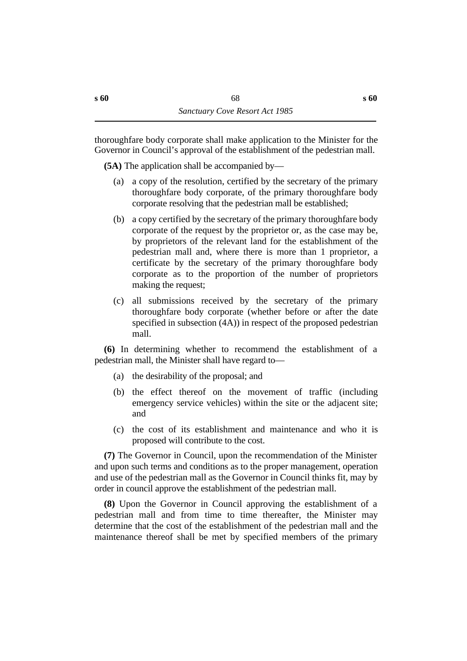thoroughfare body corporate shall make application to the Minister for the Governor in Council's approval of the establishment of the pedestrian mall.

**(5A)** The application shall be accompanied by—

- (a) a copy of the resolution, certified by the secretary of the primary thoroughfare body corporate, of the primary thoroughfare body corporate resolving that the pedestrian mall be established;
- (b) a copy certified by the secretary of the primary thoroughfare body corporate of the request by the proprietor or, as the case may be, by proprietors of the relevant land for the establishment of the pedestrian mall and, where there is more than 1 proprietor, a certificate by the secretary of the primary thoroughfare body corporate as to the proportion of the number of proprietors making the request;
- (c) all submissions received by the secretary of the primary thoroughfare body corporate (whether before or after the date specified in subsection (4A)) in respect of the proposed pedestrian mall.

**(6)** In determining whether to recommend the establishment of a pedestrian mall, the Minister shall have regard to—

- (a) the desirability of the proposal; and
- (b) the effect thereof on the movement of traffic (including emergency service vehicles) within the site or the adjacent site; and
- (c) the cost of its establishment and maintenance and who it is proposed will contribute to the cost.

**(7)** The Governor in Council, upon the recommendation of the Minister and upon such terms and conditions as to the proper management, operation and use of the pedestrian mall as the Governor in Council thinks fit, may by order in council approve the establishment of the pedestrian mall.

**(8)** Upon the Governor in Council approving the establishment of a pedestrian mall and from time to time thereafter, the Minister may determine that the cost of the establishment of the pedestrian mall and the maintenance thereof shall be met by specified members of the primary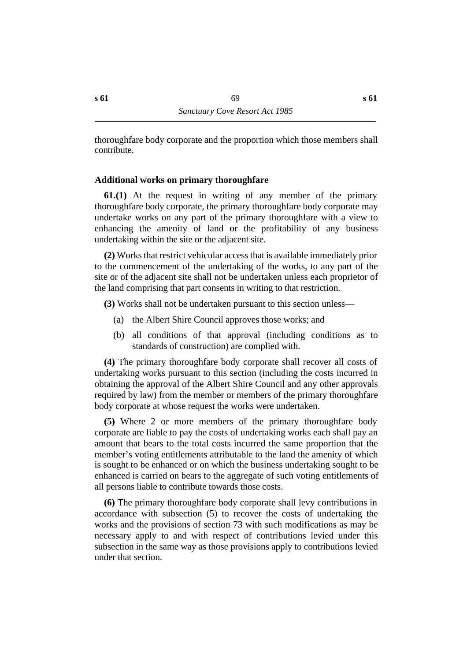thoroughfare body corporate and the proportion which those members shall contribute.

### **˙Additional works on primary thoroughfare**

**61.(1)** At the request in writing of any member of the primary thoroughfare body corporate, the primary thoroughfare body corporate may undertake works on any part of the primary thoroughfare with a view to enhancing the amenity of land or the profitability of any business undertaking within the site or the adjacent site.

**(2)** Works that restrict vehicular access that is available immediately prior to the commencement of the undertaking of the works, to any part of the site or of the adjacent site shall not be undertaken unless each proprietor of the land comprising that part consents in writing to that restriction.

**(3)** Works shall not be undertaken pursuant to this section unless—

- (a) the Albert Shire Council approves those works; and
- (b) all conditions of that approval (including conditions as to standards of construction) are complied with.

**(4)** The primary thoroughfare body corporate shall recover all costs of undertaking works pursuant to this section (including the costs incurred in obtaining the approval of the Albert Shire Council and any other approvals required by law) from the member or members of the primary thoroughfare body corporate at whose request the works were undertaken.

**(5)** Where 2 or more members of the primary thoroughfare body corporate are liable to pay the costs of undertaking works each shall pay an amount that bears to the total costs incurred the same proportion that the member's voting entitlements attributable to the land the amenity of which is sought to be enhanced or on which the business undertaking sought to be enhanced is carried on bears to the aggregate of such voting entitlements of all persons liable to contribute towards those costs.

**(6)** The primary thoroughfare body corporate shall levy contributions in accordance with subsection (5) to recover the costs of undertaking the works and the provisions of section 73 with such modifications as may be necessary apply to and with respect of contributions levied under this subsection in the same way as those provisions apply to contributions levied under that section.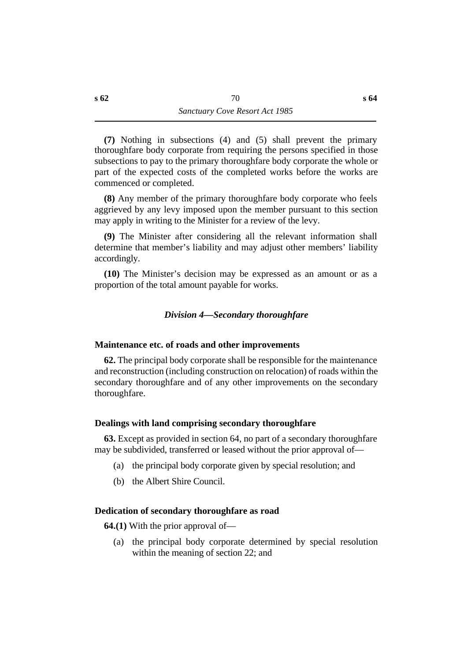**(7)** Nothing in subsections (4) and (5) shall prevent the primary thoroughfare body corporate from requiring the persons specified in those subsections to pay to the primary thoroughfare body corporate the whole or part of the expected costs of the completed works before the works are commenced or completed.

**(8)** Any member of the primary thoroughfare body corporate who feels aggrieved by any levy imposed upon the member pursuant to this section may apply in writing to the Minister for a review of the levy.

**(9)** The Minister after considering all the relevant information shall determine that member's liability and may adjust other members' liability accordingly.

**(10)** The Minister's decision may be expressed as an amount or as a proportion of the total amount payable for works.

# *†Division 4—Secondary thoroughfare*

### **˙Maintenance etc. of roads and other improvements**

**62.** The principal body corporate shall be responsible for the maintenance and reconstruction (including construction on relocation) of roads within the secondary thoroughfare and of any other improvements on the secondary thoroughfare.

### **˙Dealings with land comprising secondary thoroughfare**

**63.** Except as provided in section 64, no part of a secondary thoroughfare may be subdivided, transferred or leased without the prior approval of—

- (a) the principal body corporate given by special resolution; and
- (b) the Albert Shire Council.

### **˙Dedication of secondary thoroughfare as road**

**64.(1)** With the prior approval of—

(a) the principal body corporate determined by special resolution within the meaning of section 22; and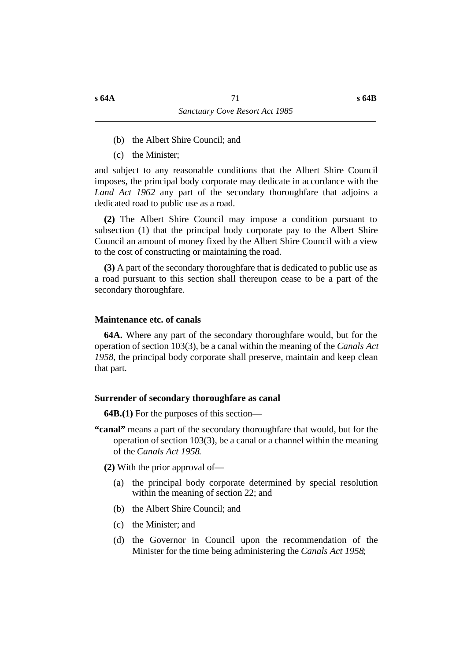- (b) the Albert Shire Council; and
- (c) the Minister;

and subject to any reasonable conditions that the Albert Shire Council imposes, the principal body corporate may dedicate in accordance with the *Land Act 1962* any part of the secondary thoroughfare that adjoins a dedicated road to public use as a road.

**(2)** The Albert Shire Council may impose a condition pursuant to subsection (1) that the principal body corporate pay to the Albert Shire Council an amount of money fixed by the Albert Shire Council with a view to the cost of constructing or maintaining the road.

**(3)** A part of the secondary thoroughfare that is dedicated to public use as a road pursuant to this section shall thereupon cease to be a part of the secondary thoroughfare.

#### **˙Maintenance etc. of canals**

**64A.** Where any part of the secondary thoroughfare would, but for the operation of section 103(3), be a canal within the meaning of the *Canals Act 1958*, the principal body corporate shall preserve, maintain and keep clean that part.

#### **˙Surrender of secondary thoroughfare as canal**

**64B.(1)** For the purposes of this section—

**"canal"** means a part of the secondary thoroughfare that would, but for the operation of section 103(3), be a canal or a channel within the meaning of the *Canals Act 1958*.

**(2)** With the prior approval of—

- (a) the principal body corporate determined by special resolution within the meaning of section 22; and
- (b) the Albert Shire Council; and
- (c) the Minister; and
- (d) the Governor in Council upon the recommendation of the Minister for the time being administering the *Canals Act 1958*;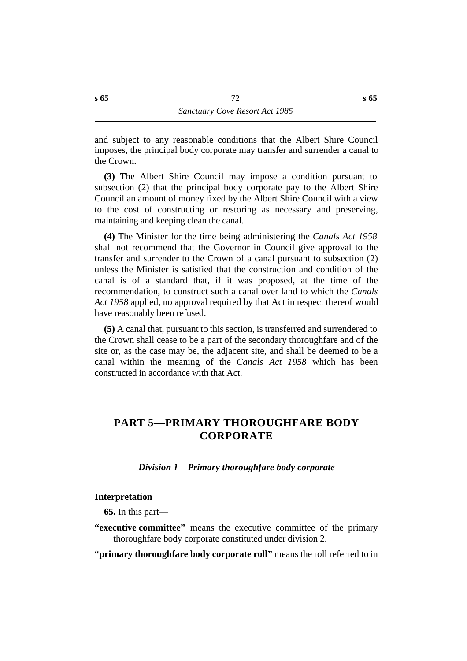and subject to any reasonable conditions that the Albert Shire Council imposes, the principal body corporate may transfer and surrender a canal to the Crown.

**(3)** The Albert Shire Council may impose a condition pursuant to subsection (2) that the principal body corporate pay to the Albert Shire Council an amount of money fixed by the Albert Shire Council with a view to the cost of constructing or restoring as necessary and preserving, maintaining and keeping clean the canal.

**(4)** The Minister for the time being administering the *Canals Act 1958* shall not recommend that the Governor in Council give approval to the transfer and surrender to the Crown of a canal pursuant to subsection (2) unless the Minister is satisfied that the construction and condition of the canal is of a standard that, if it was proposed, at the time of the recommendation, to construct such a canal over land to which the *Canals Act 1958* applied, no approval required by that Act in respect thereof would have reasonably been refused.

**(5)** A canal that, pursuant to this section, is transferred and surrendered to the Crown shall cease to be a part of the secondary thoroughfare and of the site or, as the case may be, the adjacent site, and shall be deemed to be a canal within the meaning of the *Canals Act 1958* which has been constructed in accordance with that Act.

# **†PART 5—PRIMARY THOROUGHFARE BODY CORPORATE**

## *†Division 1—Primary thoroughfare body corporate*

## **˙Interpretation**

**65.** In this part—

**"executive committee"** means the executive committee of the primary thoroughfare body corporate constituted under division 2.

**"primary thoroughfare body corporate roll"** means the roll referred to in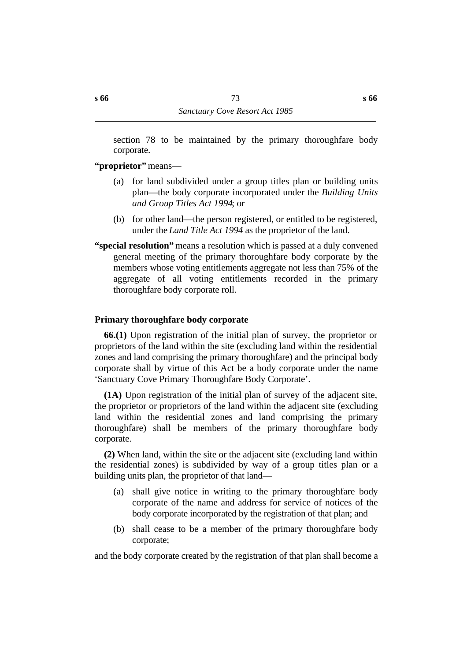section 78 to be maintained by the primary thoroughfare body corporate.

## **"proprietor"** means—

- (a) for land subdivided under a group titles plan or building units plan—the body corporate incorporated under the *Building Units and Group Titles Act 1994*; or
- (b) for other land—the person registered, or entitled to be registered, under the *Land Title Act 1994* as the proprietor of the land.
- **"special resolution"** means a resolution which is passed at a duly convened general meeting of the primary thoroughfare body corporate by the members whose voting entitlements aggregate not less than 75% of the aggregate of all voting entitlements recorded in the primary thoroughfare body corporate roll.

## **˙Primary thoroughfare body corporate**

**66.(1)** Upon registration of the initial plan of survey, the proprietor or proprietors of the land within the site (excluding land within the residential zones and land comprising the primary thoroughfare) and the principal body corporate shall by virtue of this Act be a body corporate under the name 'Sanctuary Cove Primary Thoroughfare Body Corporate'.

**(1A)** Upon registration of the initial plan of survey of the adjacent site, the proprietor or proprietors of the land within the adjacent site (excluding land within the residential zones and land comprising the primary thoroughfare) shall be members of the primary thoroughfare body corporate.

**(2)** When land, within the site or the adjacent site (excluding land within the residential zones) is subdivided by way of a group titles plan or a building units plan, the proprietor of that land—

- (a) shall give notice in writing to the primary thoroughfare body corporate of the name and address for service of notices of the body corporate incorporated by the registration of that plan; and
- (b) shall cease to be a member of the primary thoroughfare body corporate;

and the body corporate created by the registration of that plan shall become a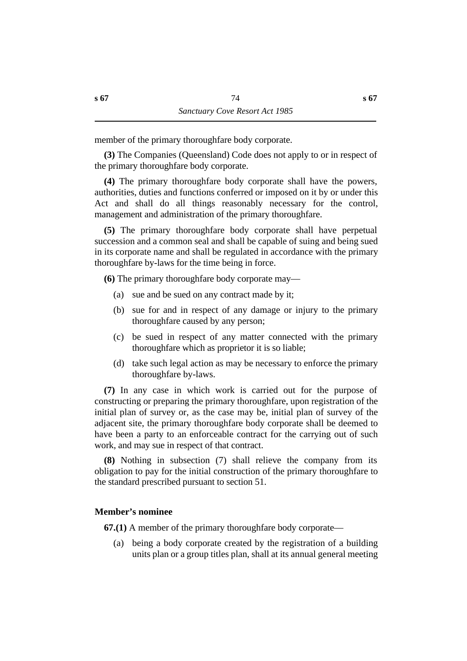member of the primary thoroughfare body corporate.

**(3)** The Companies (Queensland) Code does not apply to or in respect of the primary thoroughfare body corporate.

**(4)** The primary thoroughfare body corporate shall have the powers, authorities, duties and functions conferred or imposed on it by or under this Act and shall do all things reasonably necessary for the control, management and administration of the primary thoroughfare.

**(5)** The primary thoroughfare body corporate shall have perpetual succession and a common seal and shall be capable of suing and being sued in its corporate name and shall be regulated in accordance with the primary thoroughfare by-laws for the time being in force.

**(6)** The primary thoroughfare body corporate may—

- (a) sue and be sued on any contract made by it;
- (b) sue for and in respect of any damage or injury to the primary thoroughfare caused by any person;
- (c) be sued in respect of any matter connected with the primary thoroughfare which as proprietor it is so liable;
- (d) take such legal action as may be necessary to enforce the primary thoroughfare by-laws.

**(7)** In any case in which work is carried out for the purpose of constructing or preparing the primary thoroughfare, upon registration of the initial plan of survey or, as the case may be, initial plan of survey of the adjacent site, the primary thoroughfare body corporate shall be deemed to have been a party to an enforceable contract for the carrying out of such work, and may sue in respect of that contract.

**(8)** Nothing in subsection (7) shall relieve the company from its obligation to pay for the initial construction of the primary thoroughfare to the standard prescribed pursuant to section 51.

## **˙Member's nominee**

**67.(1)** A member of the primary thoroughfare body corporate—

(a) being a body corporate created by the registration of a building units plan or a group titles plan, shall at its annual general meeting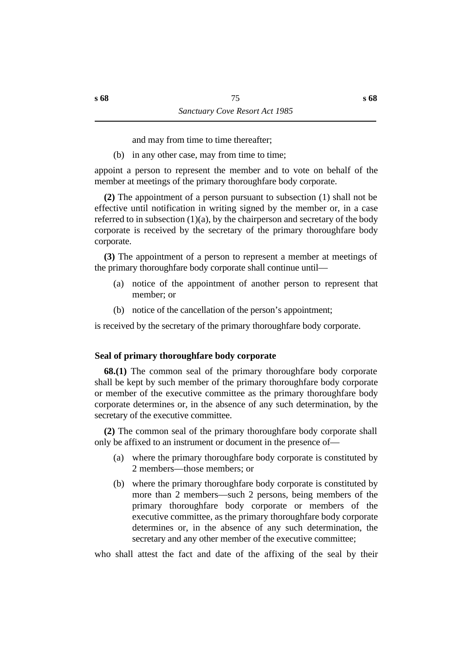and may from time to time thereafter;

(b) in any other case, may from time to time;

appoint a person to represent the member and to vote on behalf of the member at meetings of the primary thoroughfare body corporate.

**(2)** The appointment of a person pursuant to subsection (1) shall not be effective until notification in writing signed by the member or, in a case referred to in subsection  $(1)(a)$ , by the chairperson and secretary of the body corporate is received by the secretary of the primary thoroughfare body corporate.

**(3)** The appointment of a person to represent a member at meetings of the primary thoroughfare body corporate shall continue until—

- (a) notice of the appointment of another person to represent that member; or
- (b) notice of the cancellation of the person's appointment;

is received by the secretary of the primary thoroughfare body corporate.

## **˙Seal of primary thoroughfare body corporate**

**68.(1)** The common seal of the primary thoroughfare body corporate shall be kept by such member of the primary thoroughfare body corporate or member of the executive committee as the primary thoroughfare body corporate determines or, in the absence of any such determination, by the secretary of the executive committee.

**(2)** The common seal of the primary thoroughfare body corporate shall only be affixed to an instrument or document in the presence of—

- (a) where the primary thoroughfare body corporate is constituted by 2 members—those members; or
- (b) where the primary thoroughfare body corporate is constituted by more than 2 members—such 2 persons, being members of the primary thoroughfare body corporate or members of the executive committee, as the primary thoroughfare body corporate determines or, in the absence of any such determination, the secretary and any other member of the executive committee;

who shall attest the fact and date of the affixing of the seal by their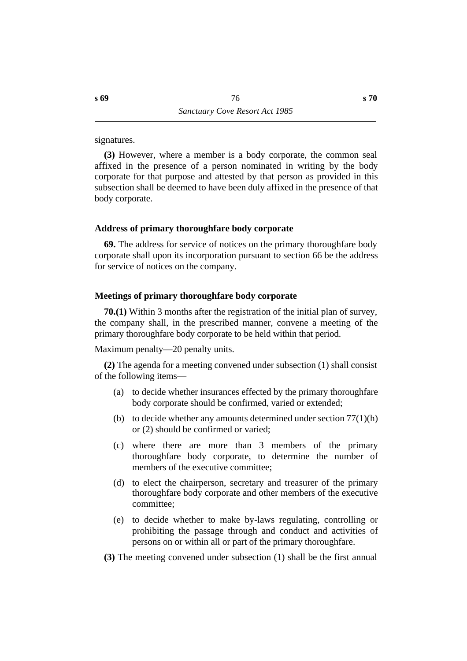signatures.

**(3)** However, where a member is a body corporate, the common seal affixed in the presence of a person nominated in writing by the body corporate for that purpose and attested by that person as provided in this subsection shall be deemed to have been duly affixed in the presence of that body corporate.

## **˙Address of primary thoroughfare body corporate**

**69.** The address for service of notices on the primary thoroughfare body corporate shall upon its incorporation pursuant to section 66 be the address for service of notices on the company.

## **˙Meetings of primary thoroughfare body corporate**

**70.(1)** Within 3 months after the registration of the initial plan of survey, the company shall, in the prescribed manner, convene a meeting of the primary thoroughfare body corporate to be held within that period.

Maximum penalty—20 penalty units.

**(2)** The agenda for a meeting convened under subsection (1) shall consist of the following items—

- (a) to decide whether insurances effected by the primary thoroughfare body corporate should be confirmed, varied or extended;
- (b) to decide whether any amounts determined under section  $77(1)(h)$ or (2) should be confirmed or varied;
- (c) where there are more than 3 members of the primary thoroughfare body corporate, to determine the number of members of the executive committee;
- (d) to elect the chairperson, secretary and treasurer of the primary thoroughfare body corporate and other members of the executive committee;
- (e) to decide whether to make by-laws regulating, controlling or prohibiting the passage through and conduct and activities of persons on or within all or part of the primary thoroughfare.
- **(3)** The meeting convened under subsection (1) shall be the first annual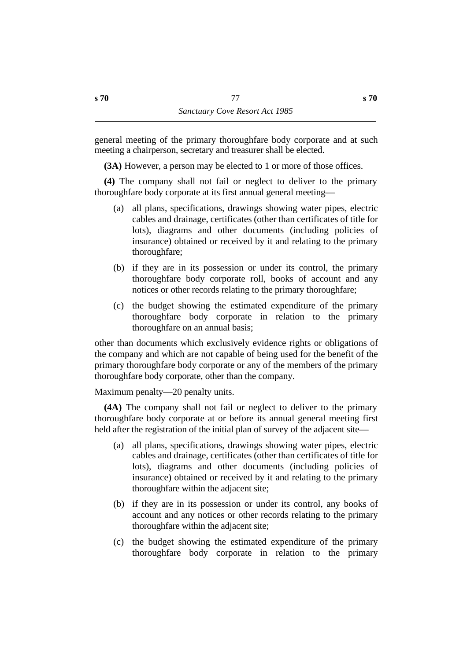general meeting of the primary thoroughfare body corporate and at such meeting a chairperson, secretary and treasurer shall be elected.

**(3A)** However, a person may be elected to 1 or more of those offices.

**(4)** The company shall not fail or neglect to deliver to the primary thoroughfare body corporate at its first annual general meeting—

- (a) all plans, specifications, drawings showing water pipes, electric cables and drainage, certificates (other than certificates of title for lots), diagrams and other documents (including policies of insurance) obtained or received by it and relating to the primary thoroughfare;
- (b) if they are in its possession or under its control, the primary thoroughfare body corporate roll, books of account and any notices or other records relating to the primary thoroughfare;
- (c) the budget showing the estimated expenditure of the primary thoroughfare body corporate in relation to the primary thoroughfare on an annual basis;

other than documents which exclusively evidence rights or obligations of the company and which are not capable of being used for the benefit of the primary thoroughfare body corporate or any of the members of the primary thoroughfare body corporate, other than the company.

Maximum penalty—20 penalty units.

**(4A)** The company shall not fail or neglect to deliver to the primary thoroughfare body corporate at or before its annual general meeting first held after the registration of the initial plan of survey of the adjacent site—

- (a) all plans, specifications, drawings showing water pipes, electric cables and drainage, certificates (other than certificates of title for lots), diagrams and other documents (including policies of insurance) obtained or received by it and relating to the primary thoroughfare within the adjacent site;
- (b) if they are in its possession or under its control, any books of account and any notices or other records relating to the primary thoroughfare within the adjacent site;
- (c) the budget showing the estimated expenditure of the primary thoroughfare body corporate in relation to the primary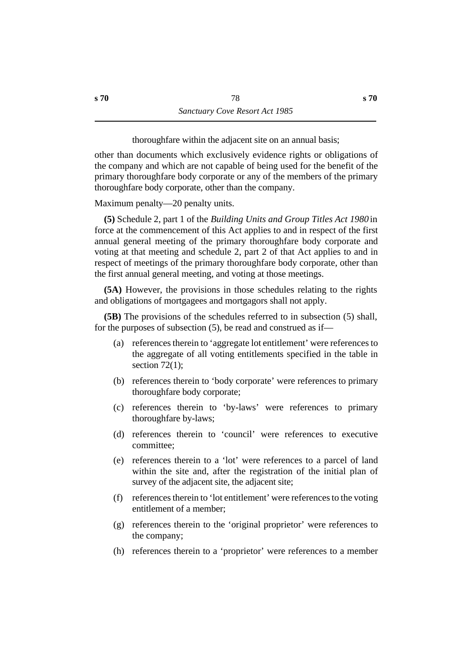thoroughfare within the adjacent site on an annual basis;

other than documents which exclusively evidence rights or obligations of the company and which are not capable of being used for the benefit of the primary thoroughfare body corporate or any of the members of the primary thoroughfare body corporate, other than the company.

Maximum penalty—20 penalty units.

**(5)** Schedule 2, part 1 of the *Building Units and Group Titles Act 1980* in force at the commencement of this Act applies to and in respect of the first annual general meeting of the primary thoroughfare body corporate and voting at that meeting and schedule 2, part 2 of that Act applies to and in respect of meetings of the primary thoroughfare body corporate, other than the first annual general meeting, and voting at those meetings.

**(5A)** However, the provisions in those schedules relating to the rights and obligations of mortgagees and mortgagors shall not apply.

**(5B)** The provisions of the schedules referred to in subsection (5) shall, for the purposes of subsection (5), be read and construed as if—

- (a) references therein to 'aggregate lot entitlement' were references to the aggregate of all voting entitlements specified in the table in section  $72(1)$ ;
- (b) references therein to 'body corporate' were references to primary thoroughfare body corporate;
- (c) references therein to 'by-laws' were references to primary thoroughfare by-laws;
- (d) references therein to 'council' were references to executive committee;
- (e) references therein to a 'lot' were references to a parcel of land within the site and, after the registration of the initial plan of survey of the adjacent site, the adjacent site;
- (f) references therein to 'lot entitlement' were references to the voting entitlement of a member;
- (g) references therein to the 'original proprietor' were references to the company;
- (h) references therein to a 'proprietor' were references to a member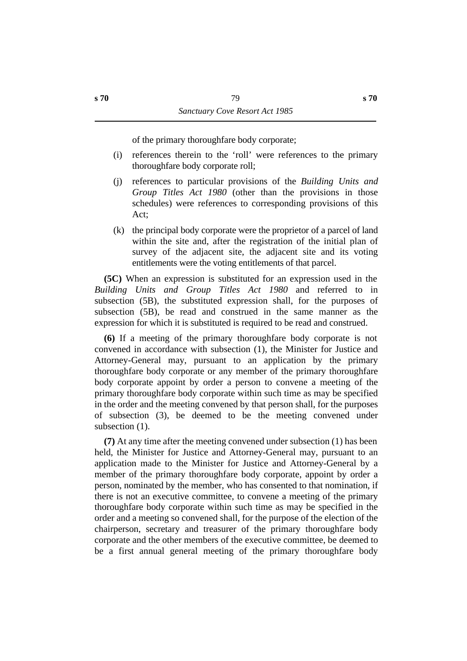of the primary thoroughfare body corporate;

- (i) references therein to the 'roll' were references to the primary thoroughfare body corporate roll;
- (j) references to particular provisions of the *Building Units and Group Titles Act 1980* (other than the provisions in those schedules) were references to corresponding provisions of this Act;
- (k) the principal body corporate were the proprietor of a parcel of land within the site and, after the registration of the initial plan of survey of the adjacent site, the adjacent site and its voting entitlements were the voting entitlements of that parcel.

**(5C)** When an expression is substituted for an expression used in the *Building Units and Group Titles Act 1980* and referred to in subsection (5B), the substituted expression shall, for the purposes of subsection (5B), be read and construed in the same manner as the expression for which it is substituted is required to be read and construed.

**(6)** If a meeting of the primary thoroughfare body corporate is not convened in accordance with subsection (1), the Minister for Justice and Attorney-General may, pursuant to an application by the primary thoroughfare body corporate or any member of the primary thoroughfare body corporate appoint by order a person to convene a meeting of the primary thoroughfare body corporate within such time as may be specified in the order and the meeting convened by that person shall, for the purposes of subsection (3), be deemed to be the meeting convened under subsection  $(1)$ .

**(7)** At any time after the meeting convened under subsection (1) has been held, the Minister for Justice and Attorney-General may, pursuant to an application made to the Minister for Justice and Attorney-General by a member of the primary thoroughfare body corporate, appoint by order a person, nominated by the member, who has consented to that nomination, if there is not an executive committee, to convene a meeting of the primary thoroughfare body corporate within such time as may be specified in the order and a meeting so convened shall, for the purpose of the election of the chairperson, secretary and treasurer of the primary thoroughfare body corporate and the other members of the executive committee, be deemed to be a first annual general meeting of the primary thoroughfare body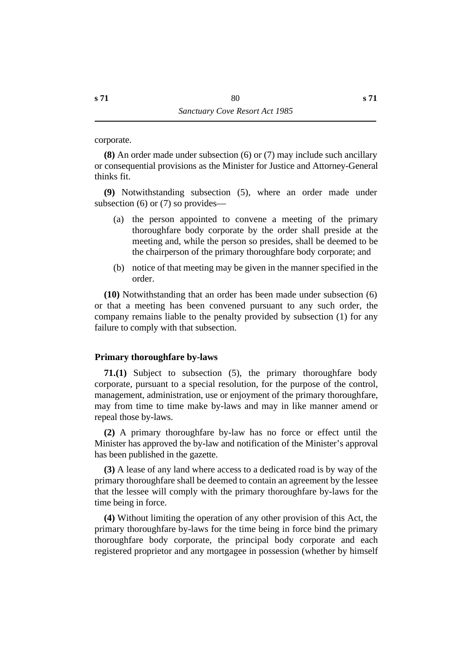corporate.

**(8)** An order made under subsection (6) or (7) may include such ancillary or consequential provisions as the Minister for Justice and Attorney-General thinks fit.

**(9)** Notwithstanding subsection (5), where an order made under subsection (6) or (7) so provides—

- (a) the person appointed to convene a meeting of the primary thoroughfare body corporate by the order shall preside at the meeting and, while the person so presides, shall be deemed to be the chairperson of the primary thoroughfare body corporate; and
- (b) notice of that meeting may be given in the manner specified in the order.

**(10)** Notwithstanding that an order has been made under subsection (6) or that a meeting has been convened pursuant to any such order, the company remains liable to the penalty provided by subsection (1) for any failure to comply with that subsection.

#### **˙Primary thoroughfare by-laws**

**71.(1)** Subject to subsection (5), the primary thoroughfare body corporate, pursuant to a special resolution, for the purpose of the control, management, administration, use or enjoyment of the primary thoroughfare, may from time to time make by-laws and may in like manner amend or repeal those by-laws.

**(2)** A primary thoroughfare by-law has no force or effect until the Minister has approved the by-law and notification of the Minister's approval has been published in the gazette.

**(3)** A lease of any land where access to a dedicated road is by way of the primary thoroughfare shall be deemed to contain an agreement by the lessee that the lessee will comply with the primary thoroughfare by-laws for the time being in force.

**(4)** Without limiting the operation of any other provision of this Act, the primary thoroughfare by-laws for the time being in force bind the primary thoroughfare body corporate, the principal body corporate and each registered proprietor and any mortgagee in possession (whether by himself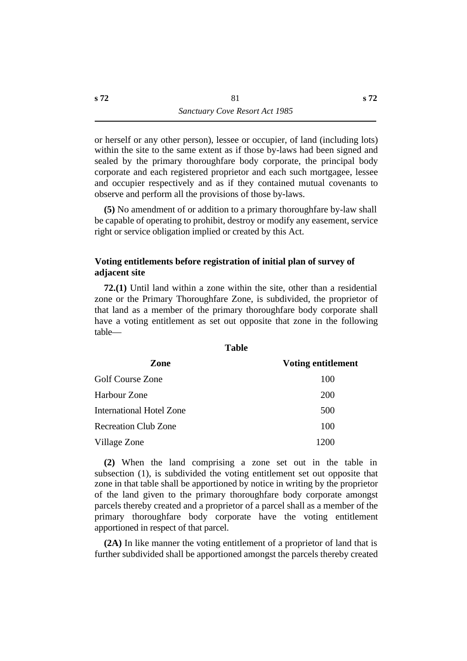or herself or any other person), lessee or occupier, of land (including lots) within the site to the same extent as if those by-laws had been signed and sealed by the primary thoroughfare body corporate, the principal body corporate and each registered proprietor and each such mortgagee, lessee and occupier respectively and as if they contained mutual covenants to observe and perform all the provisions of those by-laws.

**(5)** No amendment of or addition to a primary thoroughfare by-law shall be capable of operating to prohibit, destroy or modify any easement, service right or service obligation implied or created by this Act.

## **˙Voting entitlements before registration of initial plan of survey of adjacent site**

**72.(1)** Until land within a zone within the site, other than a residential zone or the Primary Thoroughfare Zone, is subdivided, the proprietor of that land as a member of the primary thoroughfare body corporate shall have a voting entitlement as set out opposite that zone in the following table—

**Table**

| Zone                            | Voting entitlement |
|---------------------------------|--------------------|
| <b>Golf Course Zone</b>         | 100                |
| Harbour Zone                    | <b>200</b>         |
| <b>International Hotel Zone</b> | 500                |
| <b>Recreation Club Zone</b>     | 100                |
| Village Zone                    | 1200               |

**(2)** When the land comprising a zone set out in the table in subsection (1), is subdivided the voting entitlement set out opposite that zone in that table shall be apportioned by notice in writing by the proprietor of the land given to the primary thoroughfare body corporate amongst parcels thereby created and a proprietor of a parcel shall as a member of the primary thoroughfare body corporate have the voting entitlement apportioned in respect of that parcel.

**(2A)** In like manner the voting entitlement of a proprietor of land that is further subdivided shall be apportioned amongst the parcels thereby created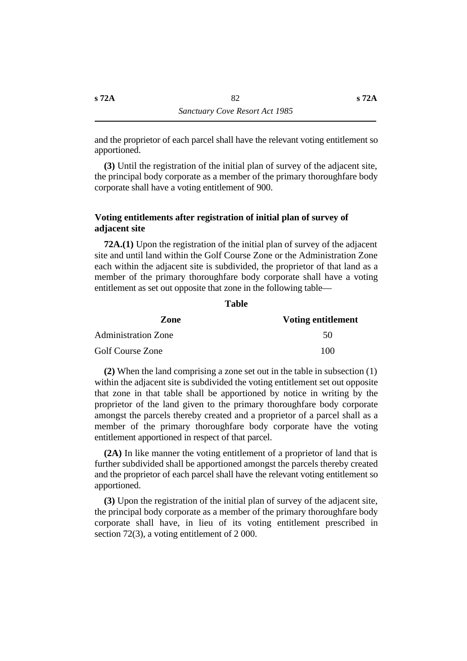and the proprietor of each parcel shall have the relevant voting entitlement so apportioned.

**(3)** Until the registration of the initial plan of survey of the adjacent site, the principal body corporate as a member of the primary thoroughfare body corporate shall have a voting entitlement of 900.

#### **˙Voting entitlements after registration of initial plan of survey of adjacent site**

**72A.(1)** Upon the registration of the initial plan of survey of the adjacent site and until land within the Golf Course Zone or the Administration Zone each within the adjacent site is subdivided, the proprietor of that land as a member of the primary thoroughfare body corporate shall have a voting entitlement as set out opposite that zone in the following table—

| Zone                       | Voting entitlement |
|----------------------------|--------------------|
| <b>Administration Zone</b> | .5 <sub>0</sub>    |
| <b>Golf Course Zone</b>    | 100                |

**(2)** When the land comprising a zone set out in the table in subsection (1) within the adjacent site is subdivided the voting entitlement set out opposite that zone in that table shall be apportioned by notice in writing by the proprietor of the land given to the primary thoroughfare body corporate amongst the parcels thereby created and a proprietor of a parcel shall as a member of the primary thoroughfare body corporate have the voting entitlement apportioned in respect of that parcel.

**(2A)** In like manner the voting entitlement of a proprietor of land that is further subdivided shall be apportioned amongst the parcels thereby created and the proprietor of each parcel shall have the relevant voting entitlement so apportioned.

**(3)** Upon the registration of the initial plan of survey of the adjacent site, the principal body corporate as a member of the primary thoroughfare body corporate shall have, in lieu of its voting entitlement prescribed in section 72(3), a voting entitlement of 2 000.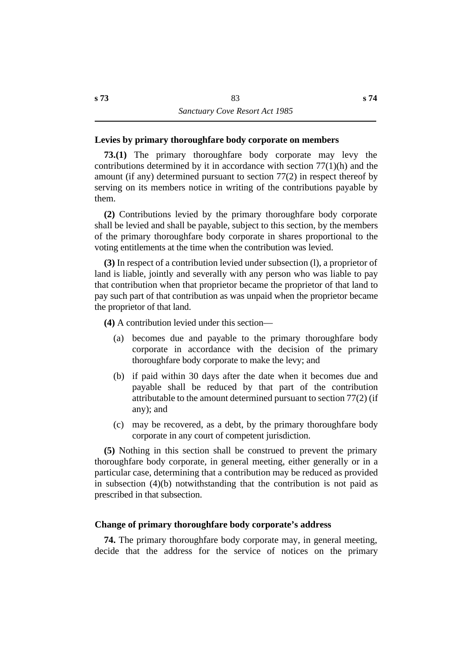### **˙Levies by primary thoroughfare body corporate on members**

**73.(1)** The primary thoroughfare body corporate may levy the contributions determined by it in accordance with section  $77(1)(h)$  and the amount (if any) determined pursuant to section 77(2) in respect thereof by serving on its members notice in writing of the contributions payable by them.

**(2)** Contributions levied by the primary thoroughfare body corporate shall be levied and shall be payable, subject to this section, by the members of the primary thoroughfare body corporate in shares proportional to the voting entitlements at the time when the contribution was levied.

**(3)** In respect of a contribution levied under subsection (l), a proprietor of land is liable, jointly and severally with any person who was liable to pay that contribution when that proprietor became the proprietor of that land to pay such part of that contribution as was unpaid when the proprietor became the proprietor of that land.

**(4)** A contribution levied under this section—

- (a) becomes due and payable to the primary thoroughfare body corporate in accordance with the decision of the primary thoroughfare body corporate to make the levy; and
- (b) if paid within 30 days after the date when it becomes due and payable shall be reduced by that part of the contribution attributable to the amount determined pursuant to section 77(2) (if any); and
- (c) may be recovered, as a debt, by the primary thoroughfare body corporate in any court of competent jurisdiction.

**(5)** Nothing in this section shall be construed to prevent the primary thoroughfare body corporate, in general meeting, either generally or in a particular case, determining that a contribution may be reduced as provided in subsection (4)(b) notwithstanding that the contribution is not paid as prescribed in that subsection.

#### **˙Change of primary thoroughfare body corporate's address**

**74.** The primary thoroughfare body corporate may, in general meeting, decide that the address for the service of notices on the primary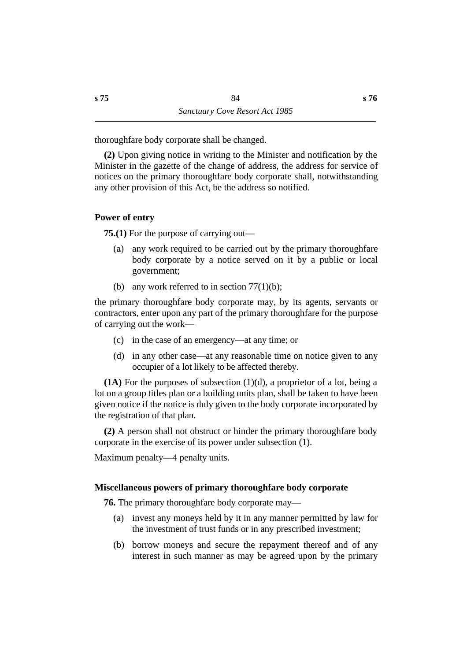thoroughfare body corporate shall be changed.

**(2)** Upon giving notice in writing to the Minister and notification by the Minister in the gazette of the change of address, the address for service of notices on the primary thoroughfare body corporate shall, notwithstanding any other provision of this Act, be the address so notified.

## **˙Power of entry**

**75.(1)** For the purpose of carrying out—

- (a) any work required to be carried out by the primary thoroughfare body corporate by a notice served on it by a public or local government;
- (b) any work referred to in section  $77(1)(b)$ ;

the primary thoroughfare body corporate may, by its agents, servants or contractors, enter upon any part of the primary thoroughfare for the purpose of carrying out the work—

- (c) in the case of an emergency—at any time; or
- (d) in any other case—at any reasonable time on notice given to any occupier of a lot likely to be affected thereby.

**(1A)** For the purposes of subsection (1)(d), a proprietor of a lot, being a lot on a group titles plan or a building units plan, shall be taken to have been given notice if the notice is duly given to the body corporate incorporated by the registration of that plan.

**(2)** A person shall not obstruct or hinder the primary thoroughfare body corporate in the exercise of its power under subsection (1).

Maximum penalty—4 penalty units.

## **˙Miscellaneous powers of primary thoroughfare body corporate**

**76.** The primary thoroughfare body corporate may—

- (a) invest any moneys held by it in any manner permitted by law for the investment of trust funds or in any prescribed investment;
- (b) borrow moneys and secure the repayment thereof and of any interest in such manner as may be agreed upon by the primary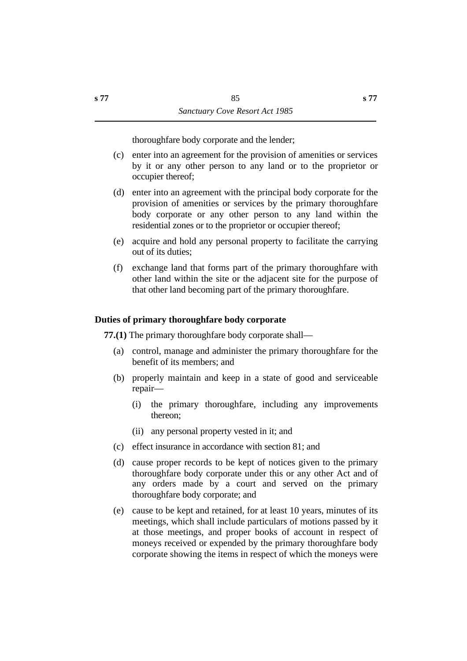thoroughfare body corporate and the lender;

- (c) enter into an agreement for the provision of amenities or services by it or any other person to any land or to the proprietor or occupier thereof;
- (d) enter into an agreement with the principal body corporate for the provision of amenities or services by the primary thoroughfare body corporate or any other person to any land within the residential zones or to the proprietor or occupier thereof;
- (e) acquire and hold any personal property to facilitate the carrying out of its duties;
- (f) exchange land that forms part of the primary thoroughfare with other land within the site or the adjacent site for the purpose of that other land becoming part of the primary thoroughfare.

## **˙Duties of primary thoroughfare body corporate**

**77.(1)** The primary thoroughfare body corporate shall—

- (a) control, manage and administer the primary thoroughfare for the benefit of its members; and
- (b) properly maintain and keep in a state of good and serviceable repair—
	- (i) the primary thoroughfare, including any improvements thereon;
	- (ii) any personal property vested in it; and
- (c) effect insurance in accordance with section 81; and
- (d) cause proper records to be kept of notices given to the primary thoroughfare body corporate under this or any other Act and of any orders made by a court and served on the primary thoroughfare body corporate; and
- (e) cause to be kept and retained, for at least 10 years, minutes of its meetings, which shall include particulars of motions passed by it at those meetings, and proper books of account in respect of moneys received or expended by the primary thoroughfare body corporate showing the items in respect of which the moneys were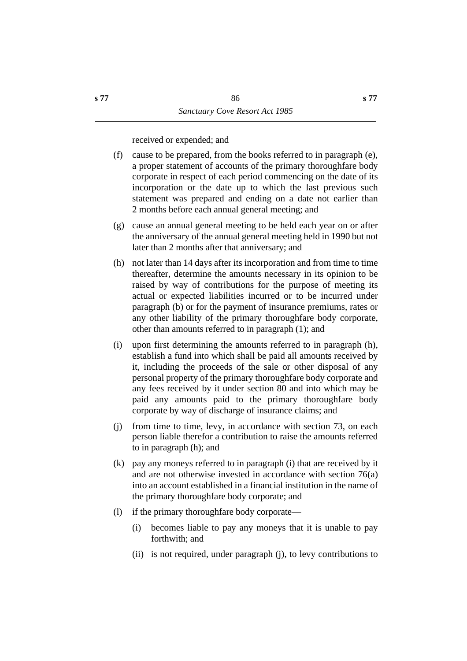received or expended; and

- (f) cause to be prepared, from the books referred to in paragraph (e), a proper statement of accounts of the primary thoroughfare body corporate in respect of each period commencing on the date of its incorporation or the date up to which the last previous such statement was prepared and ending on a date not earlier than 2 months before each annual general meeting; and
- (g) cause an annual general meeting to be held each year on or after the anniversary of the annual general meeting held in 1990 but not later than 2 months after that anniversary; and
- (h) not later than 14 days after its incorporation and from time to time thereafter, determine the amounts necessary in its opinion to be raised by way of contributions for the purpose of meeting its actual or expected liabilities incurred or to be incurred under paragraph (b) or for the payment of insurance premiums, rates or any other liability of the primary thoroughfare body corporate, other than amounts referred to in paragraph (1); and
- (i) upon first determining the amounts referred to in paragraph (h), establish a fund into which shall be paid all amounts received by it, including the proceeds of the sale or other disposal of any personal property of the primary thoroughfare body corporate and any fees received by it under section 80 and into which may be paid any amounts paid to the primary thoroughfare body corporate by way of discharge of insurance claims; and
- (j) from time to time, levy, in accordance with section 73, on each person liable therefor a contribution to raise the amounts referred to in paragraph (h); and
- (k) pay any moneys referred to in paragraph (i) that are received by it and are not otherwise invested in accordance with section 76(a) into an account established in a financial institution in the name of the primary thoroughfare body corporate; and
- (l) if the primary thoroughfare body corporate—
	- (i) becomes liable to pay any moneys that it is unable to pay forthwith; and
	- (ii) is not required, under paragraph (j), to levy contributions to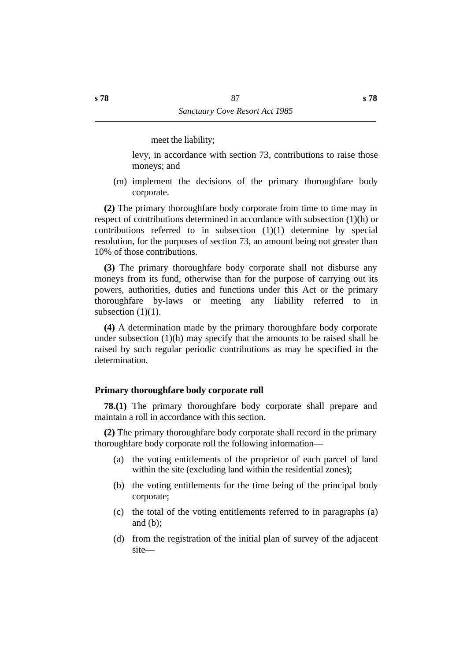meet the liability;

levy, in accordance with section 73, contributions to raise those moneys; and

(m) implement the decisions of the primary thoroughfare body corporate.

**(2)** The primary thoroughfare body corporate from time to time may in respect of contributions determined in accordance with subsection (1)(h) or contributions referred to in subsection (1)(1) determine by special resolution, for the purposes of section 73, an amount being not greater than 10% of those contributions.

**(3)** The primary thoroughfare body corporate shall not disburse any moneys from its fund, otherwise than for the purpose of carrying out its powers, authorities, duties and functions under this Act or the primary thoroughfare by-laws or meeting any liability referred to in subsection  $(1)(1)$ .

**(4)** A determination made by the primary thoroughfare body corporate under subsection (1)(h) may specify that the amounts to be raised shall be raised by such regular periodic contributions as may be specified in the determination.

## **˙Primary thoroughfare body corporate roll**

**78.(1)** The primary thoroughfare body corporate shall prepare and maintain a roll in accordance with this section.

**(2)** The primary thoroughfare body corporate shall record in the primary thoroughfare body corporate roll the following information—

- (a) the voting entitlements of the proprietor of each parcel of land within the site (excluding land within the residential zones);
- (b) the voting entitlements for the time being of the principal body corporate;
- (c) the total of the voting entitlements referred to in paragraphs (a) and (b);
- (d) from the registration of the initial plan of survey of the adjacent site—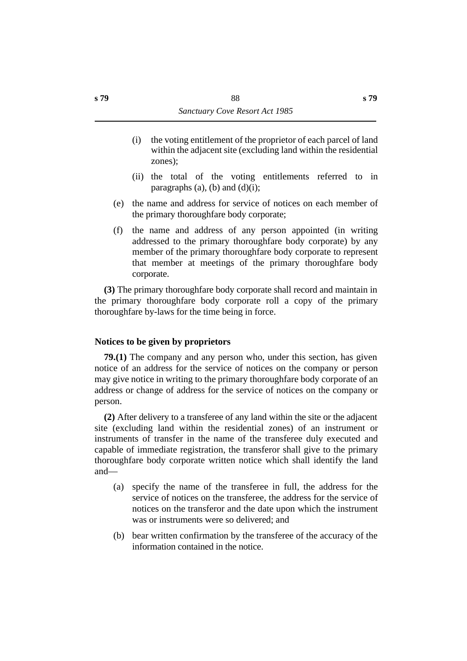- (i) the voting entitlement of the proprietor of each parcel of land within the adjacent site (excluding land within the residential zones);
- (ii) the total of the voting entitlements referred to in paragraphs  $(a)$ ,  $(b)$  and  $(d)(i)$ ;
- (e) the name and address for service of notices on each member of the primary thoroughfare body corporate;
- (f) the name and address of any person appointed (in writing addressed to the primary thoroughfare body corporate) by any member of the primary thoroughfare body corporate to represent that member at meetings of the primary thoroughfare body corporate.

**(3)** The primary thoroughfare body corporate shall record and maintain in the primary thoroughfare body corporate roll a copy of the primary thoroughfare by-laws for the time being in force.

## **˙Notices to be given by proprietors**

**79.(1)** The company and any person who, under this section, has given notice of an address for the service of notices on the company or person may give notice in writing to the primary thoroughfare body corporate of an address or change of address for the service of notices on the company or person.

**(2)** After delivery to a transferee of any land within the site or the adjacent site (excluding land within the residential zones) of an instrument or instruments of transfer in the name of the transferee duly executed and capable of immediate registration, the transferor shall give to the primary thoroughfare body corporate written notice which shall identify the land and—

- (a) specify the name of the transferee in full, the address for the service of notices on the transferee, the address for the service of notices on the transferor and the date upon which the instrument was or instruments were so delivered; and
- (b) bear written confirmation by the transferee of the accuracy of the information contained in the notice.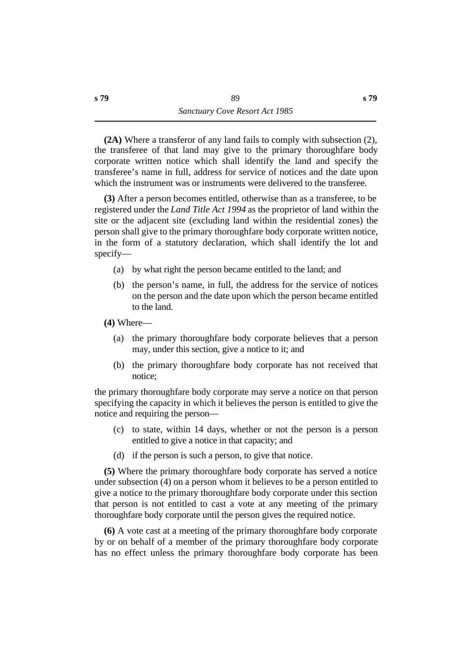**(2A)** Where a transferor of any land fails to comply with subsection (2), the transferee of that land may give to the primary thoroughfare body corporate written notice which shall identify the land and specify the transferee's name in full, address for service of notices and the date upon which the instrument was or instruments were delivered to the transferee.

**(3)** After a person becomes entitled, otherwise than as a transferee, to be registered under the *Land Title Act 1994* as the proprietor of land within the site or the adjacent site (excluding land within the residential zones) the person shall give to the primary thoroughfare body corporate written notice, in the form of a statutory declaration, which shall identify the lot and specify—

- (a) by what right the person became entitled to the land; and
- (b) the person's name, in full, the address for the service of notices on the person and the date upon which the person became entitled to the land.
- **(4)** Where—
	- (a) the primary thoroughfare body corporate believes that a person may, under this section, give a notice to it; and
	- (b) the primary thoroughfare body corporate has not received that notice;

the primary thoroughfare body corporate may serve a notice on that person specifying the capacity in which it believes the person is entitled to give the notice and requiring the person—

- (c) to state, within 14 days, whether or not the person is a person entitled to give a notice in that capacity; and
- (d) if the person is such a person, to give that notice.

**(5)** Where the primary thoroughfare body corporate has served a notice under subsection (4) on a person whom it believes to be a person entitled to give a notice to the primary thoroughfare body corporate under this section that person is not entitled to cast a vote at any meeting of the primary thoroughfare body corporate until the person gives the required notice.

**(6)** A vote cast at a meeting of the primary thoroughfare body corporate by or on behalf of a member of the primary thoroughfare body corporate has no effect unless the primary thoroughfare body corporate has been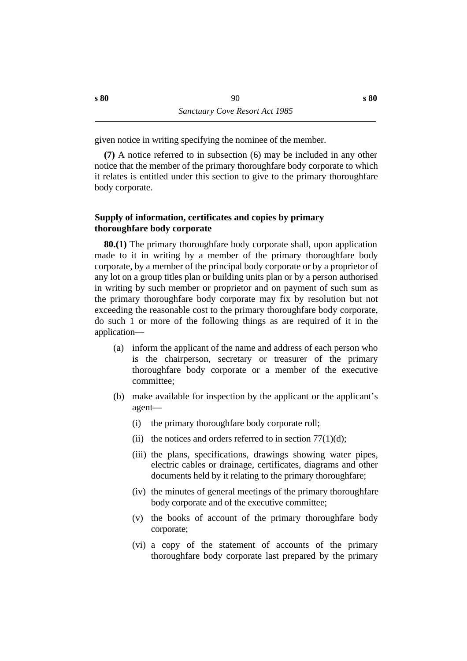given notice in writing specifying the nominee of the member.

**(7)** A notice referred to in subsection (6) may be included in any other notice that the member of the primary thoroughfare body corporate to which it relates is entitled under this section to give to the primary thoroughfare body corporate.

### **˙Supply of information, certificates and copies by primary thoroughfare body corporate**

**80.(1)** The primary thoroughfare body corporate shall, upon application made to it in writing by a member of the primary thoroughfare body corporate, by a member of the principal body corporate or by a proprietor of any lot on a group titles plan or building units plan or by a person authorised in writing by such member or proprietor and on payment of such sum as the primary thoroughfare body corporate may fix by resolution but not exceeding the reasonable cost to the primary thoroughfare body corporate, do such 1 or more of the following things as are required of it in the application—

- (a) inform the applicant of the name and address of each person who is the chairperson, secretary or treasurer of the primary thoroughfare body corporate or a member of the executive committee;
- (b) make available for inspection by the applicant or the applicant's agent—
	- (i) the primary thoroughfare body corporate roll;
	- (ii) the notices and orders referred to in section  $77(1)(d)$ ;
	- (iii) the plans, specifications, drawings showing water pipes, electric cables or drainage, certificates, diagrams and other documents held by it relating to the primary thoroughfare;
	- (iv) the minutes of general meetings of the primary thoroughfare body corporate and of the executive committee;
	- (v) the books of account of the primary thoroughfare body corporate;
	- (vi) a copy of the statement of accounts of the primary thoroughfare body corporate last prepared by the primary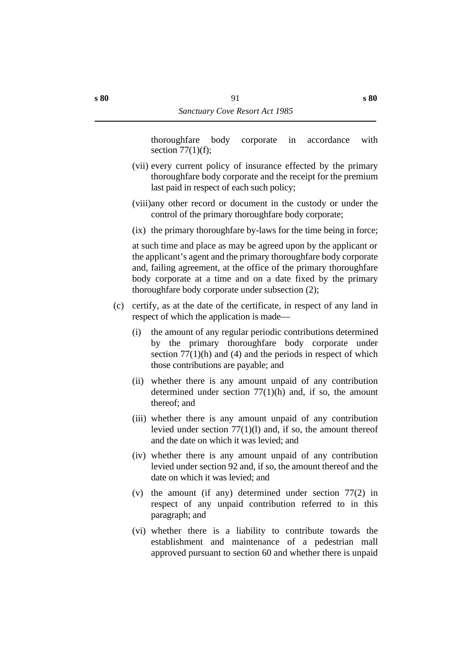thoroughfare body corporate in accordance with section  $77(1)(f)$ ;

- (vii) every current policy of insurance effected by the primary thoroughfare body corporate and the receipt for the premium last paid in respect of each such policy;
- (viii)any other record or document in the custody or under the control of the primary thoroughfare body corporate;
- (ix) the primary thoroughfare by-laws for the time being in force;

at such time and place as may be agreed upon by the applicant or the applicant's agent and the primary thoroughfare body corporate and, failing agreement, at the office of the primary thoroughfare body corporate at a time and on a date fixed by the primary thoroughfare body corporate under subsection (2);

- (c) certify, as at the date of the certificate, in respect of any land in respect of which the application is made—
	- (i) the amount of any regular periodic contributions determined by the primary thoroughfare body corporate under section  $77(1)$ (h) and (4) and the periods in respect of which those contributions are payable; and
	- (ii) whether there is any amount unpaid of any contribution determined under section 77(1)(h) and, if so, the amount thereof; and
	- (iii) whether there is any amount unpaid of any contribution levied under section 77(1)(l) and, if so, the amount thereof and the date on which it was levied; and
	- (iv) whether there is any amount unpaid of any contribution levied under section 92 and, if so, the amount thereof and the date on which it was levied; and
	- (v) the amount (if any) determined under section 77(2) in respect of any unpaid contribution referred to in this paragraph; and
	- (vi) whether there is a liability to contribute towards the establishment and maintenance of a pedestrian mall approved pursuant to section 60 and whether there is unpaid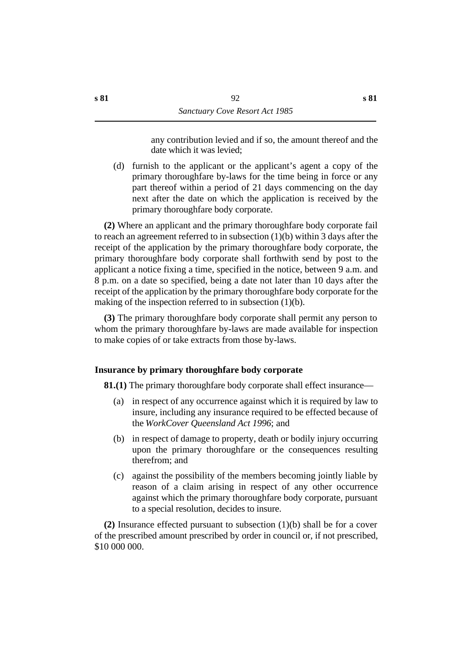any contribution levied and if so, the amount thereof and the date which it was levied;

(d) furnish to the applicant or the applicant's agent a copy of the primary thoroughfare by-laws for the time being in force or any part thereof within a period of 21 days commencing on the day next after the date on which the application is received by the primary thoroughfare body corporate.

**(2)** Where an applicant and the primary thoroughfare body corporate fail to reach an agreement referred to in subsection (1)(b) within 3 days after the receipt of the application by the primary thoroughfare body corporate, the primary thoroughfare body corporate shall forthwith send by post to the applicant a notice fixing a time, specified in the notice, between 9 a.m. and 8 p.m. on a date so specified, being a date not later than 10 days after the receipt of the application by the primary thoroughfare body corporate for the making of the inspection referred to in subsection (1)(b).

**(3)** The primary thoroughfare body corporate shall permit any person to whom the primary thoroughfare by-laws are made available for inspection to make copies of or take extracts from those by-laws.

## **˙Insurance by primary thoroughfare body corporate**

**81.(1)** The primary thoroughfare body corporate shall effect insurance—

- (a) in respect of any occurrence against which it is required by law to insure, including any insurance required to be effected because of the *WorkCover Queensland Act 1996*; and
- (b) in respect of damage to property, death or bodily injury occurring upon the primary thoroughfare or the consequences resulting therefrom; and
- (c) against the possibility of the members becoming jointly liable by reason of a claim arising in respect of any other occurrence against which the primary thoroughfare body corporate, pursuant to a special resolution, decides to insure.

**(2)** Insurance effected pursuant to subsection (1)(b) shall be for a cover of the prescribed amount prescribed by order in council or, if not prescribed, \$10 000 000.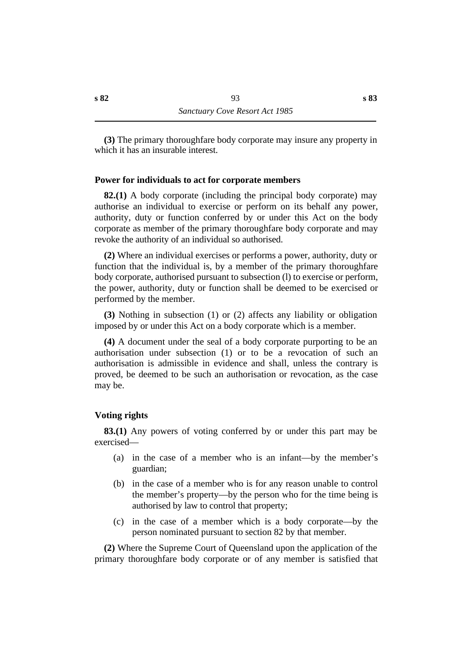**(3)** The primary thoroughfare body corporate may insure any property in which it has an insurable interest.

#### **˙Power for individuals to act for corporate members**

**82.(1)** A body corporate (including the principal body corporate) may authorise an individual to exercise or perform on its behalf any power, authority, duty or function conferred by or under this Act on the body corporate as member of the primary thoroughfare body corporate and may revoke the authority of an individual so authorised.

**(2)** Where an individual exercises or performs a power, authority, duty or function that the individual is, by a member of the primary thoroughfare body corporate, authorised pursuant to subsection (l) to exercise or perform, the power, authority, duty or function shall be deemed to be exercised or performed by the member.

**(3)** Nothing in subsection (1) or (2) affects any liability or obligation imposed by or under this Act on a body corporate which is a member.

**(4)** A document under the seal of a body corporate purporting to be an authorisation under subsection (1) or to be a revocation of such an authorisation is admissible in evidence and shall, unless the contrary is proved, be deemed to be such an authorisation or revocation, as the case may be.

#### **˙Voting rights**

**83.(1)** Any powers of voting conferred by or under this part may be exercised—

- (a) in the case of a member who is an infant—by the member's guardian;
- (b) in the case of a member who is for any reason unable to control the member's property—by the person who for the time being is authorised by law to control that property;
- (c) in the case of a member which is a body corporate—by the person nominated pursuant to section 82 by that member.

**(2)** Where the Supreme Court of Queensland upon the application of the primary thoroughfare body corporate or of any member is satisfied that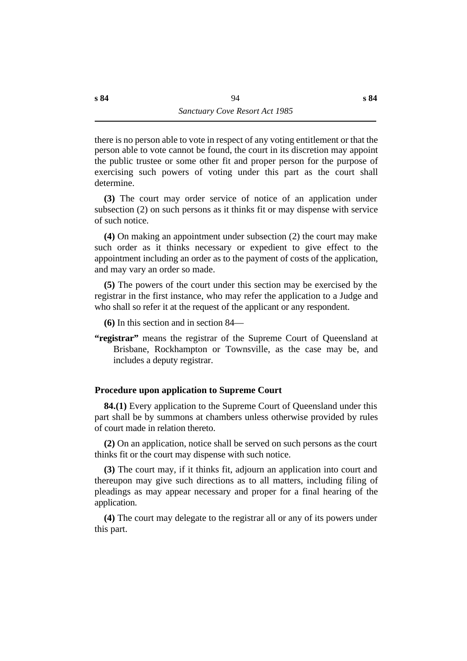there is no person able to vote in respect of any voting entitlement or that the person able to vote cannot be found, the court in its discretion may appoint the public trustee or some other fit and proper person for the purpose of exercising such powers of voting under this part as the court shall determine.

**(3)** The court may order service of notice of an application under subsection (2) on such persons as it thinks fit or may dispense with service of such notice.

**(4)** On making an appointment under subsection (2) the court may make such order as it thinks necessary or expedient to give effect to the appointment including an order as to the payment of costs of the application, and may vary an order so made.

**(5)** The powers of the court under this section may be exercised by the registrar in the first instance, who may refer the application to a Judge and who shall so refer it at the request of the applicant or any respondent.

**(6)** In this section and in section 84—

**"registrar"** means the registrar of the Supreme Court of Queensland at Brisbane, Rockhampton or Townsville, as the case may be, and includes a deputy registrar.

## **˙Procedure upon application to Supreme Court**

**84.(1)** Every application to the Supreme Court of Queensland under this part shall be by summons at chambers unless otherwise provided by rules of court made in relation thereto.

**(2)** On an application, notice shall be served on such persons as the court thinks fit or the court may dispense with such notice.

**(3)** The court may, if it thinks fit, adjourn an application into court and thereupon may give such directions as to all matters, including filing of pleadings as may appear necessary and proper for a final hearing of the application.

**(4)** The court may delegate to the registrar all or any of its powers under this part.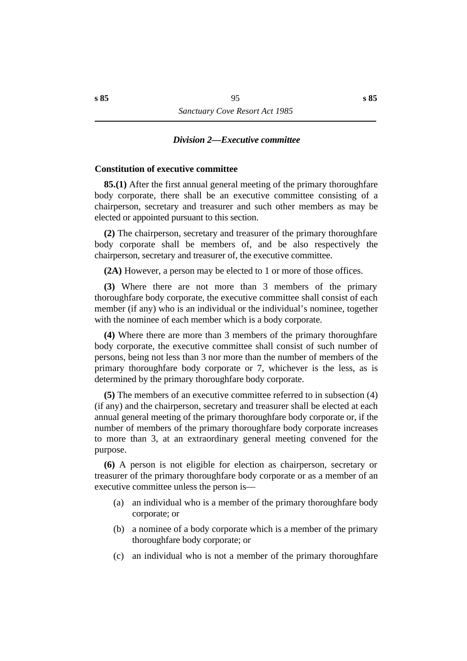#### *†Division 2—Executive committee*

### **˙Constitution of executive committee**

**85.(1)** After the first annual general meeting of the primary thoroughfare body corporate, there shall be an executive committee consisting of a chairperson, secretary and treasurer and such other members as may be elected or appointed pursuant to this section.

**(2)** The chairperson, secretary and treasurer of the primary thoroughfare body corporate shall be members of, and be also respectively the chairperson, secretary and treasurer of, the executive committee.

**(2A)** However, a person may be elected to 1 or more of those offices.

**(3)** Where there are not more than 3 members of the primary thoroughfare body corporate, the executive committee shall consist of each member (if any) who is an individual or the individual's nominee, together with the nominee of each member which is a body corporate.

**(4)** Where there are more than 3 members of the primary thoroughfare body corporate, the executive committee shall consist of such number of persons, being not less than 3 nor more than the number of members of the primary thoroughfare body corporate or 7, whichever is the less, as is determined by the primary thoroughfare body corporate.

**(5)** The members of an executive committee referred to in subsection (4) (if any) and the chairperson, secretary and treasurer shall be elected at each annual general meeting of the primary thoroughfare body corporate or, if the number of members of the primary thoroughfare body corporate increases to more than 3, at an extraordinary general meeting convened for the purpose.

**(6)** A person is not eligible for election as chairperson, secretary or treasurer of the primary thoroughfare body corporate or as a member of an executive committee unless the person is—

- (a) an individual who is a member of the primary thoroughfare body corporate; or
- (b) a nominee of a body corporate which is a member of the primary thoroughfare body corporate; or
- (c) an individual who is not a member of the primary thoroughfare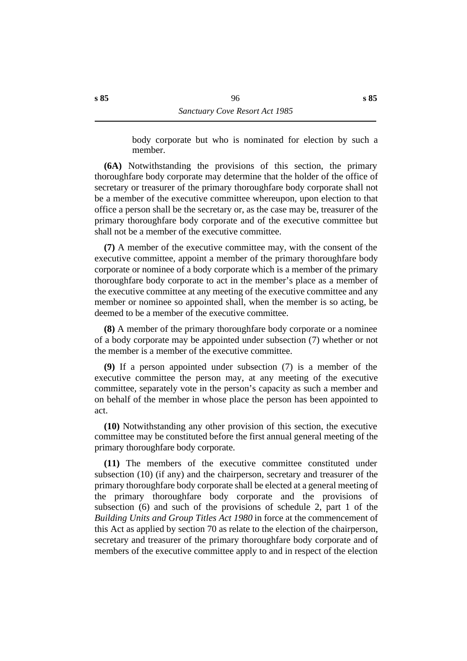body corporate but who is nominated for election by such a member.

**(6A)** Notwithstanding the provisions of this section, the primary thoroughfare body corporate may determine that the holder of the office of secretary or treasurer of the primary thoroughfare body corporate shall not be a member of the executive committee whereupon, upon election to that office a person shall be the secretary or, as the case may be, treasurer of the primary thoroughfare body corporate and of the executive committee but shall not be a member of the executive committee.

**(7)** A member of the executive committee may, with the consent of the executive committee, appoint a member of the primary thoroughfare body corporate or nominee of a body corporate which is a member of the primary thoroughfare body corporate to act in the member's place as a member of the executive committee at any meeting of the executive committee and any member or nominee so appointed shall, when the member is so acting, be deemed to be a member of the executive committee.

**(8)** A member of the primary thoroughfare body corporate or a nominee of a body corporate may be appointed under subsection (7) whether or not the member is a member of the executive committee.

**(9)** If a person appointed under subsection (7) is a member of the executive committee the person may, at any meeting of the executive committee, separately vote in the person's capacity as such a member and on behalf of the member in whose place the person has been appointed to act.

**(10)** Notwithstanding any other provision of this section, the executive committee may be constituted before the first annual general meeting of the primary thoroughfare body corporate.

**(11)** The members of the executive committee constituted under subsection (10) (if any) and the chairperson, secretary and treasurer of the primary thoroughfare body corporate shall be elected at a general meeting of the primary thoroughfare body corporate and the provisions of subsection (6) and such of the provisions of schedule 2, part 1 of the *Building Units and Group Titles Act 1980* in force at the commencement of this Act as applied by section 70 as relate to the election of the chairperson, secretary and treasurer of the primary thoroughfare body corporate and of members of the executive committee apply to and in respect of the election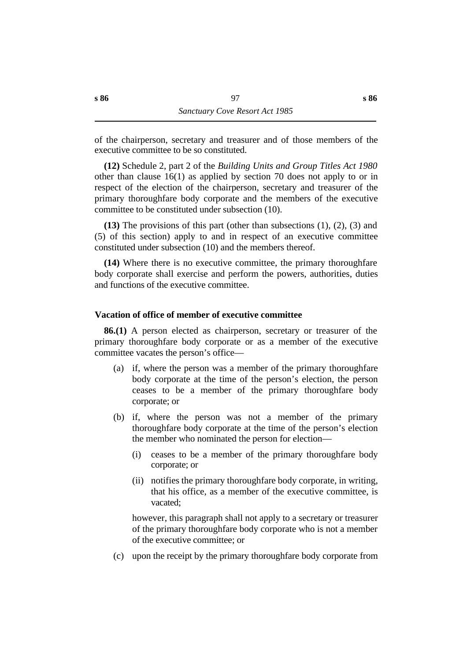of the chairperson, secretary and treasurer and of those members of the executive committee to be so constituted.

**(12)** Schedule 2, part 2 of the *Building Units and Group Titles Act 1980* other than clause 16(1) as applied by section 70 does not apply to or in respect of the election of the chairperson, secretary and treasurer of the primary thoroughfare body corporate and the members of the executive committee to be constituted under subsection (10).

**(13)** The provisions of this part (other than subsections (1), (2), (3) and (5) of this section) apply to and in respect of an executive committee constituted under subsection (10) and the members thereof.

**(14)** Where there is no executive committee, the primary thoroughfare body corporate shall exercise and perform the powers, authorities, duties and functions of the executive committee.

#### **˙Vacation of office of member of executive committee**

**86.(1)** A person elected as chairperson, secretary or treasurer of the primary thoroughfare body corporate or as a member of the executive committee vacates the person's office—

- (a) if, where the person was a member of the primary thoroughfare body corporate at the time of the person's election, the person ceases to be a member of the primary thoroughfare body corporate; or
- (b) if, where the person was not a member of the primary thoroughfare body corporate at the time of the person's election the member who nominated the person for election—
	- (i) ceases to be a member of the primary thoroughfare body corporate; or
	- (ii) notifies the primary thoroughfare body corporate, in writing, that his office, as a member of the executive committee, is vacated;

however, this paragraph shall not apply to a secretary or treasurer of the primary thoroughfare body corporate who is not a member of the executive committee; or

(c) upon the receipt by the primary thoroughfare body corporate from

**s 86**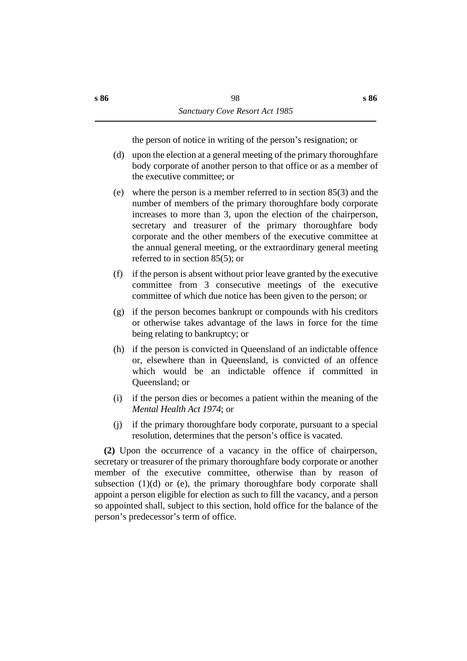the person of notice in writing of the person's resignation; or

- (d) upon the election at a general meeting of the primary thoroughfare body corporate of another person to that office or as a member of the executive committee; or
- (e) where the person is a member referred to in section 85(3) and the number of members of the primary thoroughfare body corporate increases to more than 3, upon the election of the chairperson, secretary and treasurer of the primary thoroughfare body corporate and the other members of the executive committee at the annual general meeting, or the extraordinary general meeting referred to in section 85(5); or
- (f) if the person is absent without prior leave granted by the executive committee from 3 consecutive meetings of the executive committee of which due notice has been given to the person; or
- (g) if the person becomes bankrupt or compounds with his creditors or otherwise takes advantage of the laws in force for the time being relating to bankruptcy; or
- (h) if the person is convicted in Queensland of an indictable offence or, elsewhere than in Queensland, is convicted of an offence which would be an indictable offence if committed in Queensland; or
- (i) if the person dies or becomes a patient within the meaning of the *Mental Health Act 1974*; or
- (j) if the primary thoroughfare body corporate, pursuant to a special resolution, determines that the person's office is vacated.

**(2)** Upon the occurrence of a vacancy in the office of chairperson, secretary or treasurer of the primary thoroughfare body corporate or another member of the executive committee, otherwise than by reason of subsection  $(1)(d)$  or (e), the primary thoroughfare body corporate shall appoint a person eligible for election as such to fill the vacancy, and a person so appointed shall, subject to this section, hold office for the balance of the person's predecessor's term of office.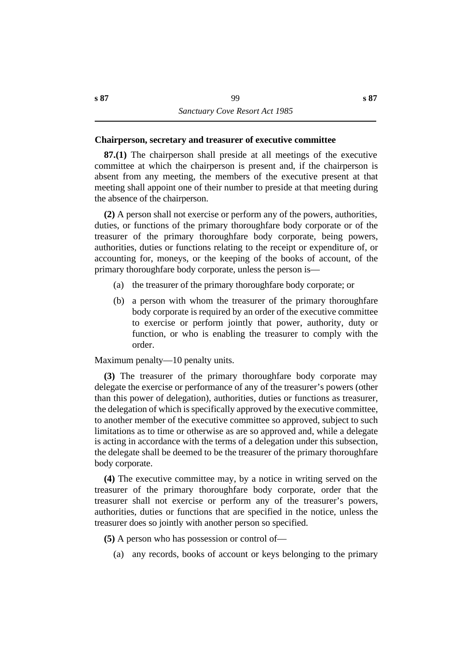#### **˙Chairperson, secretary and treasurer of executive committee**

**87.(1)** The chairperson shall preside at all meetings of the executive committee at which the chairperson is present and, if the chairperson is absent from any meeting, the members of the executive present at that meeting shall appoint one of their number to preside at that meeting during the absence of the chairperson.

**(2)** A person shall not exercise or perform any of the powers, authorities, duties, or functions of the primary thoroughfare body corporate or of the treasurer of the primary thoroughfare body corporate, being powers, authorities, duties or functions relating to the receipt or expenditure of, or accounting for, moneys, or the keeping of the books of account, of the primary thoroughfare body corporate, unless the person is—

- (a) the treasurer of the primary thoroughfare body corporate; or
- (b) a person with whom the treasurer of the primary thoroughfare body corporate is required by an order of the executive committee to exercise or perform jointly that power, authority, duty or function, or who is enabling the treasurer to comply with the order.

Maximum penalty—10 penalty units.

**(3)** The treasurer of the primary thoroughfare body corporate may delegate the exercise or performance of any of the treasurer's powers (other than this power of delegation), authorities, duties or functions as treasurer, the delegation of which is specifically approved by the executive committee, to another member of the executive committee so approved, subject to such limitations as to time or otherwise as are so approved and, while a delegate is acting in accordance with the terms of a delegation under this subsection, the delegate shall be deemed to be the treasurer of the primary thoroughfare body corporate.

**(4)** The executive committee may, by a notice in writing served on the treasurer of the primary thoroughfare body corporate, order that the treasurer shall not exercise or perform any of the treasurer's powers, authorities, duties or functions that are specified in the notice, unless the treasurer does so jointly with another person so specified.

**(5)** A person who has possession or control of—

(a) any records, books of account or keys belonging to the primary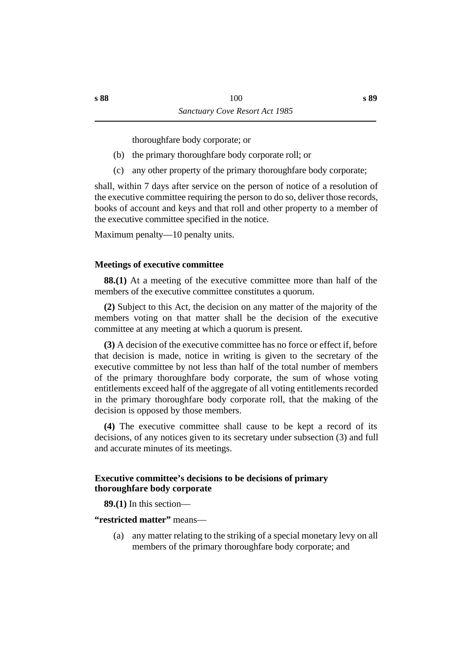thoroughfare body corporate; or

- (b) the primary thoroughfare body corporate roll; or
- (c) any other property of the primary thoroughfare body corporate;

shall, within 7 days after service on the person of notice of a resolution of the executive committee requiring the person to do so, deliver those records, books of account and keys and that roll and other property to a member of the executive committee specified in the notice.

Maximum penalty—10 penalty units.

## **˙Meetings of executive committee**

**88.(1)** At a meeting of the executive committee more than half of the members of the executive committee constitutes a quorum.

**(2)** Subject to this Act, the decision on any matter of the majority of the members voting on that matter shall be the decision of the executive committee at any meeting at which a quorum is present.

**(3)** A decision of the executive committee has no force or effect if, before that decision is made, notice in writing is given to the secretary of the executive committee by not less than half of the total number of members of the primary thoroughfare body corporate, the sum of whose voting entitlements exceed half of the aggregate of all voting entitlements recorded in the primary thoroughfare body corporate roll, that the making of the decision is opposed by those members.

**(4)** The executive committee shall cause to be kept a record of its decisions, of any notices given to its secretary under subsection (3) and full and accurate minutes of its meetings.

## **˙Executive committee's decisions to be decisions of primary thoroughfare body corporate**

**89.(1)** In this section—

**"restricted matter"** means—

(a) any matter relating to the striking of a special monetary levy on all members of the primary thoroughfare body corporate; and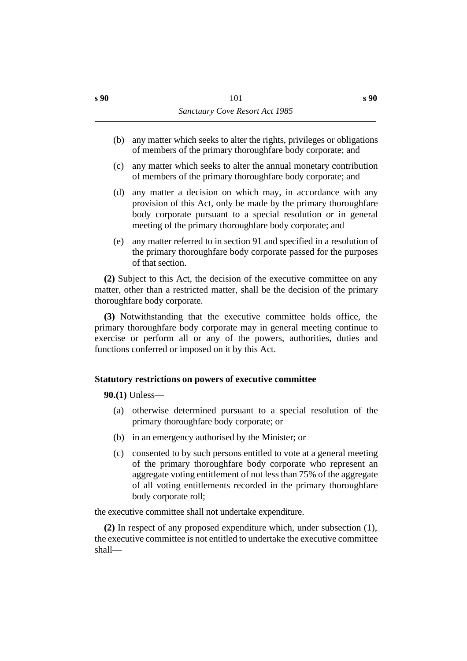- (b) any matter which seeks to alter the rights, privileges or obligations of members of the primary thoroughfare body corporate; and
- (c) any matter which seeks to alter the annual monetary contribution of members of the primary thoroughfare body corporate; and
- (d) any matter a decision on which may, in accordance with any provision of this Act, only be made by the primary thoroughfare body corporate pursuant to a special resolution or in general meeting of the primary thoroughfare body corporate; and
- (e) any matter referred to in section 91 and specified in a resolution of the primary thoroughfare body corporate passed for the purposes of that section.

**(2)** Subject to this Act, the decision of the executive committee on any matter, other than a restricted matter, shall be the decision of the primary thoroughfare body corporate.

**(3)** Notwithstanding that the executive committee holds office, the primary thoroughfare body corporate may in general meeting continue to exercise or perform all or any of the powers, authorities, duties and functions conferred or imposed on it by this Act.

## **˙Statutory restrictions on powers of executive committee**

**90.(1)** Unless—

- (a) otherwise determined pursuant to a special resolution of the primary thoroughfare body corporate; or
- (b) in an emergency authorised by the Minister; or
- (c) consented to by such persons entitled to vote at a general meeting of the primary thoroughfare body corporate who represent an aggregate voting entitlement of not less than 75% of the aggregate of all voting entitlements recorded in the primary thoroughfare body corporate roll;

the executive committee shall not undertake expenditure.

**(2)** In respect of any proposed expenditure which, under subsection (1), the executive committee is not entitled to undertake the executive committee shall—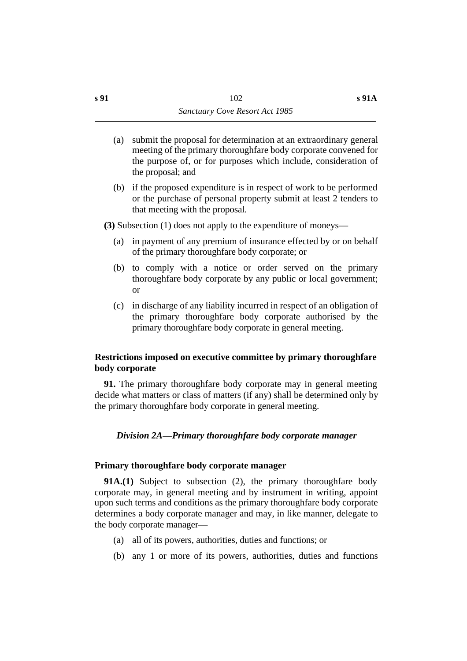- (a) submit the proposal for determination at an extraordinary general meeting of the primary thoroughfare body corporate convened for the purpose of, or for purposes which include, consideration of the proposal; and
- (b) if the proposed expenditure is in respect of work to be performed or the purchase of personal property submit at least 2 tenders to that meeting with the proposal.
- **(3)** Subsection (1) does not apply to the expenditure of moneys—
	- (a) in payment of any premium of insurance effected by or on behalf of the primary thoroughfare body corporate; or
	- (b) to comply with a notice or order served on the primary thoroughfare body corporate by any public or local government; or
	- (c) in discharge of any liability incurred in respect of an obligation of the primary thoroughfare body corporate authorised by the primary thoroughfare body corporate in general meeting.

## **˙Restrictions imposed on executive committee by primary thoroughfare body corporate**

**91.** The primary thoroughfare body corporate may in general meeting decide what matters or class of matters (if any) shall be determined only by the primary thoroughfare body corporate in general meeting.

### *†Division 2A—Primary thoroughfare body corporate manager*

#### **˙Primary thoroughfare body corporate manager**

**91A.(1)** Subject to subsection (2), the primary thoroughfare body corporate may, in general meeting and by instrument in writing, appoint upon such terms and conditions as the primary thoroughfare body corporate determines a body corporate manager and may, in like manner, delegate to the body corporate manager—

- (a) all of its powers, authorities, duties and functions; or
- (b) any 1 or more of its powers, authorities, duties and functions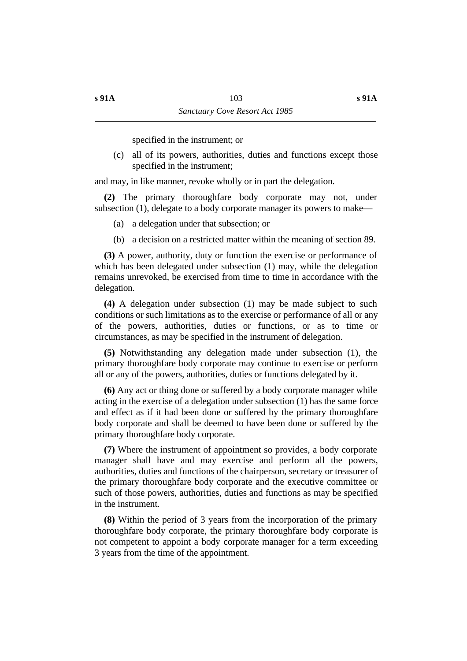specified in the instrument; or

(c) all of its powers, authorities, duties and functions except those specified in the instrument;

and may, in like manner, revoke wholly or in part the delegation.

**(2)** The primary thoroughfare body corporate may not, under subsection (1), delegate to a body corporate manager its powers to make—

- (a) a delegation under that subsection; or
- (b) a decision on a restricted matter within the meaning of section 89.

**(3)** A power, authority, duty or function the exercise or performance of which has been delegated under subsection (1) may, while the delegation remains unrevoked, be exercised from time to time in accordance with the delegation.

**(4)** A delegation under subsection (1) may be made subject to such conditions or such limitations as to the exercise or performance of all or any of the powers, authorities, duties or functions, or as to time or circumstances, as may be specified in the instrument of delegation.

**(5)** Notwithstanding any delegation made under subsection (1), the primary thoroughfare body corporate may continue to exercise or perform all or any of the powers, authorities, duties or functions delegated by it.

**(6)** Any act or thing done or suffered by a body corporate manager while acting in the exercise of a delegation under subsection (1) has the same force and effect as if it had been done or suffered by the primary thoroughfare body corporate and shall be deemed to have been done or suffered by the primary thoroughfare body corporate.

**(7)** Where the instrument of appointment so provides, a body corporate manager shall have and may exercise and perform all the powers, authorities, duties and functions of the chairperson, secretary or treasurer of the primary thoroughfare body corporate and the executive committee or such of those powers, authorities, duties and functions as may be specified in the instrument.

**(8)** Within the period of 3 years from the incorporation of the primary thoroughfare body corporate, the primary thoroughfare body corporate is not competent to appoint a body corporate manager for a term exceeding 3 years from the time of the appointment.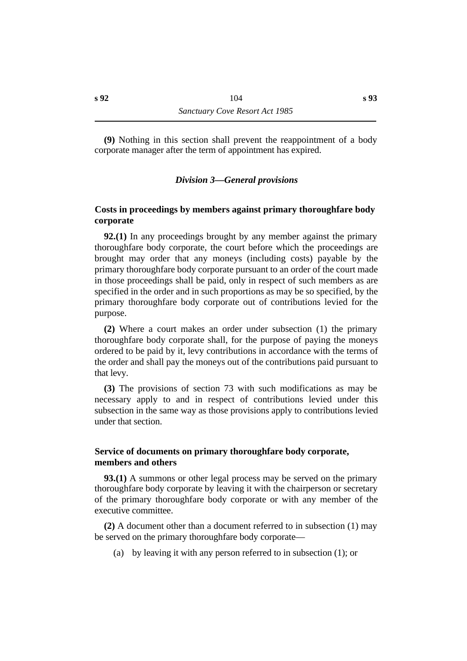**(9)** Nothing in this section shall prevent the reappointment of a body corporate manager after the term of appointment has expired.

### *†Division 3—General provisions*

## **˙Costs in proceedings by members against primary thoroughfare body corporate**

**92.(1)** In any proceedings brought by any member against the primary thoroughfare body corporate, the court before which the proceedings are brought may order that any moneys (including costs) payable by the primary thoroughfare body corporate pursuant to an order of the court made in those proceedings shall be paid, only in respect of such members as are specified in the order and in such proportions as may be so specified, by the primary thoroughfare body corporate out of contributions levied for the purpose.

**(2)** Where a court makes an order under subsection (1) the primary thoroughfare body corporate shall, for the purpose of paying the moneys ordered to be paid by it, levy contributions in accordance with the terms of the order and shall pay the moneys out of the contributions paid pursuant to that levy.

**(3)** The provisions of section 73 with such modifications as may be necessary apply to and in respect of contributions levied under this subsection in the same way as those provisions apply to contributions levied under that section.

### **˙Service of documents on primary thoroughfare body corporate, members and others**

**93.(1)** A summons or other legal process may be served on the primary thoroughfare body corporate by leaving it with the chairperson or secretary of the primary thoroughfare body corporate or with any member of the executive committee.

**(2)** A document other than a document referred to in subsection (1) may be served on the primary thoroughfare body corporate—

(a) by leaving it with any person referred to in subsection (1); or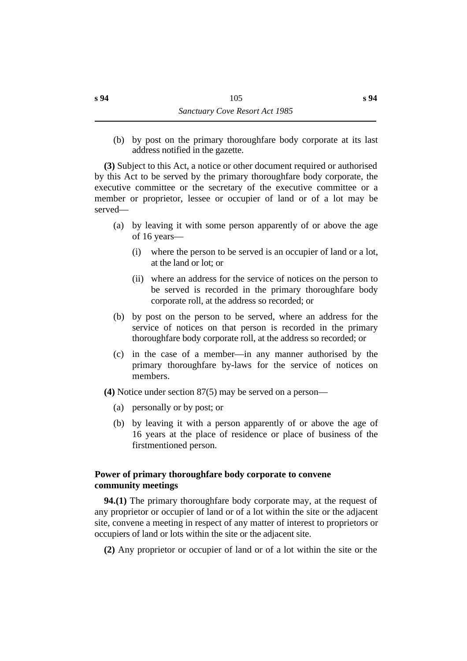(b) by post on the primary thoroughfare body corporate at its last address notified in the gazette.

**(3)** Subject to this Act, a notice or other document required or authorised by this Act to be served by the primary thoroughfare body corporate, the executive committee or the secretary of the executive committee or a member or proprietor, lessee or occupier of land or of a lot may be served—

- (a) by leaving it with some person apparently of or above the age of 16 years—
	- (i) where the person to be served is an occupier of land or a lot, at the land or lot; or
	- (ii) where an address for the service of notices on the person to be served is recorded in the primary thoroughfare body corporate roll, at the address so recorded; or
- (b) by post on the person to be served, where an address for the service of notices on that person is recorded in the primary thoroughfare body corporate roll, at the address so recorded; or
- (c) in the case of a member—in any manner authorised by the primary thoroughfare by-laws for the service of notices on members.

**(4)** Notice under section 87(5) may be served on a person—

- (a) personally or by post; or
- (b) by leaving it with a person apparently of or above the age of 16 years at the place of residence or place of business of the firstmentioned person.

## **˙Power of primary thoroughfare body corporate to convene community meetings**

**94.(1)** The primary thoroughfare body corporate may, at the request of any proprietor or occupier of land or of a lot within the site or the adjacent site, convene a meeting in respect of any matter of interest to proprietors or occupiers of land or lots within the site or the adjacent site.

**(2)** Any proprietor or occupier of land or of a lot within the site or the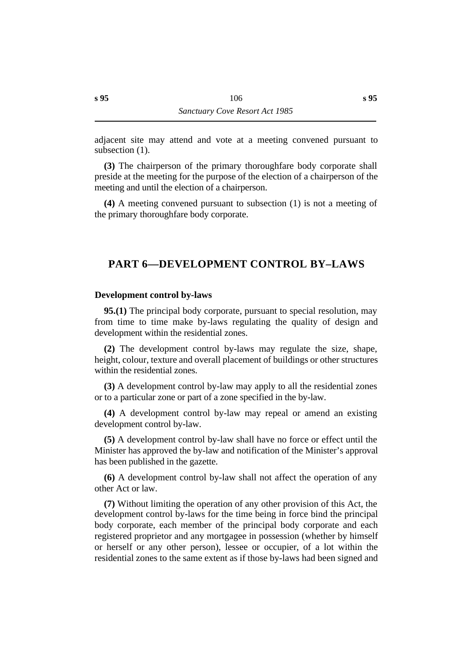adjacent site may attend and vote at a meeting convened pursuant to subsection  $(1)$ .

**(3)** The chairperson of the primary thoroughfare body corporate shall preside at the meeting for the purpose of the election of a chairperson of the meeting and until the election of a chairperson.

**(4)** A meeting convened pursuant to subsection (1) is not a meeting of the primary thoroughfare body corporate.

## **†PART 6—DEVELOPMENT CONTROL BY–LAWS**

#### **˙Development control by-laws**

**95.(1)** The principal body corporate, pursuant to special resolution, may from time to time make by-laws regulating the quality of design and development within the residential zones.

**(2)** The development control by-laws may regulate the size, shape, height, colour, texture and overall placement of buildings or other structures within the residential zones.

**(3)** A development control by-law may apply to all the residential zones or to a particular zone or part of a zone specified in the by-law.

**(4)** A development control by-law may repeal or amend an existing development control by-law.

**(5)** A development control by-law shall have no force or effect until the Minister has approved the by-law and notification of the Minister's approval has been published in the gazette.

**(6)** A development control by-law shall not affect the operation of any other Act or law.

**(7)** Without limiting the operation of any other provision of this Act, the development control by-laws for the time being in force bind the principal body corporate, each member of the principal body corporate and each registered proprietor and any mortgagee in possession (whether by himself or herself or any other person), lessee or occupier, of a lot within the residential zones to the same extent as if those by-laws had been signed and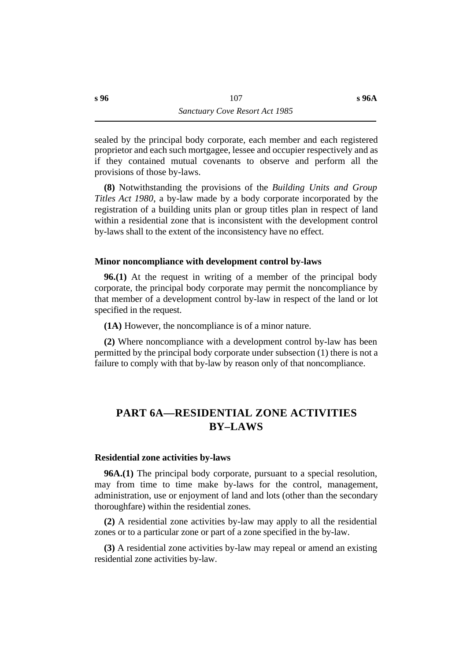**s 96A**

sealed by the principal body corporate, each member and each registered proprietor and each such mortgagee, lessee and occupier respectively and as if they contained mutual covenants to observe and perform all the provisions of those by-laws.

**(8)** Notwithstanding the provisions of the *Building Units and Group Titles Act 1980*, a by-law made by a body corporate incorporated by the registration of a building units plan or group titles plan in respect of land within a residential zone that is inconsistent with the development control by-laws shall to the extent of the inconsistency have no effect.

### **˙Minor noncompliance with development control by-laws**

**96.(1)** At the request in writing of a member of the principal body corporate, the principal body corporate may permit the noncompliance by that member of a development control by-law in respect of the land or lot specified in the request.

**(1A)** However, the noncompliance is of a minor nature.

**(2)** Where noncompliance with a development control by-law has been permitted by the principal body corporate under subsection (1) there is not a failure to comply with that by-law by reason only of that noncompliance.

# **†PART 6A—RESIDENTIAL ZONE ACTIVITIES BY–LAWS**

### **˙Residential zone activities by-laws**

**96A.(1)** The principal body corporate, pursuant to a special resolution, may from time to time make by-laws for the control, management, administration, use or enjoyment of land and lots (other than the secondary thoroughfare) within the residential zones.

**(2)** A residential zone activities by-law may apply to all the residential zones or to a particular zone or part of a zone specified in the by-law.

**(3)** A residential zone activities by-law may repeal or amend an existing residential zone activities by-law.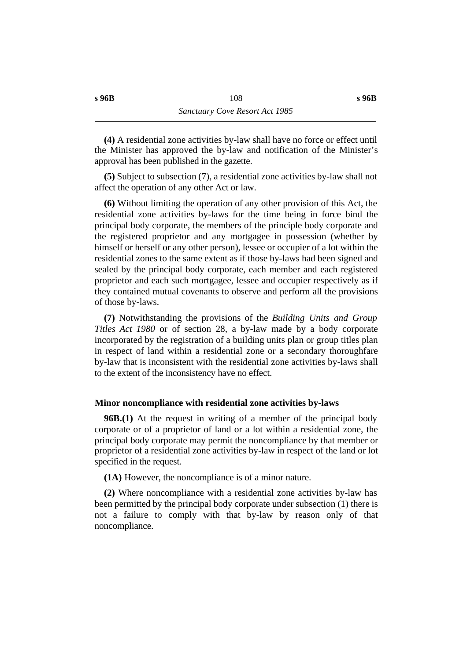**(4)** A residential zone activities by-law shall have no force or effect until the Minister has approved the by-law and notification of the Minister's approval has been published in the gazette.

**(5)** Subject to subsection (7), a residential zone activities by-law shall not affect the operation of any other Act or law.

**(6)** Without limiting the operation of any other provision of this Act, the residential zone activities by-laws for the time being in force bind the principal body corporate, the members of the principle body corporate and the registered proprietor and any mortgagee in possession (whether by himself or herself or any other person), lessee or occupier of a lot within the residential zones to the same extent as if those by-laws had been signed and sealed by the principal body corporate, each member and each registered proprietor and each such mortgagee, lessee and occupier respectively as if they contained mutual covenants to observe and perform all the provisions of those by-laws.

**(7)** Notwithstanding the provisions of the *Building Units and Group Titles Act 1980* or of section 28, a by-law made by a body corporate incorporated by the registration of a building units plan or group titles plan in respect of land within a residential zone or a secondary thoroughfare by-law that is inconsistent with the residential zone activities by-laws shall to the extent of the inconsistency have no effect.

### **˙Minor noncompliance with residential zone activities by-laws**

**96B.(1)** At the request in writing of a member of the principal body corporate or of a proprietor of land or a lot within a residential zone, the principal body corporate may permit the noncompliance by that member or proprietor of a residential zone activities by-law in respect of the land or lot specified in the request.

**(1A)** However, the noncompliance is of a minor nature.

**(2)** Where noncompliance with a residential zone activities by-law has been permitted by the principal body corporate under subsection (1) there is not a failure to comply with that by-law by reason only of that noncompliance.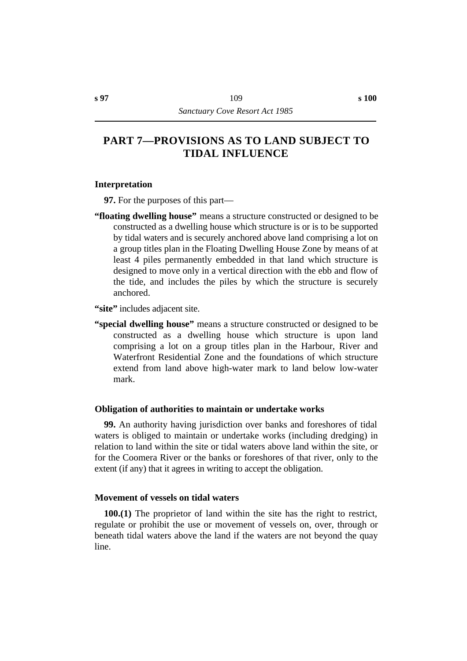# **†PART 7—PROVISIONS AS TO LAND SUBJECT TO TIDAL INFLUENCE**

### **˙Interpretation**

**97.** For the purposes of this part—

- **"floating dwelling house"** means a structure constructed or designed to be constructed as a dwelling house which structure is or is to be supported by tidal waters and is securely anchored above land comprising a lot on a group titles plan in the Floating Dwelling House Zone by means of at least 4 piles permanently embedded in that land which structure is designed to move only in a vertical direction with the ebb and flow of the tide, and includes the piles by which the structure is securely anchored.
- **"site"** includes adjacent site.
- **"special dwelling house"** means a structure constructed or designed to be constructed as a dwelling house which structure is upon land comprising a lot on a group titles plan in the Harbour, River and Waterfront Residential Zone and the foundations of which structure extend from land above high-water mark to land below low-water mark.

### **˙Obligation of authorities to maintain or undertake works**

**99.** An authority having jurisdiction over banks and foreshores of tidal waters is obliged to maintain or undertake works (including dredging) in relation to land within the site or tidal waters above land within the site, or for the Coomera River or the banks or foreshores of that river, only to the extent (if any) that it agrees in writing to accept the obligation.

### **˙Movement of vessels on tidal waters**

**100.(1)** The proprietor of land within the site has the right to restrict, regulate or prohibit the use or movement of vessels on, over, through or beneath tidal waters above the land if the waters are not beyond the quay line.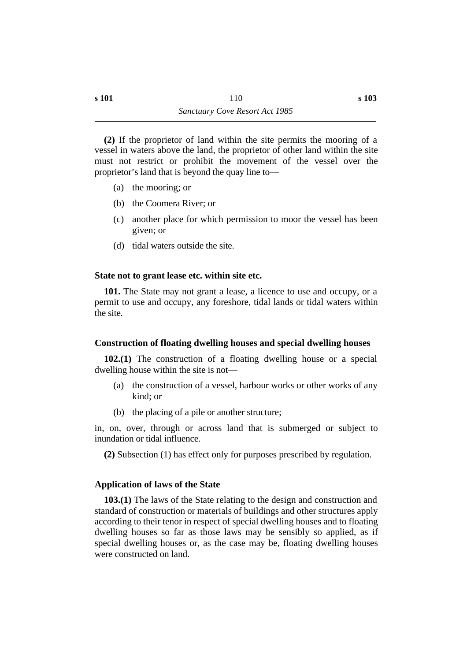**(2)** If the proprietor of land within the site permits the mooring of a vessel in waters above the land, the proprietor of other land within the site must not restrict or prohibit the movement of the vessel over the proprietor's land that is beyond the quay line to—

- (a) the mooring; or
- (b) the Coomera River; or
- (c) another place for which permission to moor the vessel has been given; or
- (d) tidal waters outside the site.

## **˙State not to grant lease etc. within site etc.**

**101.** The State may not grant a lease, a licence to use and occupy, or a permit to use and occupy, any foreshore, tidal lands or tidal waters within the site.

# **˙Construction of floating dwelling houses and special dwelling houses**

**102.(1)** The construction of a floating dwelling house or a special dwelling house within the site is not—

- (a) the construction of a vessel, harbour works or other works of any kind; or
- (b) the placing of a pile or another structure;

in, on, over, through or across land that is submerged or subject to inundation or tidal influence.

**(2)** Subsection (1) has effect only for purposes prescribed by regulation.

# **˙Application of laws of the State**

**103.(1)** The laws of the State relating to the design and construction and standard of construction or materials of buildings and other structures apply according to their tenor in respect of special dwelling houses and to floating dwelling houses so far as those laws may be sensibly so applied, as if special dwelling houses or, as the case may be, floating dwelling houses were constructed on land.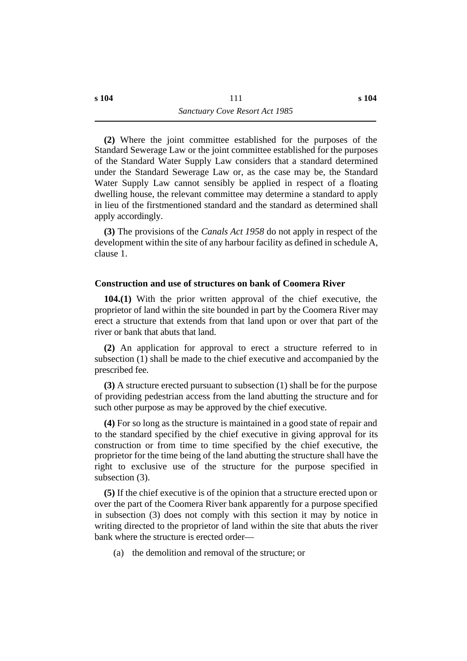**(2)** Where the joint committee established for the purposes of the Standard Sewerage Law or the joint committee established for the purposes of the Standard Water Supply Law considers that a standard determined under the Standard Sewerage Law or, as the case may be, the Standard Water Supply Law cannot sensibly be applied in respect of a floating dwelling house, the relevant committee may determine a standard to apply in lieu of the firstmentioned standard and the standard as determined shall apply accordingly.

**(3)** The provisions of the *Canals Act 1958* do not apply in respect of the development within the site of any harbour facility as defined in schedule A, clause 1.

### **˙Construction and use of structures on bank of Coomera River**

**104.(1)** With the prior written approval of the chief executive, the proprietor of land within the site bounded in part by the Coomera River may erect a structure that extends from that land upon or over that part of the river or bank that abuts that land.

**(2)** An application for approval to erect a structure referred to in subsection (1) shall be made to the chief executive and accompanied by the prescribed fee.

**(3)** A structure erected pursuant to subsection (1) shall be for the purpose of providing pedestrian access from the land abutting the structure and for such other purpose as may be approved by the chief executive.

**(4)** For so long as the structure is maintained in a good state of repair and to the standard specified by the chief executive in giving approval for its construction or from time to time specified by the chief executive, the proprietor for the time being of the land abutting the structure shall have the right to exclusive use of the structure for the purpose specified in subsection (3).

**(5)** If the chief executive is of the opinion that a structure erected upon or over the part of the Coomera River bank apparently for a purpose specified in subsection (3) does not comply with this section it may by notice in writing directed to the proprietor of land within the site that abuts the river bank where the structure is erected order—

(a) the demolition and removal of the structure; or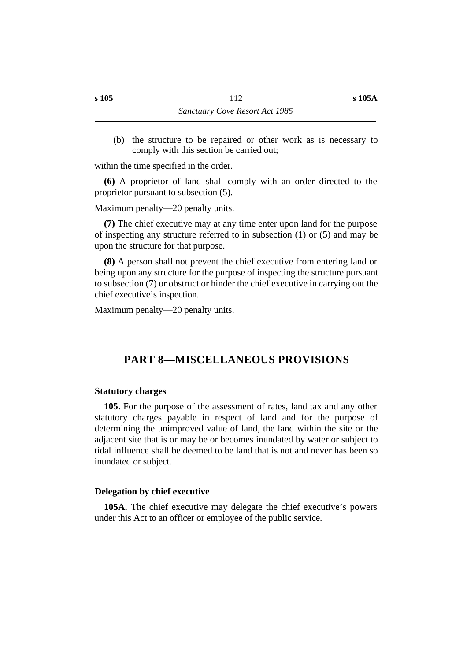(b) the structure to be repaired or other work as is necessary to comply with this section be carried out;

within the time specified in the order.

**(6)** A proprietor of land shall comply with an order directed to the proprietor pursuant to subsection (5).

Maximum penalty—20 penalty units.

**(7)** The chief executive may at any time enter upon land for the purpose of inspecting any structure referred to in subsection (1) or (5) and may be upon the structure for that purpose.

**(8)** A person shall not prevent the chief executive from entering land or being upon any structure for the purpose of inspecting the structure pursuant to subsection (7) or obstruct or hinder the chief executive in carrying out the chief executive's inspection.

Maximum penalty—20 penalty units.

# **†PART 8—MISCELLANEOUS PROVISIONS**

### **˙Statutory charges**

**105.** For the purpose of the assessment of rates, land tax and any other statutory charges payable in respect of land and for the purpose of determining the unimproved value of land, the land within the site or the adjacent site that is or may be or becomes inundated by water or subject to tidal influence shall be deemed to be land that is not and never has been so inundated or subject.

### **˙Delegation by chief executive**

**105A.** The chief executive may delegate the chief executive's powers under this Act to an officer or employee of the public service.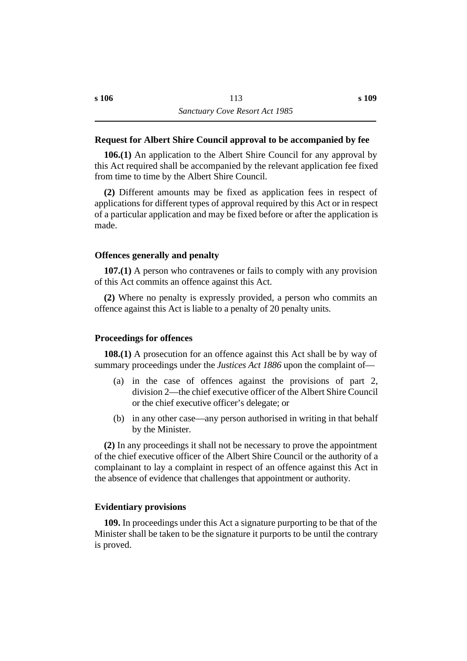### **˙Request for Albert Shire Council approval to be accompanied by fee**

**106.(1)** An application to the Albert Shire Council for any approval by this Act required shall be accompanied by the relevant application fee fixed from time to time by the Albert Shire Council.

**(2)** Different amounts may be fixed as application fees in respect of applications for different types of approval required by this Act or in respect of a particular application and may be fixed before or after the application is made.

### **˙Offences generally and penalty**

**107.(1)** A person who contravenes or fails to comply with any provision of this Act commits an offence against this Act.

**(2)** Where no penalty is expressly provided, a person who commits an offence against this Act is liable to a penalty of 20 penalty units.

### **˙Proceedings for offences**

**108.(1)** A prosecution for an offence against this Act shall be by way of summary proceedings under the *Justices Act 1886* upon the complaint of—

- (a) in the case of offences against the provisions of part 2, division 2—the chief executive officer of the Albert Shire Council or the chief executive officer's delegate; or
- (b) in any other case—any person authorised in writing in that behalf by the Minister.

**(2)** In any proceedings it shall not be necessary to prove the appointment of the chief executive officer of the Albert Shire Council or the authority of a complainant to lay a complaint in respect of an offence against this Act in the absence of evidence that challenges that appointment or authority.

### **˙Evidentiary provisions**

**109.** In proceedings under this Act a signature purporting to be that of the Minister shall be taken to be the signature it purports to be until the contrary is proved.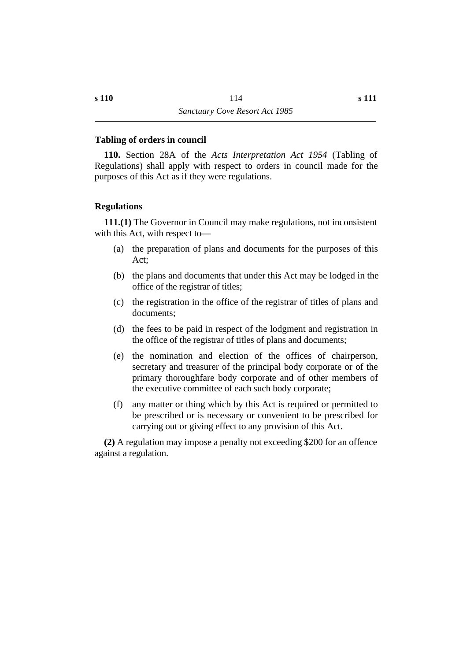### **˙Tabling of orders in council**

**110.** Section 28A of the *Acts Interpretation Act 1954* (Tabling of Regulations) shall apply with respect to orders in council made for the purposes of this Act as if they were regulations.

### **˙Regulations**

**111.(1)** The Governor in Council may make regulations, not inconsistent with this Act, with respect to—

- (a) the preparation of plans and documents for the purposes of this Act;
- (b) the plans and documents that under this Act may be lodged in the office of the registrar of titles;
- (c) the registration in the office of the registrar of titles of plans and documents;
- (d) the fees to be paid in respect of the lodgment and registration in the office of the registrar of titles of plans and documents;
- (e) the nomination and election of the offices of chairperson, secretary and treasurer of the principal body corporate or of the primary thoroughfare body corporate and of other members of the executive committee of each such body corporate;
- (f) any matter or thing which by this Act is required or permitted to be prescribed or is necessary or convenient to be prescribed for carrying out or giving effect to any provision of this Act.

**(2)** A regulation may impose a penalty not exceeding \$200 for an offence against a regulation.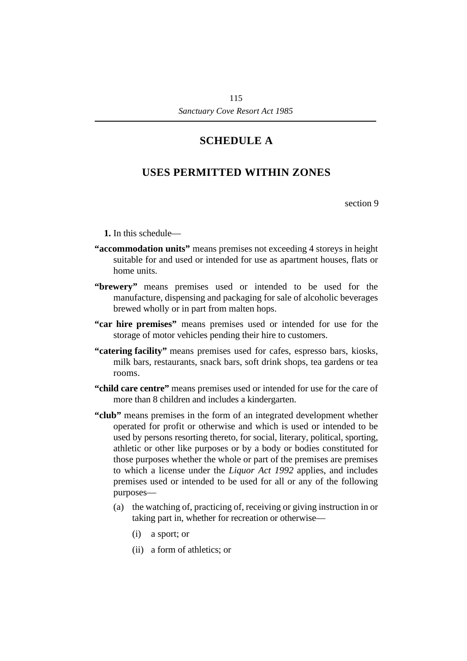# **¡SCHEDULE A**

# **†USES PERMITTED WITHIN ZONES**

section 9

**1.** In this schedule—

- **"accommodation units"** means premises not exceeding 4 storeys in height suitable for and used or intended for use as apartment houses, flats or home units.
- **"brewery"** means premises used or intended to be used for the manufacture, dispensing and packaging for sale of alcoholic beverages brewed wholly or in part from malten hops.
- **"car hire premises"** means premises used or intended for use for the storage of motor vehicles pending their hire to customers.
- **"catering facility"** means premises used for cafes, espresso bars, kiosks, milk bars, restaurants, snack bars, soft drink shops, tea gardens or tea rooms.
- **"child care centre"** means premises used or intended for use for the care of more than 8 children and includes a kindergarten.
- **"club"** means premises in the form of an integrated development whether operated for profit or otherwise and which is used or intended to be used by persons resorting thereto, for social, literary, political, sporting, athletic or other like purposes or by a body or bodies constituted for those purposes whether the whole or part of the premises are premises to which a license under the *Liquor Act 1992* applies, and includes premises used or intended to be used for all or any of the following purposes—
	- (a) the watching of, practicing of, receiving or giving instruction in or taking part in, whether for recreation or otherwise—
		- (i) a sport; or
		- (ii) a form of athletics; or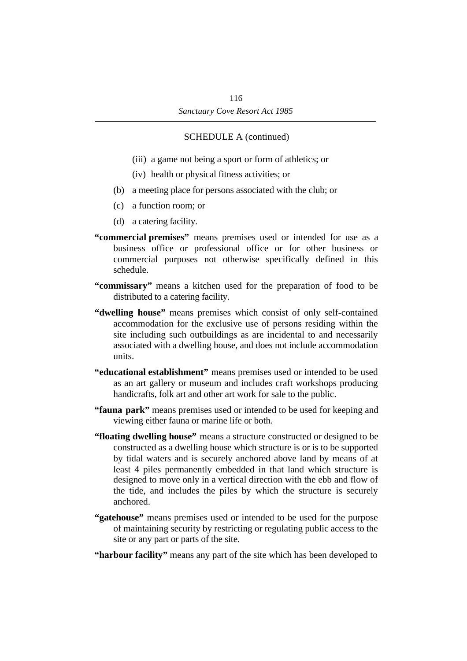- (iii) a game not being a sport or form of athletics; or
- (iv) health or physical fitness activities; or
- (b) a meeting place for persons associated with the club; or
- (c) a function room; or
- (d) a catering facility.
- **"commercial premises"** means premises used or intended for use as a business office or professional office or for other business or commercial purposes not otherwise specifically defined in this schedule.
- **"commissary"** means a kitchen used for the preparation of food to be distributed to a catering facility.
- **"dwelling house"** means premises which consist of only self-contained accommodation for the exclusive use of persons residing within the site including such outbuildings as are incidental to and necessarily associated with a dwelling house, and does not include accommodation units.
- **"educational establishment"** means premises used or intended to be used as an art gallery or museum and includes craft workshops producing handicrafts, folk art and other art work for sale to the public.
- **"fauna park"** means premises used or intended to be used for keeping and viewing either fauna or marine life or both.
- **"floating dwelling house"** means a structure constructed or designed to be constructed as a dwelling house which structure is or is to be supported by tidal waters and is securely anchored above land by means of at least 4 piles permanently embedded in that land which structure is designed to move only in a vertical direction with the ebb and flow of the tide, and includes the piles by which the structure is securely anchored.
- **"gatehouse"** means premises used or intended to be used for the purpose of maintaining security by restricting or regulating public access to the site or any part or parts of the site.
- **"harbour facility"** means any part of the site which has been developed to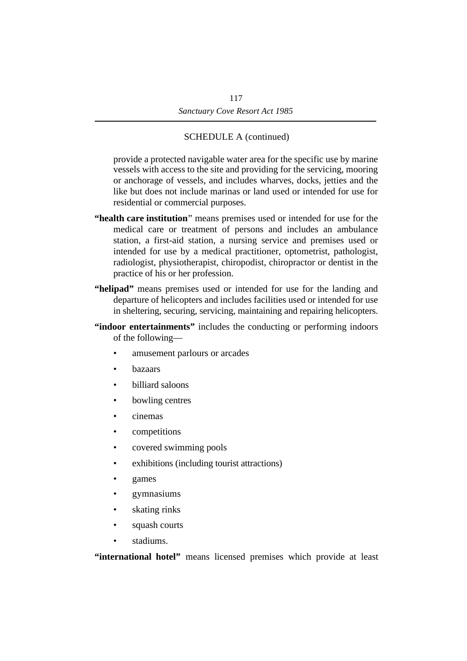provide a protected navigable water area for the specific use by marine vessels with access to the site and providing for the servicing, mooring or anchorage of vessels, and includes wharves, docks, jetties and the like but does not include marinas or land used or intended for use for residential or commercial purposes.

- **"health care institution**" means premises used or intended for use for the medical care or treatment of persons and includes an ambulance station, a first-aid station, a nursing service and premises used or intended for use by a medical practitioner, optometrist, pathologist, radiologist, physiotherapist, chiropodist, chiropractor or dentist in the practice of his or her profession.
- **"helipad"** means premises used or intended for use for the landing and departure of helicopters and includes facilities used or intended for use in sheltering, securing, servicing, maintaining and repairing helicopters.
- **"indoor entertainments"** includes the conducting or performing indoors of the following
	- amusement parlours or arcades
	- bazaars
	- billiard saloons
	- bowling centres
	- cinemas
	- competitions
	- covered swimming pools
	- exhibitions (including tourist attractions)
	- games
	- gymnasiums
	- skating rinks
	- squash courts
	- stadiums.

**"international hotel"** means licensed premises which provide at least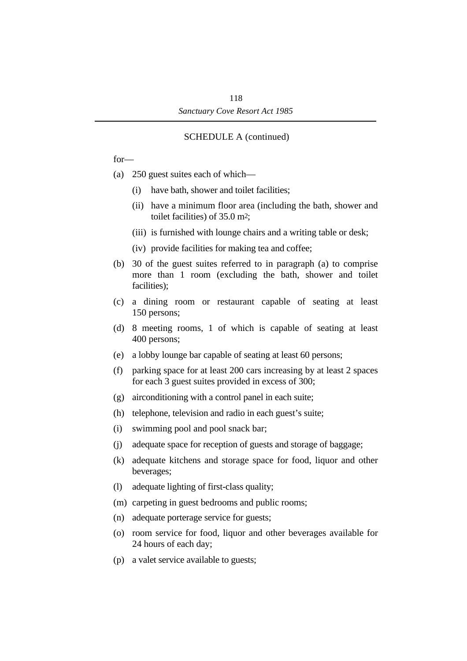for—

- (a) 250 guest suites each of which—
	- (i) have bath, shower and toilet facilities;
	- (ii) have a minimum floor area (including the bath, shower and toilet facilities) of 35.0 m2;
	- (iii) is furnished with lounge chairs and a writing table or desk;
	- (iv) provide facilities for making tea and coffee;
- (b) 30 of the guest suites referred to in paragraph (a) to comprise more than 1 room (excluding the bath, shower and toilet facilities);
- (c) a dining room or restaurant capable of seating at least 150 persons;
- (d) 8 meeting rooms, 1 of which is capable of seating at least 400 persons;
- (e) a lobby lounge bar capable of seating at least 60 persons;
- (f) parking space for at least 200 cars increasing by at least 2 spaces for each 3 guest suites provided in excess of 300;
- (g) airconditioning with a control panel in each suite;
- (h) telephone, television and radio in each guest's suite;
- (i) swimming pool and pool snack bar;
- (j) adequate space for reception of guests and storage of baggage;
- (k) adequate kitchens and storage space for food, liquor and other beverages;
- (l) adequate lighting of first-class quality;
- (m) carpeting in guest bedrooms and public rooms;
- (n) adequate porterage service for guests;
- (o) room service for food, liquor and other beverages available for 24 hours of each day;
- (p) a valet service available to guests;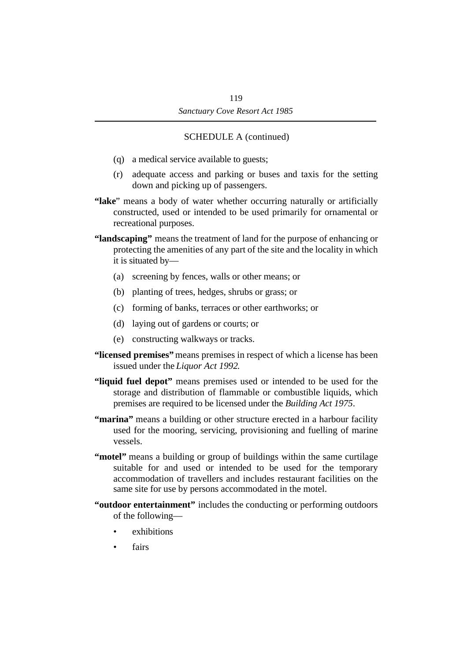- (q) a medical service available to guests;
- (r) adequate access and parking or buses and taxis for the setting down and picking up of passengers.
- **"lake**" means a body of water whether occurring naturally or artificially constructed, used or intended to be used primarily for ornamental or recreational purposes.
- **"landscaping"** means the treatment of land for the purpose of enhancing or protecting the amenities of any part of the site and the locality in which it is situated by—
	- (a) screening by fences, walls or other means; or
	- (b) planting of trees, hedges, shrubs or grass; or
	- (c) forming of banks, terraces or other earthworks; or
	- (d) laying out of gardens or courts; or
	- (e) constructing walkways or tracks.
- **"licensed premises"** means premises in respect of which a license has been issued under the *Liquor Act 1992*.
- **"liquid fuel depot"** means premises used or intended to be used for the storage and distribution of flammable or combustible liquids, which premises are required to be licensed under the *Building Act 1975*.
- **"marina"** means a building or other structure erected in a harbour facility used for the mooring, servicing, provisioning and fuelling of marine vessels.
- **"motel"** means a building or group of buildings within the same curtilage suitable for and used or intended to be used for the temporary accommodation of travellers and includes restaurant facilities on the same site for use by persons accommodated in the motel.
- **"outdoor entertainment"** includes the conducting or performing outdoors of the following—
	- exhibitions
	- **fairs**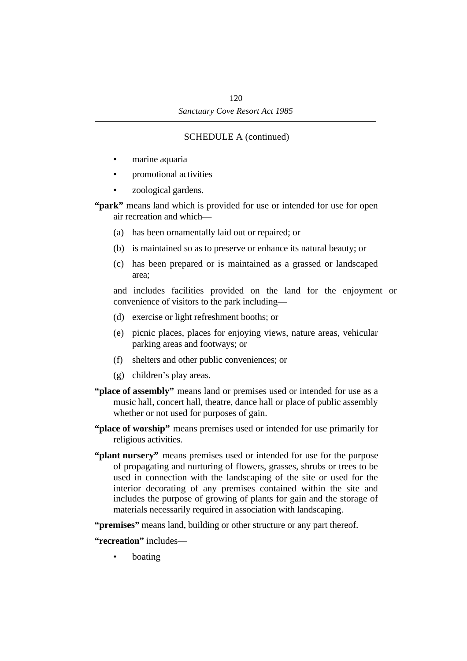- marine aquaria
- promotional activities
- zoological gardens.

**"park"** means land which is provided for use or intended for use for open air recreation and which—

- (a) has been ornamentally laid out or repaired; or
- (b) is maintained so as to preserve or enhance its natural beauty; or
- (c) has been prepared or is maintained as a grassed or landscaped area;

and includes facilities provided on the land for the enjoyment or convenience of visitors to the park including—

- (d) exercise or light refreshment booths; or
- (e) picnic places, places for enjoying views, nature areas, vehicular parking areas and footways; or
- (f) shelters and other public conveniences; or
- (g) children's play areas.
- **"place of assembly"** means land or premises used or intended for use as a music hall, concert hall, theatre, dance hall or place of public assembly whether or not used for purposes of gain.
- **"place of worship"** means premises used or intended for use primarily for religious activities.
- **"plant nursery"** means premises used or intended for use for the purpose of propagating and nurturing of flowers, grasses, shrubs or trees to be used in connection with the landscaping of the site or used for the interior decorating of any premises contained within the site and includes the purpose of growing of plants for gain and the storage of materials necessarily required in association with landscaping.

**"premises"** means land, building or other structure or any part thereof.

**"recreation"** includes—

**boating**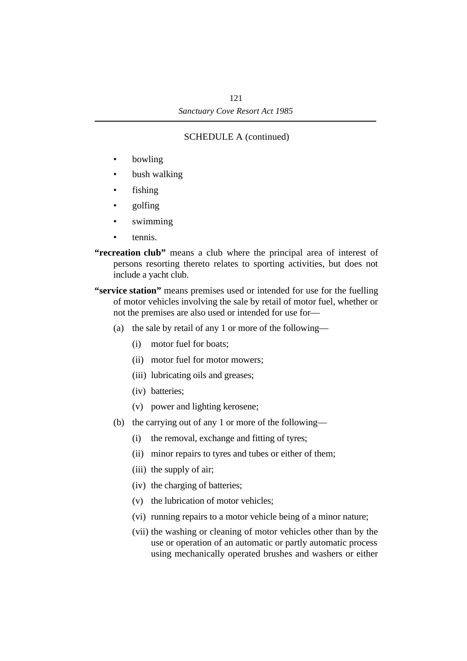- bowling
- bush walking
- fishing
- golfing
- swimming
- tennis.
- **"recreation club"** means a club where the principal area of interest of persons resorting thereto relates to sporting activities, but does not include a yacht club.
- **"service station"** means premises used or intended for use for the fuelling of motor vehicles involving the sale by retail of motor fuel, whether or not the premises are also used or intended for use for—
	- (a) the sale by retail of any 1 or more of the following—
		- (i) motor fuel for boats;
		- (ii) motor fuel for motor mowers;
		- (iii) lubricating oils and greases;
		- (iv) batteries;
		- (v) power and lighting kerosene;
	- (b) the carrying out of any 1 or more of the following—
		- (i) the removal, exchange and fitting of tyres;
		- (ii) minor repairs to tyres and tubes or either of them;
		- (iii) the supply of air;
		- (iv) the charging of batteries;
		- (v) the lubrication of motor vehicles;
		- (vi) running repairs to a motor vehicle being of a minor nature;
		- (vii) the washing or cleaning of motor vehicles other than by the use or operation of an automatic or partly automatic process using mechanically operated brushes and washers or either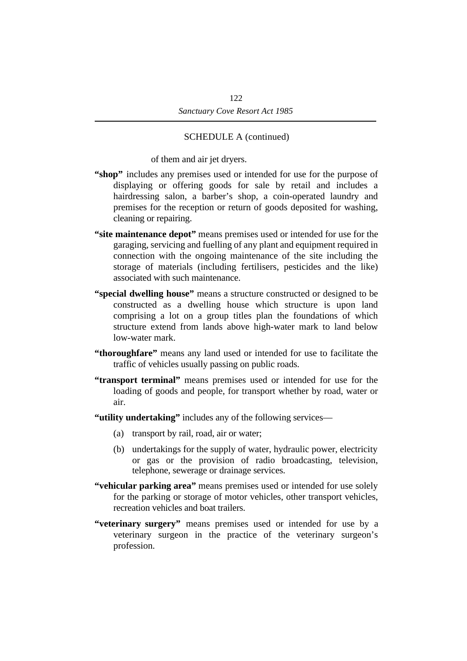of them and air jet dryers.

- **"shop"** includes any premises used or intended for use for the purpose of displaying or offering goods for sale by retail and includes a hairdressing salon, a barber's shop, a coin-operated laundry and premises for the reception or return of goods deposited for washing, cleaning or repairing.
- **"site maintenance depot"** means premises used or intended for use for the garaging, servicing and fuelling of any plant and equipment required in connection with the ongoing maintenance of the site including the storage of materials (including fertilisers, pesticides and the like) associated with such maintenance.
- **"special dwelling house"** means a structure constructed or designed to be constructed as a dwelling house which structure is upon land comprising a lot on a group titles plan the foundations of which structure extend from lands above high-water mark to land below low-water mark.
- **"thoroughfare"** means any land used or intended for use to facilitate the traffic of vehicles usually passing on public roads.
- **"transport terminal"** means premises used or intended for use for the loading of goods and people, for transport whether by road, water or air.
- **"utility undertaking"** includes any of the following services—
	- (a) transport by rail, road, air or water;
	- (b) undertakings for the supply of water, hydraulic power, electricity or gas or the provision of radio broadcasting, television, telephone, sewerage or drainage services.
- **"vehicular parking area"** means premises used or intended for use solely for the parking or storage of motor vehicles, other transport vehicles, recreation vehicles and boat trailers.
- **"veterinary surgery"** means premises used or intended for use by a veterinary surgeon in the practice of the veterinary surgeon's profession.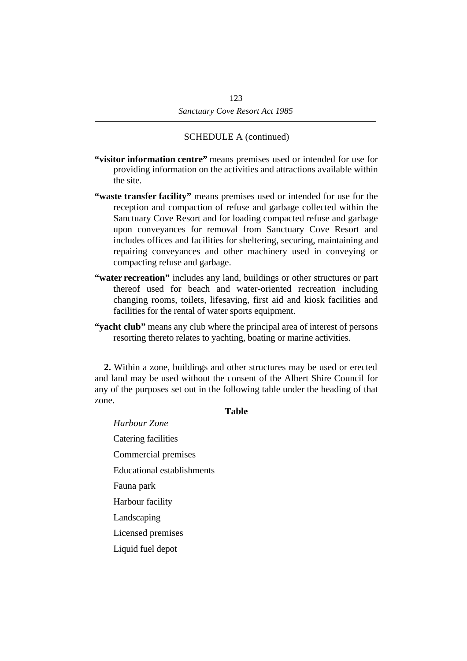- **"visitor information centre"** means premises used or intended for use for providing information on the activities and attractions available within the site.
- **"waste transfer facility"** means premises used or intended for use for the reception and compaction of refuse and garbage collected within the Sanctuary Cove Resort and for loading compacted refuse and garbage upon conveyances for removal from Sanctuary Cove Resort and includes offices and facilities for sheltering, securing, maintaining and repairing conveyances and other machinery used in conveying or compacting refuse and garbage.
- **"water recreation"** includes any land, buildings or other structures or part thereof used for beach and water-oriented recreation including changing rooms, toilets, lifesaving, first aid and kiosk facilities and facilities for the rental of water sports equipment.
- **"yacht club"** means any club where the principal area of interest of persons resorting thereto relates to yachting, boating or marine activities.

**2.** Within a zone, buildings and other structures may be used or erected and land may be used without the consent of the Albert Shire Council for any of the purposes set out in the following table under the heading of that zone.

### **Table**

*Harbour Zone* Catering facilities Commercial premises Educational establishments Fauna park Harbour facility Landscaping Licensed premises Liquid fuel depot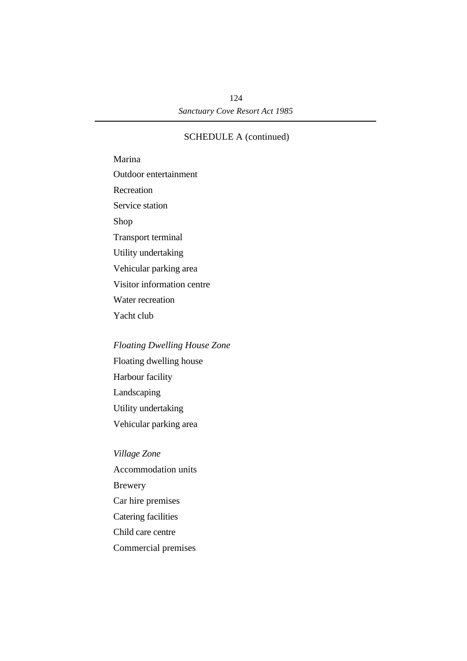Marina Outdoor entertainment Recreation Service station Shop Transport terminal Utility undertaking Vehicular parking area Visitor information centre Water recreation Yacht club

### *Floating Dwelling House Zone*

Floating dwelling house Harbour facility Landscaping Utility undertaking Vehicular parking area

*Village Zone* Accommodation units Brewery Car hire premises Catering facilities Child care centre Commercial premises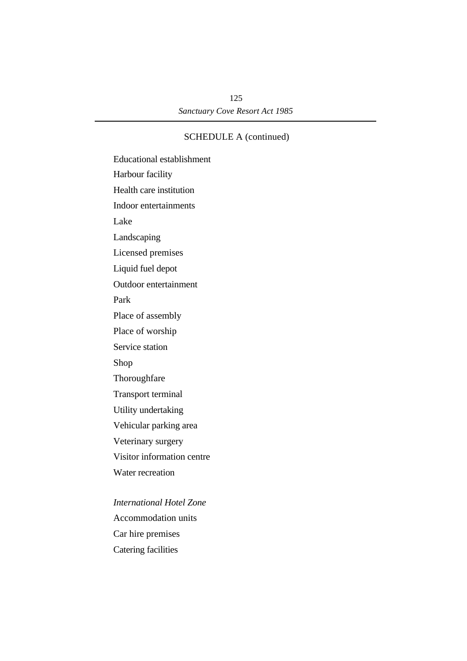Educational establishment Harbour facility Health care institution Indoor entertainments Lake Landscaping Licensed premises Liquid fuel depot Outdoor entertainment Park Place of assembly Place of worship Service station Shop Thoroughfare Transport terminal Utility undertaking Vehicular parking area Veterinary surgery Visitor information centre Water recreation *International Hotel Zone* Accommodation units

Car hire premises

Catering facilities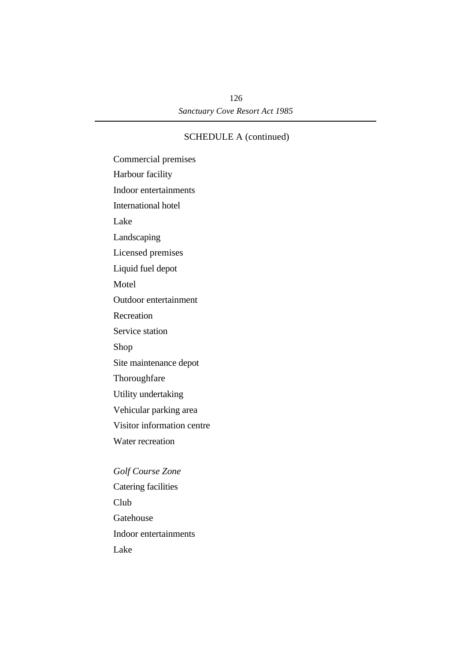Commercial premises Harbour facility Indoor entertainments International hotel Lake Landscaping Licensed premises Liquid fuel depot **Motel** Outdoor entertainment Recreation Service station Shop Site maintenance depot Thoroughfare Utility undertaking Vehicular parking area Visitor information centre Water recreation *Golf Course Zone* Catering facilities Club Gatehouse Indoor entertainments Lake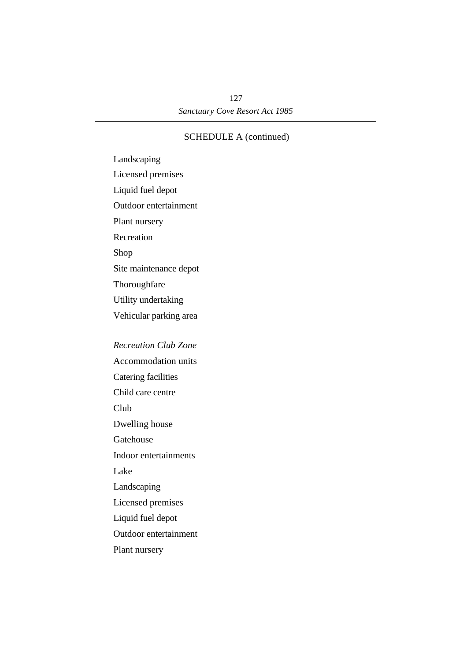Landscaping Licensed premises Liquid fuel depot Outdoor entertainment Plant nursery **Recreation** Shop Site maintenance depot Thoroughfare Utility undertaking Vehicular parking area

# *Recreation Club Zone* Accommodation units Catering facilities Child care centre Club Dwelling house Gatehouse Indoor entertainments Lake Landscaping Licensed premises Liquid fuel depot Outdoor entertainment Plant nursery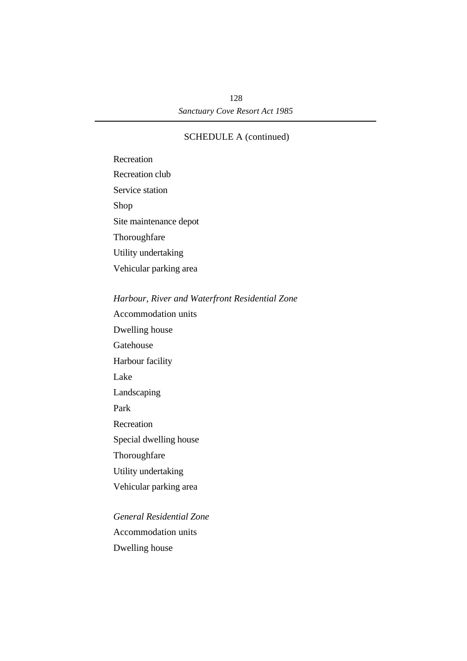Recreation Recreation club Service station Shop Site maintenance depot Thoroughfare Utility undertaking Vehicular parking area

*Harbour, River and Waterfront Residential Zone*

Accommodation units Dwelling house Gatehouse Harbour facility Lake Landscaping Park Recreation Special dwelling house Thoroughfare Utility undertaking Vehicular parking area *General Residential Zone*

Accommodation units Dwelling house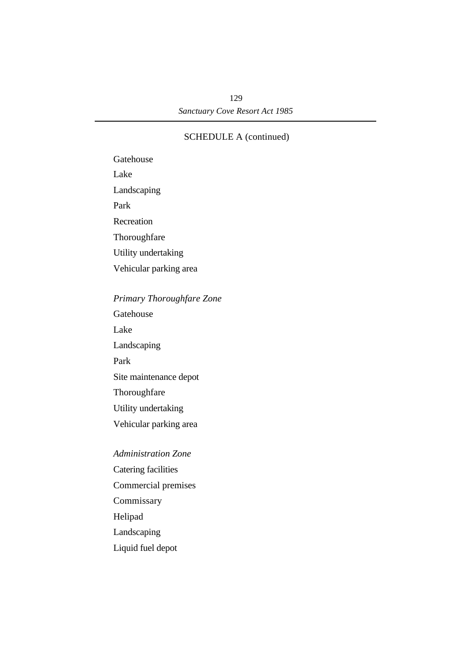Gatehouse Lake Landscaping Park Recreation Thoroughfare Utility undertaking Vehicular parking area

# *Primary Thoroughfare Zone*

Gatehouse Lake Landscaping Park Site maintenance depot Thoroughfare Utility undertaking Vehicular parking area

# *Administration Zone*

Catering facilities Commercial premises Commissary Helipad Landscaping

Liquid fuel depot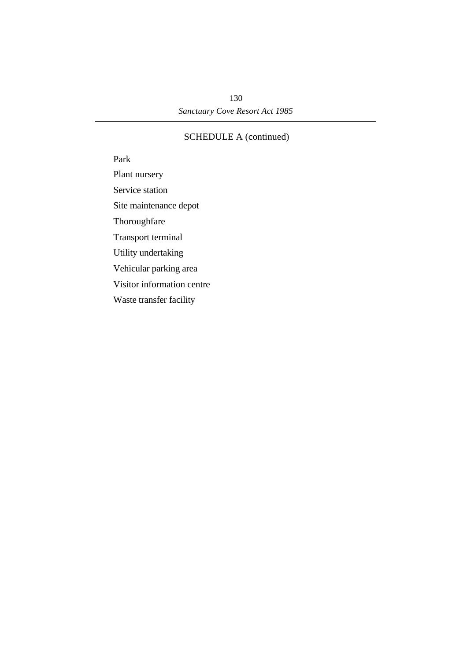Park Plant nursery Service station Site maintenance depot Thoroughfare Transport terminal Utility undertaking Vehicular parking area Visitor information centre Waste transfer facility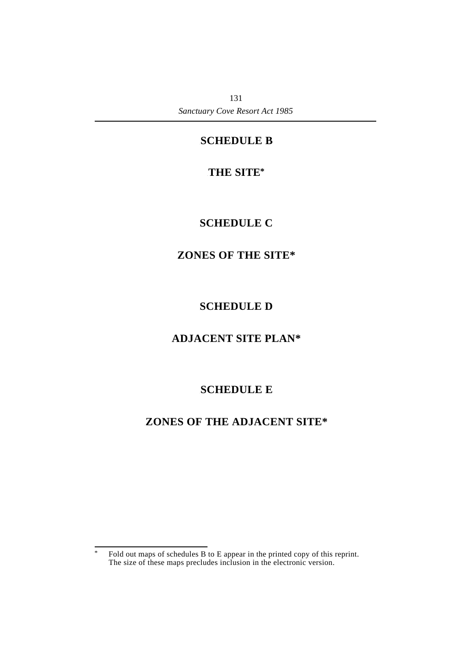# **¡SCHEDULE B**

# **†THE SITE\***

# **¡SCHEDULE C**

# **†ZONES OF THE SITE\***

# **¡SCHEDULE D**

# **†ADJACENT SITE PLAN\***

# **¡SCHEDULE E**

# **†ZONES OF THE ADJACENT SITE\***

<sup>\*</sup> Fold out maps of schedules B to E appear in the printed copy of this reprint. The size of these maps precludes inclusion in the electronic version.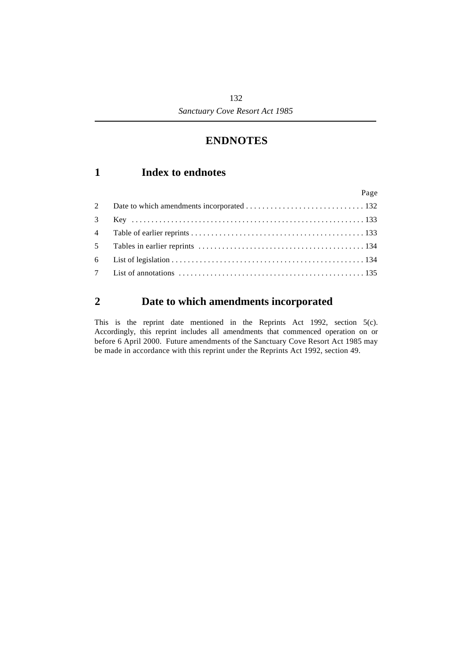# **†ENDNOTES**

# **´1 Index to endnotes**

|   | Page |
|---|------|
| 2 |      |
|   |      |
|   |      |
|   |      |
|   |      |
|   |      |

# **´2 Date to which amendments incorporated**

This is the reprint date mentioned in the Reprints Act 1992, section 5(c). Accordingly, this reprint includes all amendments that commenced operation on or before 6 April 2000. Future amendments of the Sanctuary Cove Resort Act 1985 may be made in accordance with this reprint under the Reprints Act 1992, section 49.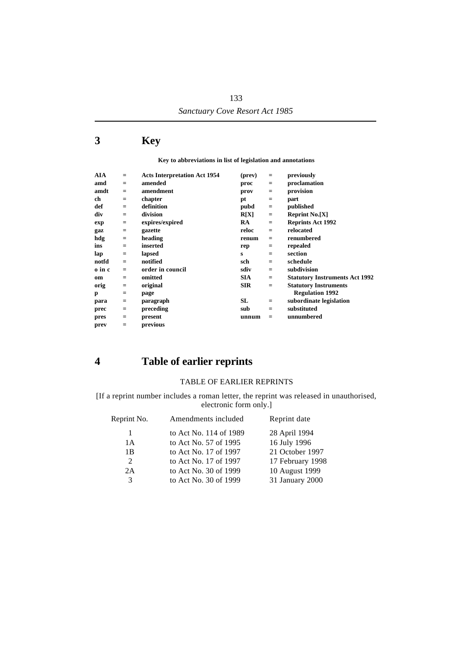# **´3 Key**

**Key to abbreviations in list of legislation and annotations**

| $=$      | <b>Acts Interpretation Act 1954</b> | (prev)     | $=$ | previously                            |
|----------|-------------------------------------|------------|-----|---------------------------------------|
| $=$      | amended                             | proc       | $=$ | proclamation                          |
| $=$      | amendment                           | prov       | $=$ | provision                             |
| $\equiv$ | chapter                             | pt         | $=$ | part                                  |
| $=$      | definition                          | pubd       | $=$ | published                             |
| $=$      | division                            | R[X]       | $=$ | <b>Reprint No.[X]</b>                 |
| $\equiv$ | expires/expired                     | RA         | $=$ | <b>Reprints Act 1992</b>              |
| $\equiv$ | gazette                             | reloc      | $=$ | relocated                             |
| $\equiv$ | heading                             | renum      | $=$ | renumbered                            |
| $=$      | inserted                            | rep        | $=$ | repealed                              |
| $\equiv$ | lapsed                              | s          | $=$ | section                               |
| $=$      | notified                            | sch        | $=$ | schedule                              |
| $=$      | order in council                    | sdiv       | $=$ | subdivision                           |
| $=$      | omitted                             | <b>SIA</b> | $=$ | <b>Statutory Instruments Act 1992</b> |
| $=$      | original                            | <b>SIR</b> | $=$ | <b>Statutory Instruments</b>          |
| $=$      | page                                |            |     | <b>Regulation 1992</b>                |
| $=$      | paragraph                           | SL         | $=$ | subordinate legislation               |
| $=$      | preceding                           | sub        | $=$ | substituted                           |
| $=$      | present                             | unnum      | $=$ | unnumbered                            |
| $=$      | previous                            |            |     |                                       |
|          |                                     |            |     |                                       |

# **´4 Table of earlier reprints**

### TABLE OF EARLIER REPRINTS

[If a reprint number includes a roman letter, the reprint was released in unauthorised, electronic form only.]

| Reprint No. | Amendments included    | Reprint date     |  |
|-------------|------------------------|------------------|--|
| 1           | to Act No. 114 of 1989 | 28 April 1994    |  |
| 1 A         | to Act No. 57 of 1995  | 16 July 1996     |  |
| 1B          | to Act No. 17 of 1997  | 21 October 1997  |  |
| 2           | to Act No. 17 of 1997  | 17 February 1998 |  |
| 2A          | to Act No. 30 of 1999  | 10 August 1999   |  |
| 3           | to Act No. 30 of 1999  | 31 January 2000  |  |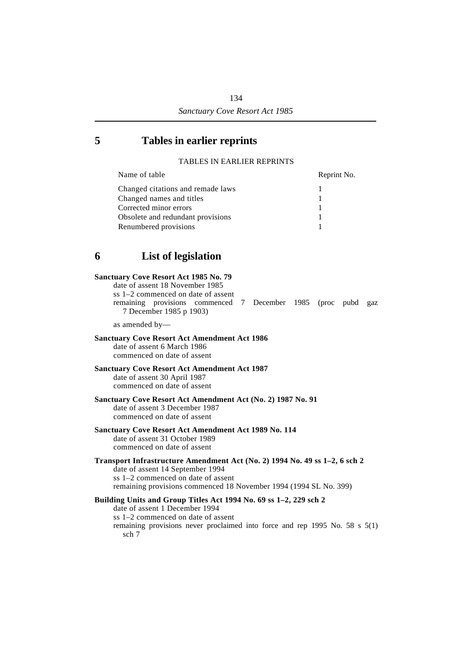# **´5 Tables in earlier reprints**

### TABLES IN EARLIER REPRINTS

| Name of table                     | Reprint No. |
|-----------------------------------|-------------|
| Changed citations and remade laws |             |
| Changed names and titles          |             |
| Corrected minor errors            |             |
| Obsolete and redundant provisions |             |
| Renumbered provisions             |             |

# **´6 List of legislation**

### **Sanctuary Cove Resort Act 1985 No. 79**

date of assent 18 November 1985 ss 1–2 commenced on date of assent remaining provisions commenced 7 December 1985 (proc pubd gaz 7 December 1985 p 1903)

as amended by—

### **Sanctuary Cove Resort Act Amendment Act 1986**

date of assent 6 March 1986 commenced on date of assent

### **Sanctuary Cove Resort Act Amendment Act 1987**

date of assent 30 April 1987 commenced on date of assent

**Sanctuary Cove Resort Act Amendment Act (No. 2) 1987 No. 91**

date of assent 3 December 1987 commenced on date of assent

### **Sanctuary Cove Resort Act Amendment Act 1989 No. 114**

date of assent 31 October 1989 commenced on date of assent

### **Transport Infrastructure Amendment Act (No. 2) 1994 No. 49 ss 1–2, 6 sch 2** date of assent 14 September 1994 ss 1–2 commenced on date of assent remaining provisions commenced 18 November 1994 (1994 SL No. 399)

### **Building Units and Group Titles Act 1994 No. 69 ss 1–2, 229 sch 2**

date of assent 1 December 1994 ss 1–2 commenced on date of assent remaining provisions never proclaimed into force and rep 1995 No. 58 s 5(1) sch 7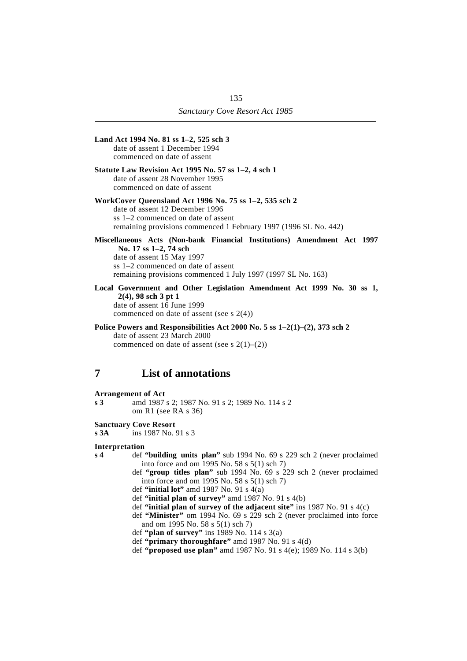|                | Land Act 1994 No. 81 ss 1-2, 525 sch 3<br>date of assent 1 December 1994<br>commenced on date of assent                                                                                                                                                                                                                                                                                                                                                                                                                                                                                                                                |
|----------------|----------------------------------------------------------------------------------------------------------------------------------------------------------------------------------------------------------------------------------------------------------------------------------------------------------------------------------------------------------------------------------------------------------------------------------------------------------------------------------------------------------------------------------------------------------------------------------------------------------------------------------------|
|                | Statute Law Revision Act 1995 No. 57 ss 1–2, 4 sch 1<br>date of assent 28 November 1995<br>commenced on date of assent                                                                                                                                                                                                                                                                                                                                                                                                                                                                                                                 |
|                | WorkCover Queensland Act 1996 No. 75 ss 1-2, 535 sch 2<br>date of assent 12 December 1996<br>ss 1–2 commenced on date of assent<br>remaining provisions commenced 1 February 1997 (1996 SL No. 442)                                                                                                                                                                                                                                                                                                                                                                                                                                    |
|                | Miscellaneous Acts (Non-bank Financial Institutions) Amendment Act 1997<br>No. 17 ss 1-2, 74 sch<br>date of assent 15 May 1997<br>ss 1-2 commenced on date of assent<br>remaining provisions commenced 1 July 1997 (1997 SL No. 163)                                                                                                                                                                                                                                                                                                                                                                                                   |
|                | Local Government and Other Legislation Amendment Act 1999 No. 30 ss 1,<br>$2(4)$ , 98 sch 3 pt 1<br>date of assent 16 June 1999<br>commenced on date of assent (see $s$ 2(4))                                                                                                                                                                                                                                                                                                                                                                                                                                                          |
|                | Police Powers and Responsibilities Act 2000 No. 5 ss 1-2(1)-(2), 373 sch 2<br>date of assent 23 March 2000<br>commenced on date of assent (see s $2(1)$ – $(2)$ )                                                                                                                                                                                                                                                                                                                                                                                                                                                                      |
| 7              | <b>List of annotations</b>                                                                                                                                                                                                                                                                                                                                                                                                                                                                                                                                                                                                             |
| s 3            | <b>Arrangement of Act</b><br>amd 1987 s 2; 1987 No. 91 s 2; 1989 No. 114 s 2<br>om R1 (see RA s $36$ )                                                                                                                                                                                                                                                                                                                                                                                                                                                                                                                                 |
| s 3A           | <b>Sanctuary Cove Resort</b><br>ins 1987 No. 91 s 3                                                                                                                                                                                                                                                                                                                                                                                                                                                                                                                                                                                    |
| s <sub>4</sub> | Interpretation<br>def "building units plan" sub 1994 No. 69 s 229 sch 2 (never proclaimed<br>into force and om 1995 No. 58 s 5(1) sch 7)<br>def "group titles plan" sub 1994 No. 69 s 229 sch 2 (never proclaimed<br>into force and om 1995 No. 58 s 5(1) sch 7)<br>def "initial lot" amd 1987 No. 91 s $4(a)$<br>def "initial plan of survey" amd 1987 No. 91 s 4(b)<br>def "initial plan of survey of the adjacent site" ins 1987 No. 91 s $4(c)$<br>def "Minister" om 1994 No. 69 s 229 sch 2 (never proclaimed into force<br>and om 1995 No. 58 s 5(1) sch 7)<br>def "plan of survey" ins 1989 No. 114 s $3(a)$<br>$1.0.6$ $(1.1)$ |

- def **"primary thoroughfare"** amd 1987 No. 91 s 4(d)
- def **"proposed use plan"** amd 1987 No. 91 s 4(e); 1989 No. 114 s 3(b)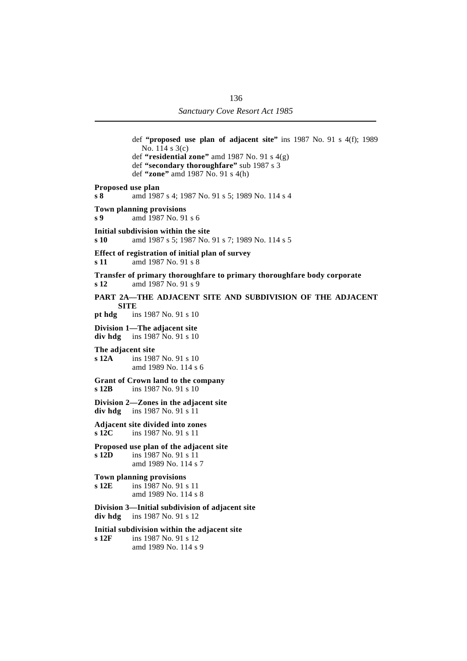def **"proposed use plan of adjacent site"** ins 1987 No. 91 s 4(f); 1989 No. 114 s 3(c) def **"residential zone"** amd 1987 No. 91 s 4(g) def **"secondary thoroughfare"** sub 1987 s 3 def **"zone"** amd 1987 No. 91 s 4(h) **Proposed use plan s 8** amd 1987 s 4; 1987 No. 91 s 5; 1989 No. 114 s 4 **Town planning provisions s 9** amd 1987 No. 91 s 6 **Initial subdivision within the site s 10** amd 1987 s 5; 1987 No. 91 s 7; 1989 No. 114 s 5 **Effect of registration of initial plan of survey s 11** amd 1987 No. 91 s 8 **Transfer of primary thoroughfare to primary thoroughfare body corporate s 12** amd 1987 No. 91 s 9 **PART 2A—THE ADJACENT SITE AND SUBDIVISION OF THE ADJACENT SITE pt hdg** ins 1987 No. 91 s 10 **Division 1—The adjacent site div hdg** ins 1987 No. 91 s 10 **The adjacent site s 12A** ins 1987 No. 91 s 10 amd 1989 No. 114 s 6 **Grant of Crown land to the company s 12B** ins 1987 No. 91 s 10 **Division 2—Zones in the adjacent site div hdg** ins 1987 No. 91 s 11 **Adjacent site divided into zones s 12C** ins 1987 No. 91 s 11 **Proposed use plan of the adjacent site s 12D** ins 1987 No. 91 s 11 amd 1989 No. 114 s 7 **Town planning provisions s 12E** ins 1987 No. 91 s 11 amd 1989 No. 114 s 8 **Division 3—Initial subdivision of adjacent site div hdg** ins 1987 No. 91 s 12 **Initial subdivision within the adjacent site s 12F** ins 1987 No. 91 s 12 amd 1989 No. 114 s 9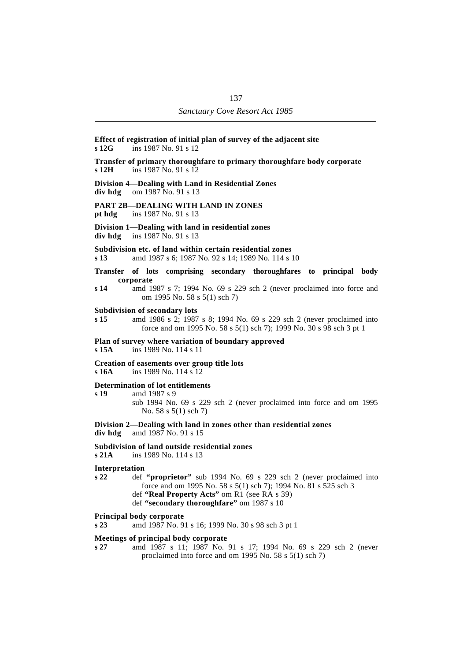### **Effect of registration of initial plan of survey of the adjacent site s 12G** ins 1987 No. 91 s 12 **Transfer of primary thoroughfare to primary thoroughfare body corporate s 12H** ins 1987 No. 91 s 12 **Division 4—Dealing with Land in Residential Zones div hdg** om 1987 No. 91 s 13 **PART 2B—DEALING WITH LAND IN ZONES pt hdg** ins 1987 No. 91 s 13 **Division 1—Dealing with land in residential zones div hdg** ins 1987 No. 91 s 13 **Subdivision etc. of land within certain residential zones s 13** amd 1987 s 6; 1987 No. 92 s 14; 1989 No. 114 s 10 **Transfer of lots comprising secondary thoroughfares to principal body corporate s 14** amd 1987 s 7; 1994 No. 69 s 229 sch 2 (never proclaimed into force and om 1995 No. 58 s 5(1) sch 7) **Subdivision of secondary lots s 15** amd 1986 s 2; 1987 s 8; 1994 No. 69 s 229 sch 2 (never proclaimed into force and om 1995 No. 58 s 5(1) sch 7); 1999 No. 30 s 98 sch 3 pt 1 **Plan of survey where variation of boundary approved**<br>s 15A ins 1989 No. 114 s 11 **s 15A** ins 1989 No. 114 s 11 **Creation of easements over group title lots s 16A** ins 1989 No. 114 s 12 **Determination of lot entitlements s 19** amd 1987 s 9 sub 1994 No. 69 s 229 sch 2 (never proclaimed into force and om 1995 No. 58 s 5(1) sch 7) **Division 2—Dealing with land in zones other than residential zones div hdg** amd 1987 No. 91 s 15 **Subdivision of land outside residential zones s 21A** ins 1989 No. 114 s 13 **Interpretation s 22** def **"proprietor"** sub 1994 No. 69 s 229 sch 2 (never proclaimed into force and om 1995 No. 58 s 5(1) sch 7); 1994 No. 81 s 525 sch 3 def **"Real Property Acts"** om R1 (see RA s 39) def **"secondary thoroughfare"** om 1987 s 10

#### **Principal body corporate**

**s 23** amd 1987 No. 91 s 16; 1999 No. 30 s 98 sch 3 pt 1

#### **Meetings of principal body corporate**

**s 27** amd 1987 s 11; 1987 No. 91 s 17; 1994 No. 69 s 229 sch 2 (never proclaimed into force and om 1995 No. 58 s 5(1) sch 7)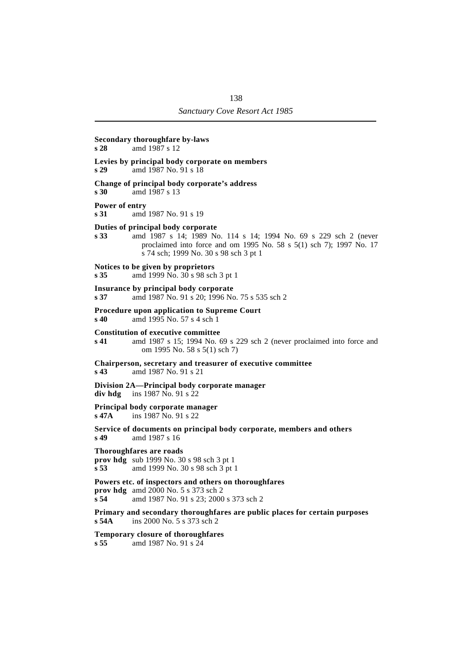### **Secondary thoroughfare by-laws**

**s 28** amd 1987 s 12

### **Levies by principal body corporate on members**

**s 29** amd 1987 No. 91 s 18

#### **Change of principal body corporate's address**

**s 30** amd 1987 s 13

#### **Power of entry**

**s 31** amd 1987 No. 91 s 19

#### **Duties of principal body corporate**

**s 33** amd 1987 s 14; 1989 No. 114 s 14; 1994 No. 69 s 229 sch 2 (never proclaimed into force and om 1995 No. 58 s 5(1) sch 7); 1997 No. 17 s 74 sch; 1999 No. 30 s 98 sch 3 pt 1

#### **Notices to be given by proprietors**

**s 35** amd 1999 No. 30 s 98 sch 3 pt 1

#### **Insurance by principal body corporate**

**s 37** amd 1987 No. 91 s 20; 1996 No. 75 s 535 sch 2

#### **Procedure upon application to Supreme Court**

**s 40** amd 1995 No. 57 s 4 sch 1

#### **Constitution of executive committee**

**s 41** amd 1987 s 15; 1994 No. 69 s 229 sch 2 (never proclaimed into force and om 1995 No. 58 s 5(1) sch 7)

**Chairperson, secretary and treasurer of executive committee**

**s 43** amd 1987 No. 91 s 21

#### **Division 2A—Principal body corporate manager div hdg** ins 1987 No. 91 s 22

#### **Principal body corporate manager**

**s 47A** ins 1987 No. 91 s 22

#### **Service of documents on principal body corporate, members and others s 49** amd 1987 s 16

#### **Thoroughfares are roads**

**prov hdg** sub 1999 No. 30 s 98 sch 3 pt 1 **s 53** amd 1999 No. 30 s 98 sch 3 pt 1

#### **Powers etc. of inspectors and others on thoroughfares**

**prov hdg** amd 2000 No. 5 s 373 sch 2 **s 54** amd 1987 No. 91 s 23; 2000 s 373 sch 2

**Primary and secondary thoroughfares are public places for certain purposes s 54A** ins 2000 No. 5 s 373 sch 2

### **Temporary closure of thoroughfares**

**s 55** amd 1987 No. 91 s 24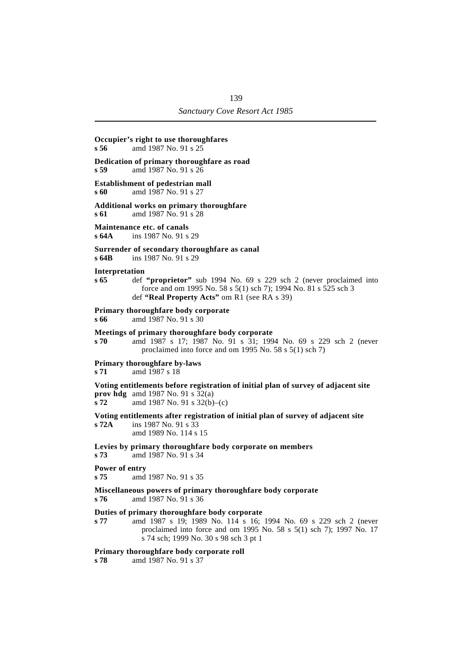## **Occupier's right to use thoroughfares s 56** amd 1987 No. 91 s 25 **Dedication of primary thoroughfare as road s 59** amd 1987 No. 91 s 26 **Establishment of pedestrian mall s 60** amd 1987 No. 91 s 27 **Additional works on primary thoroughfare s 61** amd 1987 No. 91 s 28 **Maintenance etc. of canals s 64A** ins 1987 No. 91 s 29 **Surrender of secondary thoroughfare as canal s 64B** ins 1987 No. 91 s 29 **Interpretation s 65** def **"proprietor"** sub 1994 No. 69 s 229 sch 2 (never proclaimed into force and om 1995 No. 58 s 5(1) sch 7); 1994 No. 81 s 525 sch 3 def **"Real Property Acts"** om R1 (see RA s 39) **Primary thoroughfare body corporate s 66** amd 1987 No. 91 s 30 **Meetings of primary thoroughfare body corporate s 70** amd 1987 s 17; 1987 No. 91 s 31; 1994 No. 69 s 229 sch 2 (never proclaimed into force and om 1995 No. 58 s 5(1) sch 7) **Primary thoroughfare by-laws s 71** amd 1987 s 18 **Voting entitlements before registration of initial plan of survey of adjacent site prov hdg** amd 1987 No. 91 s  $32(a)$ **s 72** amd 1987 No. 91 s 32(b)–(c) **Voting entitlements after registration of initial plan of survey of adjacent site s 72A** ins 1987 No. 91 s 33 amd 1989 No. 114 s 15 **Levies by primary thoroughfare body corporate on members s 73** amd 1987 No. 91 s 34 **Power of entry s 75** amd 1987 No. 91 s 35 **Miscellaneous powers of primary thoroughfare body corporate s 76** amd 1987 No. 91 s 36 **Duties of primary thoroughfare body corporate s 77** amd 1987 s 19; 1989 No. 114 s 16; 1994 No. 69 s 229 sch 2 (never proclaimed into force and om 1995 No. 58 s 5(1) sch 7); 1997 No. 17 s 74 sch; 1999 No. 30 s 98 sch 3 pt 1

#### **Primary thoroughfare body corporate roll**

**s 78** amd 1987 No. 91 s 37